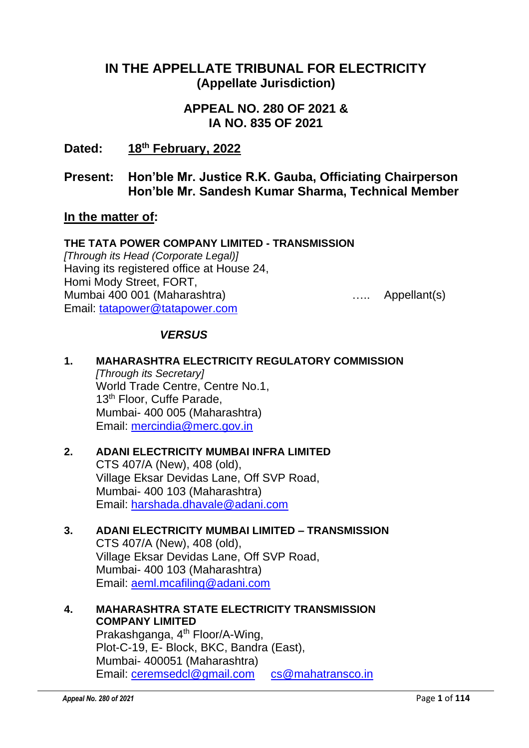# **IN THE APPELLATE TRIBUNAL FOR ELECTRICITY (Appellate Jurisdiction)**

### **APPEAL NO. 280 OF 2021 & IA NO. 835 OF 2021**

**Dated: 18th February, 2022**

# **Present: Hon'ble Mr. Justice R.K. Gauba, Officiating Chairperson Hon'ble Mr. Sandesh Kumar Sharma, Technical Member**

### **In the matter of:**

#### **THE TATA POWER COMPANY LIMITED - TRANSMISSION**

*[Through its Head (Corporate Legal)]* Having its registered office at House 24, Homi Mody Street, FORT, Mumbai 400 001 (Maharashtra) ….. Appellant(s) Email: [tatapower@tatapower.com](mailto:tatapower@tatapower.com)

# *VERSUS*

# **1. MAHARASHTRA ELECTRICITY REGULATORY COMMISSION** *[Through its Secretary]* World Trade Centre, Centre No.1, 13<sup>th</sup> Floor, Cuffe Parade,

Mumbai- 400 005 (Maharashtra) Email: [mercindia@merc.gov.in](mailto:mercindia@merc.gov.in)

#### **2. ADANI ELECTRICITY MUMBAI INFRA LIMITED** CTS 407/A (New), 408 (old), Village Eksar Devidas Lane, Off SVP Road, Mumbai- 400 103 (Maharashtra) Email: [harshada.dhavale@adani.com](mailto:harshada.dhavale@adani.com)

# **3. ADANI ELECTRICITY MUMBAI LIMITED – TRANSMISSION**

CTS 407/A (New), 408 (old), Village Eksar Devidas Lane, Off SVP Road, Mumbai- 400 103 (Maharashtra) Email: [aeml.mcafiling@adani.com](mailto:aeml.mcafiling@adani.com)

#### **4. MAHARASHTRA STATE ELECTRICITY TRANSMISSION COMPANY LIMITED** Prakashganga, 4<sup>th</sup> Floor/A-Wing, Plot-C-19, E- Block, BKC, Bandra (East),

Mumbai- 400051 (Maharashtra) Email: [ceremsedcl@gmail.com](mailto:ceremsedcl@gmail.com) [cs@mahatransco.in](mailto:cs@mahatransco.in)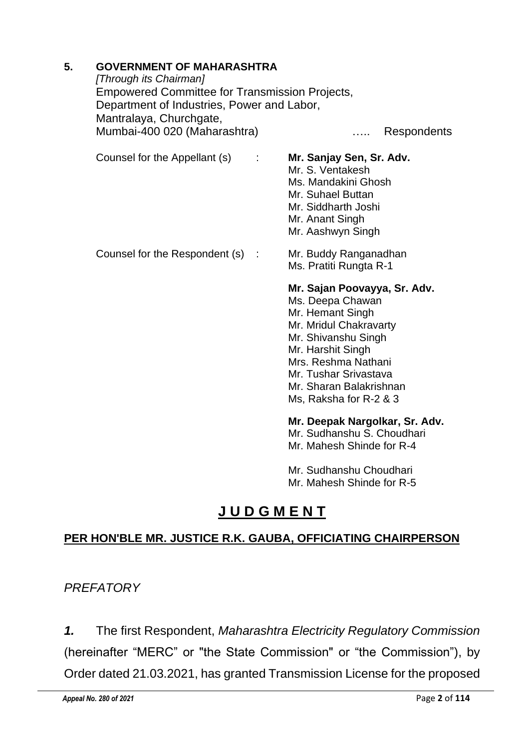#### **5. GOVERNMENT OF MAHARASHTRA**

*[Through its Chairman]* Empowered Committee for Transmission Projects, Department of Industries, Power and Labor, Mantralaya, Churchgate, Mumbai-400 020 (Maharashtra) ….. Respondents

| Counsel for the Appellant (s)       | Mr. Sanjay Sen, Sr. Adv.<br>Mr. S. Ventakesh<br>Ms. Mandakini Ghosh<br>Mr. Suhael Buttan<br>Mr. Siddharth Joshi<br>Mr. Anant Singh<br>Mr. Aashwyn Singh |  |
|-------------------------------------|---------------------------------------------------------------------------------------------------------------------------------------------------------|--|
| Counsel for the Respondent (s)<br>÷ | Mr. Buddy Ranganadhan<br>Ms. Pratiti Rungta R-1                                                                                                         |  |
|                                     | Mr. Sajan Poovayya, Sr. Adv.<br>Ms. Deepa Chawan                                                                                                        |  |

Ms. Deepa Chawan Mr. Hemant Singh Mr. Mridul Chakravarty Mr. Shivanshu Singh Mr. Harshit Singh Mrs. Reshma Nathani Mr. Tushar Srivastava Mr. Sharan Balakrishnan Ms, Raksha for R-2 & 3 **Mr. Deepak Nargolkar, Sr. Adv.**

Mr. Sudhanshu S. Choudhari Mr. Mahesh Shinde for R-4

Mr. Sudhanshu Choudhari Mr. Mahesh Shinde for R-5

# **J U D G M E N T**

# **PER HON'BLE MR. JUSTICE R.K. GAUBA, OFFICIATING CHAIRPERSON**

*PREFATORY*

*1.* The first Respondent, *Maharashtra Electricity Regulatory Commission* (hereinafter "MERC" or "the State Commission" or "the Commission"), by Order dated 21.03.2021, has granted Transmission License for the proposed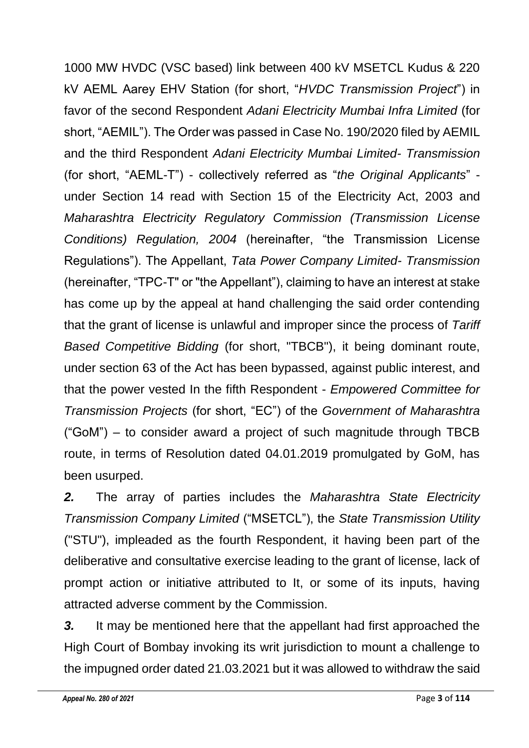1000 MW HVDC (VSC based) link between 400 kV MSETCL Kudus & 220 kV AEML Aarey EHV Station (for short, "*HVDC Transmission Project*") in favor of the second Respondent *Adani Electricity Mumbai Infra Limited* (for short, "AEMIL"). The Order was passed in Case No. 190/2020 filed by AEMIL and the third Respondent *Adani Electricity Mumbai Limited- Transmission* (for short, "AEML-T") - collectively referred as "*the Original Applicants*" under Section 14 read with Section 15 of the Electricity Act, 2003 and *Maharashtra Electricity Regulatory Commission (Transmission License Conditions) Regulation, 2004* (hereinafter, "the Transmission License Regulations"). The Appellant, *Tata Power Company Limited- Transmission* (hereinafter, "TPC-T" or "the Appellant"), claiming to have an interest at stake has come up by the appeal at hand challenging the said order contending that the grant of license is unlawful and improper since the process of *Tariff Based Competitive Bidding* (for short, "TBCB"), it being dominant route, under section 63 of the Act has been bypassed, against public interest, and that the power vested In the fifth Respondent - *Empowered Committee for Transmission Projects* (for short, "EC") of the *Government of Maharashtra* ("GoM") – to consider award a project of such magnitude through TBCB route, in terms of Resolution dated 04.01.2019 promulgated by GoM, has been usurped.

*2.* The array of parties includes the *Maharashtra State Electricity Transmission Company Limited* ("MSETCL"), the *State Transmission Utility* ("STU"), impleaded as the fourth Respondent, it having been part of the deliberative and consultative exercise leading to the grant of license, lack of prompt action or initiative attributed to It, or some of its inputs, having attracted adverse comment by the Commission.

*3.* It may be mentioned here that the appellant had first approached the High Court of Bombay invoking its writ jurisdiction to mount a challenge to the impugned order dated 21.03.2021 but it was allowed to withdraw the said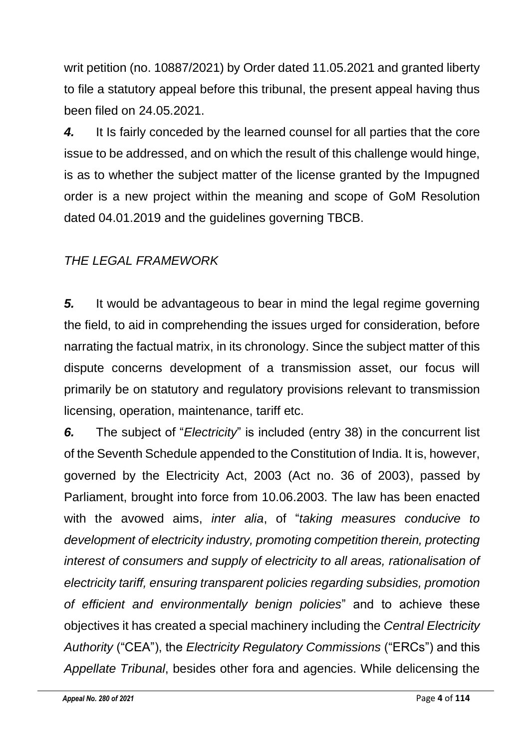writ petition (no. 10887/2021) by Order dated 11.05.2021 and granted liberty to file a statutory appeal before this tribunal, the present appeal having thus been filed on 24.05.2021.

*4.* It Is fairly conceded by the learned counsel for all parties that the core issue to be addressed, and on which the result of this challenge would hinge, is as to whether the subject matter of the license granted by the Impugned order is a new project within the meaning and scope of GoM Resolution dated 04.01.2019 and the guidelines governing TBCB.

# *THE LEGAL FRAMEWORK*

*5.* It would be advantageous to bear in mind the legal regime governing the field, to aid in comprehending the issues urged for consideration, before narrating the factual matrix, in its chronology. Since the subject matter of this dispute concerns development of a transmission asset, our focus will primarily be on statutory and regulatory provisions relevant to transmission licensing, operation, maintenance, tariff etc.

*6.* The subject of "*Electricity*" is included (entry 38) in the concurrent list of the Seventh Schedule appended to the Constitution of India. It is, however, governed by the Electricity Act, 2003 (Act no. 36 of 2003), passed by Parliament, brought into force from 10.06.2003. The law has been enacted with the avowed aims, *inter alia*, of "*taking measures conducive to development of electricity industry, promoting competition therein, protecting interest of consumers and supply of electricity to all areas, rationalisation of electricity tariff, ensuring transparent policies regarding subsidies, promotion of efficient and environmentally benign policies*" and to achieve these objectives it has created a special machinery including the *Central Electricity Authority* ("CEA"), the *Electricity Regulatory Commissions* ("ERCs") and this *Appellate Tribunal*, besides other fora and agencies. While delicensing the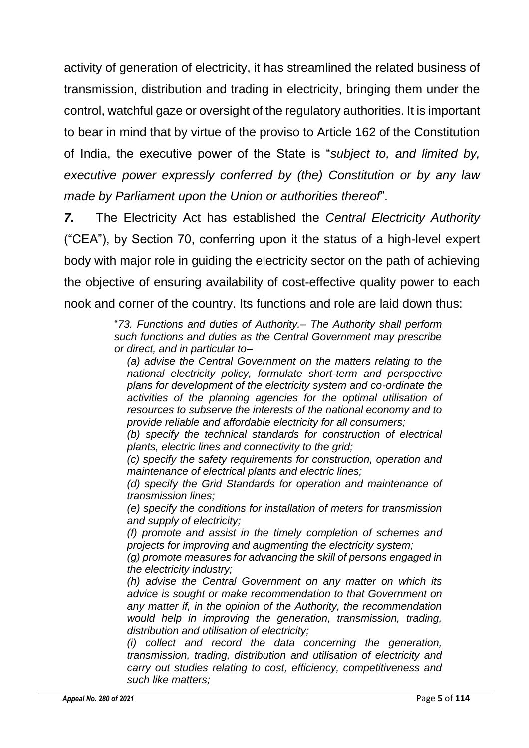activity of generation of electricity, it has streamlined the related business of transmission, distribution and trading in electricity, bringing them under the control, watchful gaze or oversight of the regulatory authorities. It is important to bear in mind that by virtue of the proviso to Article 162 of the Constitution of India, the executive power of the State is "*subject to, and limited by, executive power expressly conferred by (the) Constitution or by any law made by Parliament upon the Union or authorities thereof*".

*7.* The Electricity Act has established the *Central Electricity Authority* ("CEA"), by Section 70, conferring upon it the status of a high-level expert body with major role in guiding the electricity sector on the path of achieving the objective of ensuring availability of cost-effective quality power to each nook and corner of the country. Its functions and role are laid down thus:

> "*73. Functions and duties of Authority.– The Authority shall perform such functions and duties as the Central Government may prescribe or direct, and in particular to–*

*(a) advise the Central Government on the matters relating to the national electricity policy, formulate short-term and perspective plans for development of the electricity system and co-ordinate the activities of the planning agencies for the optimal utilisation of resources to subserve the interests of the national economy and to provide reliable and affordable electricity for all consumers;* 

*(b) specify the technical standards for construction of electrical plants, electric lines and connectivity to the grid;* 

*(c) specify the safety requirements for construction, operation and maintenance of electrical plants and electric lines;* 

*(d) specify the Grid Standards for operation and maintenance of transmission lines;* 

*(e) specify the conditions for installation of meters for transmission and supply of electricity;* 

*(f) promote and assist in the timely completion of schemes and projects for improving and augmenting the electricity system;* 

*(g) promote measures for advancing the skill of persons engaged in the electricity industry;* 

*(h) advise the Central Government on any matter on which its advice is sought or make recommendation to that Government on any matter if, in the opinion of the Authority, the recommendation would help in improving the generation, transmission, trading, distribution and utilisation of electricity;* 

*(i) collect and record the data concerning the generation, transmission, trading, distribution and utilisation of electricity and carry out studies relating to cost, efficiency, competitiveness and such like matters;*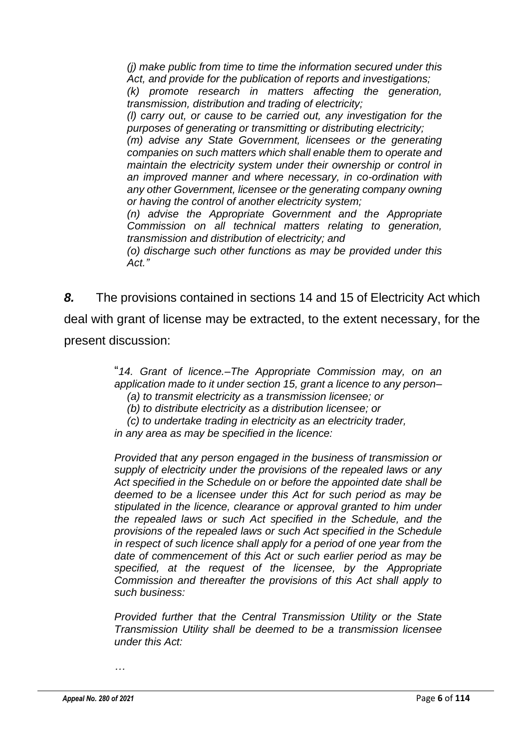*(j) make public from time to time the information secured under this Act, and provide for the publication of reports and investigations; (k) promote research in matters affecting the generation, transmission, distribution and trading of electricity; (l) carry out, or cause to be carried out, any investigation for the purposes of generating or transmitting or distributing electricity; (m) advise any State Government, licensees or the generating companies on such matters which shall enable them to operate and maintain the electricity system under their ownership or control in an improved manner and where necessary, in co-ordination with any other Government, licensee or the generating company owning or having the control of another electricity system; (n) advise the Appropriate Government and the Appropriate Commission on all technical matters relating to generation, transmission and distribution of electricity; and* 

*(o) discharge such other functions as may be provided under this Act."*

*8.* The provisions contained in sections 14 and 15 of Electricity Act which deal with grant of license may be extracted, to the extent necessary, for the present discussion:

> "*14. Grant of licence.–The Appropriate Commission may, on an application made to it under section 15, grant a licence to any person–*

*(a) to transmit electricity as a transmission licensee; or* 

*(b) to distribute electricity as a distribution licensee; or (c) to undertake trading in electricity as an electricity trader,* 

*in any area as may be specified in the licence:*

*Provided that any person engaged in the business of transmission or supply of electricity under the provisions of the repealed laws or any Act specified in the Schedule on or before the appointed date shall be deemed to be a licensee under this Act for such period as may be stipulated in the licence, clearance or approval granted to him under the repealed laws or such Act specified in the Schedule, and the provisions of the repealed laws or such Act specified in the Schedule in respect of such licence shall apply for a period of one year from the date of commencement of this Act or such earlier period as may be specified, at the request of the licensee, by the Appropriate Commission and thereafter the provisions of this Act shall apply to such business:*

*Provided further that the Central Transmission Utility or the State Transmission Utility shall be deemed to be a transmission licensee under this Act:* 

*…*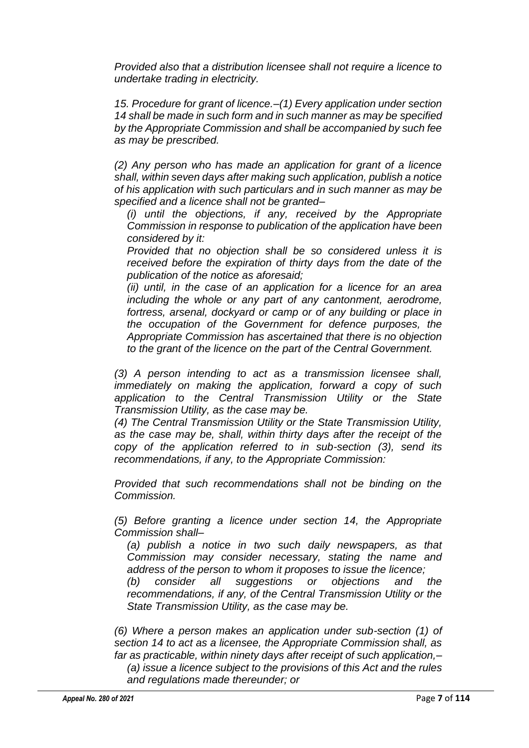*Provided also that a distribution licensee shall not require a licence to undertake trading in electricity.* 

*15. Procedure for grant of licence.–(1) Every application under section 14 shall be made in such form and in such manner as may be specified by the Appropriate Commission and shall be accompanied by such fee as may be prescribed.*

*(2) Any person who has made an application for grant of a licence shall, within seven days after making such application, publish a notice of his application with such particulars and in such manner as may be specified and a licence shall not be granted–*

*(i) until the objections, if any, received by the Appropriate Commission in response to publication of the application have been considered by it:* 

*Provided that no objection shall be so considered unless it is received before the expiration of thirty days from the date of the publication of the notice as aforesaid;* 

*(ii) until, in the case of an application for a licence for an area including the whole or any part of any cantonment, aerodrome, fortress, arsenal, dockyard or camp or of any building or place in the occupation of the Government for defence purposes, the Appropriate Commission has ascertained that there is no objection to the grant of the licence on the part of the Central Government.*

*(3) A person intending to act as a transmission licensee shall, immediately on making the application, forward a copy of such application to the Central Transmission Utility or the State Transmission Utility, as the case may be.*

*(4) The Central Transmission Utility or the State Transmission Utility, as the case may be, shall, within thirty days after the receipt of the copy of the application referred to in sub-section (3), send its recommendations, if any, to the Appropriate Commission:*

*Provided that such recommendations shall not be binding on the Commission.* 

*(5) Before granting a licence under section 14, the Appropriate Commission shall–*

*(a) publish a notice in two such daily newspapers, as that Commission may consider necessary, stating the name and address of the person to whom it proposes to issue the licence;* 

*(b) consider all suggestions or objections and the recommendations, if any, of the Central Transmission Utility or the State Transmission Utility, as the case may be.* 

*(6) Where a person makes an application under sub-section (1) of section 14 to act as a licensee, the Appropriate Commission shall, as far as practicable, within ninety days after receipt of such application,– (a) issue a licence subject to the provisions of this Act and the rules and regulations made thereunder; or*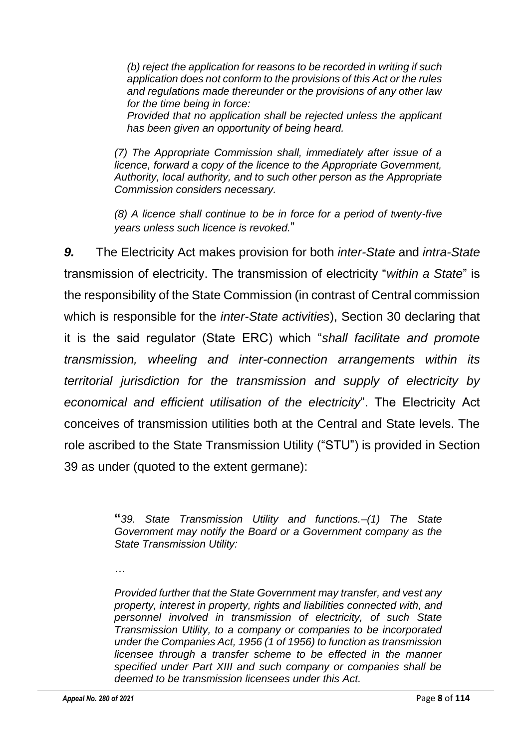*(b) reject the application for reasons to be recorded in writing if such application does not conform to the provisions of this Act or the rules and regulations made thereunder or the provisions of any other law for the time being in force:* 

*Provided that no application shall be rejected unless the applicant has been given an opportunity of being heard.*

*(7) The Appropriate Commission shall, immediately after issue of a licence, forward a copy of the licence to the Appropriate Government, Authority, local authority, and to such other person as the Appropriate Commission considers necessary.* 

*(8) A licence shall continue to be in force for a period of twenty-five years unless such licence is revoked.*"

*9.* The Electricity Act makes provision for both *inter-State* and *intra-State* transmission of electricity. The transmission of electricity "*within a State*" is the responsibility of the State Commission (in contrast of Central commission which is responsible for the *inter-State activities*), Section 30 declaring that it is the said regulator (State ERC) which "*shall facilitate and promote transmission, wheeling and inter-connection arrangements within its territorial jurisdiction for the transmission and supply of electricity by economical and efficient utilisation of the electricity*". The Electricity Act conceives of transmission utilities both at the Central and State levels. The role ascribed to the State Transmission Utility ("STU") is provided in Section 39 as under (quoted to the extent germane):

> **"***39. State Transmission Utility and functions.–(1) The State Government may notify the Board or a Government company as the State Transmission Utility:*

*…*

*Provided further that the State Government may transfer, and vest any property, interest in property, rights and liabilities connected with, and personnel involved in transmission of electricity, of such State Transmission Utility, to a company or companies to be incorporated under the Companies Act, 1956 (1 of 1956) to function as transmission licensee through a transfer scheme to be effected in the manner specified under Part XIII and such company or companies shall be deemed to be transmission licensees under this Act.*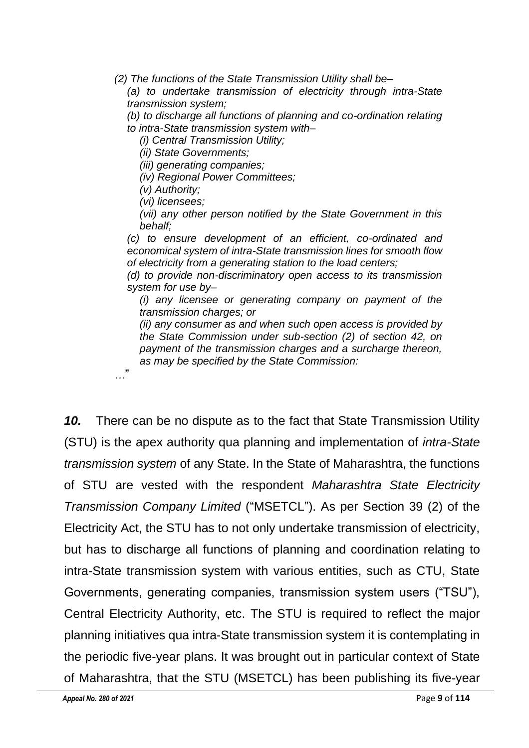*(2) The functions of the State Transmission Utility shall be–*

*(a) to undertake transmission of electricity through intra-State transmission system;* 

*(b) to discharge all functions of planning and co-ordination relating to intra-State transmission system with–*

*(i) Central Transmission Utility;* 

*(ii) State Governments;* 

*(iii) generating companies;* 

*(iv) Regional Power Committees;* 

*(v) Authority;* 

*(vi) licensees;* 

*…*"

*(vii) any other person notified by the State Government in this behalf;* 

*(c) to ensure development of an efficient, co-ordinated and economical system of intra-State transmission lines for smooth flow of electricity from a generating station to the load centers;* 

*(d) to provide non-discriminatory open access to its transmission system for use by–*

*(i) any licensee or generating company on payment of the transmission charges; or*

*(ii) any consumer as and when such open access is provided by the State Commission under sub-section (2) of section 42, on payment of the transmission charges and a surcharge thereon, as may be specified by the State Commission:* 

*10.* There can be no dispute as to the fact that State Transmission Utility (STU) is the apex authority qua planning and implementation of *intra-State transmission system* of any State. In the State of Maharashtra, the functions of STU are vested with the respondent *Maharashtra State Electricity Transmission Company Limited* ("MSETCL"). As per Section 39 (2) of the Electricity Act, the STU has to not only undertake transmission of electricity, but has to discharge all functions of planning and coordination relating to intra-State transmission system with various entities, such as CTU, State Governments, generating companies, transmission system users ("TSU"), Central Electricity Authority, etc. The STU is required to reflect the major planning initiatives qua intra-State transmission system it is contemplating in the periodic five-year plans. It was brought out in particular context of State of Maharashtra, that the STU (MSETCL) has been publishing its five-year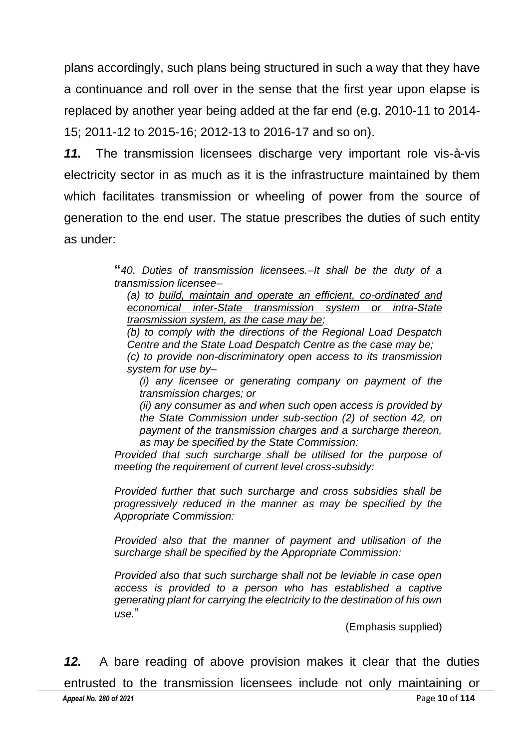plans accordingly, such plans being structured in such a way that they have a continuance and roll over in the sense that the first year upon elapse is replaced by another year being added at the far end (e.g. 2010-11 to 2014- 15; 2011-12 to 2015-16; 2012-13 to 2016-17 and so on).

*11.* The transmission licensees discharge very important role vis-à-vis electricity sector in as much as it is the infrastructure maintained by them which facilitates transmission or wheeling of power from the source of generation to the end user. The statue prescribes the duties of such entity as under:

> **"***40. Duties of transmission licensees.–It shall be the duty of a transmission licensee–*

*(a) to build, maintain and operate an efficient, co-ordinated and economical inter-State transmission system or intra-State transmission system, as the case may be;* 

*(b) to comply with the directions of the Regional Load Despatch Centre and the State Load Despatch Centre as the case may be; (c) to provide non-discriminatory open access to its transmission* 

*system for use by–*

*(i) any licensee or generating company on payment of the transmission charges; or* 

*(ii) any consumer as and when such open access is provided by the State Commission under sub-section (2) of section 42, on payment of the transmission charges and a surcharge thereon, as may be specified by the State Commission:* 

*Provided that such surcharge shall be utilised for the purpose of meeting the requirement of current level cross-subsidy:* 

*Provided further that such surcharge and cross subsidies shall be progressively reduced in the manner as may be specified by the Appropriate Commission:*

*Provided also that the manner of payment and utilisation of the surcharge shall be specified by the Appropriate Commission:* 

*Provided also that such surcharge shall not be leviable in case open access is provided to a person who has established a captive generating plant for carrying the electricity to the destination of his own use.*"

(Emphasis supplied)

*12.* A bare reading of above provision makes it clear that the duties

entrusted to the transmission licensees include not only maintaining or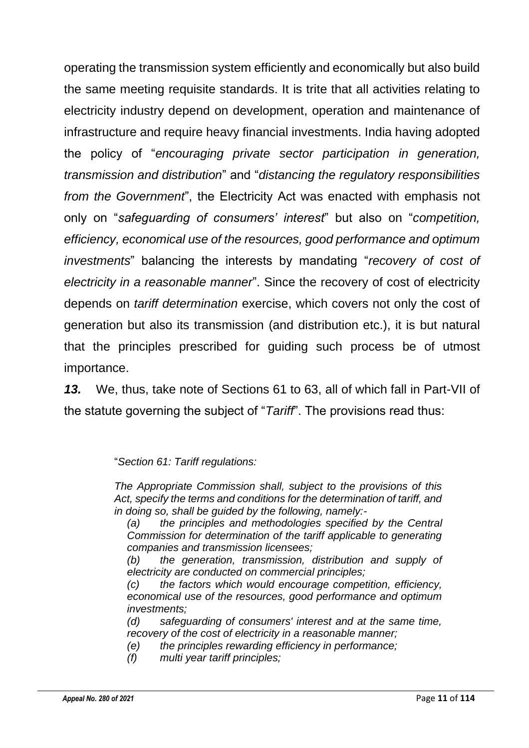operating the transmission system efficiently and economically but also build the same meeting requisite standards. It is trite that all activities relating to electricity industry depend on development, operation and maintenance of infrastructure and require heavy financial investments. India having adopted the policy of "*encouraging private sector participation in generation, transmission and distribution*" and "*distancing the regulatory responsibilities from the Government*", the Electricity Act was enacted with emphasis not only on "*safeguarding of consumers' interest*" but also on "*competition, efficiency, economical use of the resources, good performance and optimum investments*" balancing the interests by mandating "*recovery of cost of electricity in a reasonable manner*". Since the recovery of cost of electricity depends on *tariff determination* exercise, which covers not only the cost of generation but also its transmission (and distribution etc.), it is but natural that the principles prescribed for guiding such process be of utmost importance.

*13.* We, thus, take note of Sections 61 to 63, all of which fall in Part-VII of the statute governing the subject of "*Tariff*". The provisions read thus:

#### "*Section 61: Tariff regulations:*

*The Appropriate Commission shall, subject to the provisions of this Act, specify the terms and conditions for the determination of tariff, and in doing so, shall be guided by the following, namely:-*

*(a) the principles and methodologies specified by the Central Commission for determination of the tariff applicable to generating companies and transmission licensees;*

*(b) the generation, transmission, distribution and supply of electricity are conducted on commercial principles;*

*(c) the factors which would encourage competition, efficiency, economical use of the resources, good performance and optimum investments;*

*(d) safeguarding of consumers' interest and at the same time, recovery of the cost of electricity in a reasonable manner;*

*(e) the principles rewarding efficiency in performance;*

*(f) multi year tariff principles;*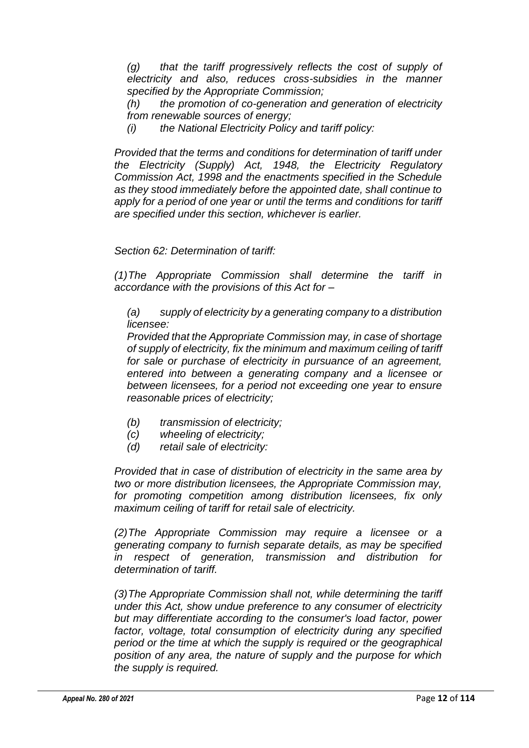*(g) that the tariff progressively reflects the cost of supply of electricity and also, reduces cross-subsidies in the manner specified by the Appropriate Commission;*

*(h) the promotion of co-generation and generation of electricity from renewable sources of energy;*

*(i) the National Electricity Policy and tariff policy:*

*Provided that the terms and conditions for determination of tariff under the Electricity (Supply) Act, 1948, the Electricity Regulatory Commission Act, 1998 and the enactments specified in the Schedule as they stood immediately before the appointed date, shall continue to apply for a period of one year or until the terms and conditions for tariff are specified under this section, whichever is earlier.*

*Section 62: Determination of tariff:*

*(1)The Appropriate Commission shall determine the tariff in accordance with the provisions of this Act for –*

*(a) supply of electricity by a generating company to a distribution licensee:*

*Provided that the Appropriate Commission may, in case of shortage of supply of electricity, fix the minimum and maximum ceiling of tariff for sale or purchase of electricity in pursuance of an agreement, entered into between a generating company and a licensee or between licensees, for a period not exceeding one year to ensure reasonable prices of electricity;*

- *(b) transmission of electricity;*
- *(c) wheeling of electricity;*
- *(d) retail sale of electricity:*

*Provided that in case of distribution of electricity in the same area by two or more distribution licensees, the Appropriate Commission may, for promoting competition among distribution licensees, fix only maximum ceiling of tariff for retail sale of electricity.*

*(2)The Appropriate Commission may require a licensee or a generating company to furnish separate details, as may be specified in respect of generation, transmission and distribution for determination of tariff.*

*(3)The Appropriate Commission shall not, while determining the tariff under this Act, show undue preference to any consumer of electricity but may differentiate according to the consumer's load factor, power factor, voltage, total consumption of electricity during any specified period or the time at which the supply is required or the geographical position of any area, the nature of supply and the purpose for which the supply is required.*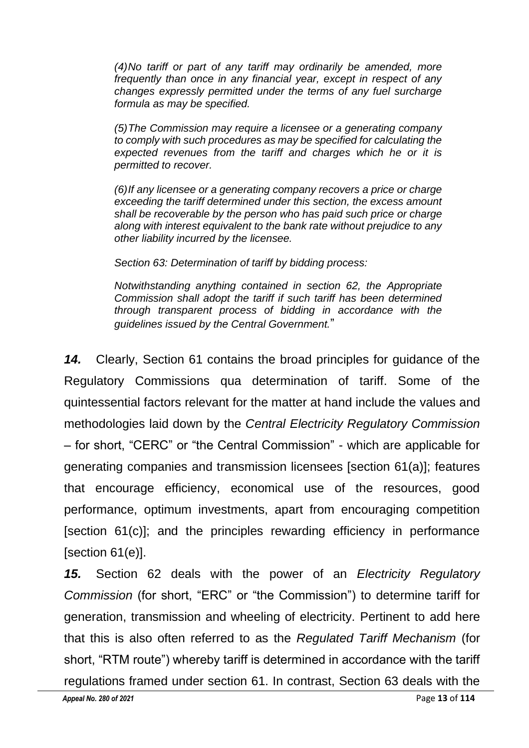*(4)No tariff or part of any tariff may ordinarily be amended, more frequently than once in any financial year, except in respect of any changes expressly permitted under the terms of any fuel surcharge formula as may be specified.*

*(5)The Commission may require a licensee or a generating company to comply with such procedures as may be specified for calculating the expected revenues from the tariff and charges which he or it is permitted to recover.*

*(6)If any licensee or a generating company recovers a price or charge exceeding the tariff determined under this section, the excess amount shall be recoverable by the person who has paid such price or charge along with interest equivalent to the bank rate without prejudice to any other liability incurred by the licensee.*

*Section 63: Determination of tariff by bidding process:*

*Notwithstanding anything contained in section 62, the Appropriate Commission shall adopt the tariff if such tariff has been determined through transparent process of bidding in accordance with the guidelines issued by the Central Government.*"

*14.* Clearly, Section 61 contains the broad principles for guidance of the Regulatory Commissions qua determination of tariff. Some of the quintessential factors relevant for the matter at hand include the values and methodologies laid down by the *Central Electricity Regulatory Commission* – for short, "CERC" or "the Central Commission" - which are applicable for generating companies and transmission licensees [section 61(a)]; features that encourage efficiency, economical use of the resources, good performance, optimum investments, apart from encouraging competition [section 61(c)]; and the principles rewarding efficiency in performance [section 61(e)].

*15.* Section 62 deals with the power of an *Electricity Regulatory Commission* (for short, "ERC" or "the Commission") to determine tariff for generation, transmission and wheeling of electricity. Pertinent to add here that this is also often referred to as the *Regulated Tariff Mechanism* (for short, "RTM route") whereby tariff is determined in accordance with the tariff regulations framed under section 61. In contrast, Section 63 deals with the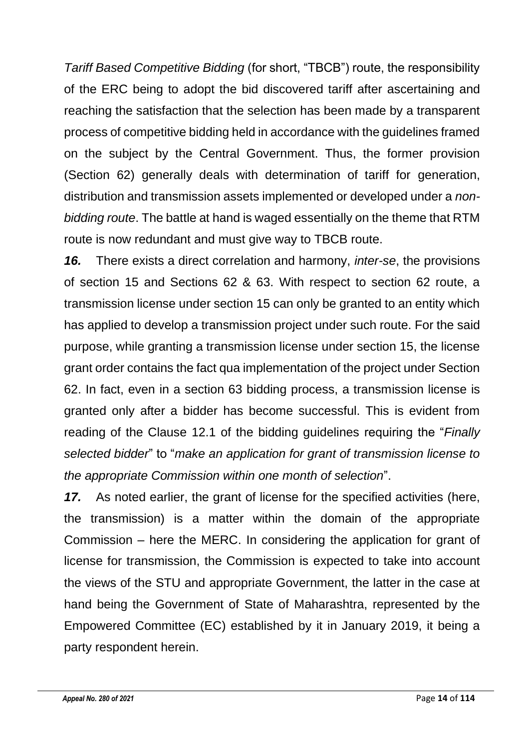*Tariff Based Competitive Bidding* (for short, "TBCB") route, the responsibility of the ERC being to adopt the bid discovered tariff after ascertaining and reaching the satisfaction that the selection has been made by a transparent process of competitive bidding held in accordance with the guidelines framed on the subject by the Central Government. Thus, the former provision (Section 62) generally deals with determination of tariff for generation, distribution and transmission assets implemented or developed under a *nonbidding route*. The battle at hand is waged essentially on the theme that RTM route is now redundant and must give way to TBCB route.

*16.* There exists a direct correlation and harmony, *inter-se*, the provisions of section 15 and Sections 62 & 63. With respect to section 62 route, a transmission license under section 15 can only be granted to an entity which has applied to develop a transmission project under such route. For the said purpose, while granting a transmission license under section 15, the license grant order contains the fact qua implementation of the project under Section 62. In fact, even in a section 63 bidding process, a transmission license is granted only after a bidder has become successful. This is evident from reading of the Clause 12.1 of the bidding guidelines requiring the "*Finally selected bidder*" to "*make an application for grant of transmission license to the appropriate Commission within one month of selection*".

*17.* As noted earlier, the grant of license for the specified activities (here, the transmission) is a matter within the domain of the appropriate Commission – here the MERC. In considering the application for grant of license for transmission, the Commission is expected to take into account the views of the STU and appropriate Government, the latter in the case at hand being the Government of State of Maharashtra, represented by the Empowered Committee (EC) established by it in January 2019, it being a party respondent herein.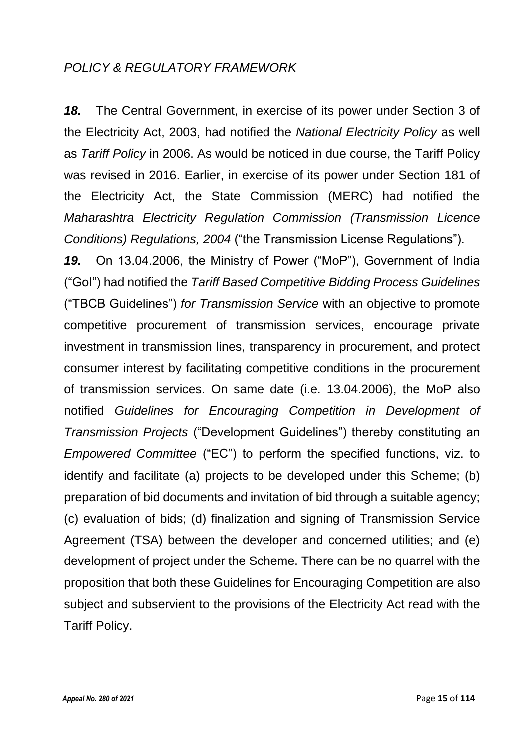# *POLICY & REGULATORY FRAMEWORK*

*18.* The Central Government, in exercise of its power under Section 3 of the Electricity Act, 2003, had notified the *National Electricity Policy* as well as *Tariff Policy* in 2006. As would be noticed in due course, the Tariff Policy was revised in 2016. Earlier, in exercise of its power under Section 181 of the Electricity Act, the State Commission (MERC) had notified the *Maharashtra Electricity Regulation Commission (Transmission Licence Conditions) Regulations, 2004* ("the Transmission License Regulations").

*19.* On 13.04.2006, the Ministry of Power ("MoP"), Government of India ("GoI") had notified the *Tariff Based Competitive Bidding Process Guidelines* ("TBCB Guidelines") *for Transmission Service* with an objective to promote competitive procurement of transmission services, encourage private investment in transmission lines, transparency in procurement, and protect consumer interest by facilitating competitive conditions in the procurement of transmission services. On same date (i.e. 13.04.2006), the MoP also notified *Guidelines for Encouraging Competition in Development of Transmission Projects* ("Development Guidelines") thereby constituting an *Empowered Committee* ("EC") to perform the specified functions, viz. to identify and facilitate (a) projects to be developed under this Scheme; (b) preparation of bid documents and invitation of bid through a suitable agency; (c) evaluation of bids; (d) finalization and signing of Transmission Service Agreement (TSA) between the developer and concerned utilities; and (e) development of project under the Scheme. There can be no quarrel with the proposition that both these Guidelines for Encouraging Competition are also subject and subservient to the provisions of the Electricity Act read with the Tariff Policy.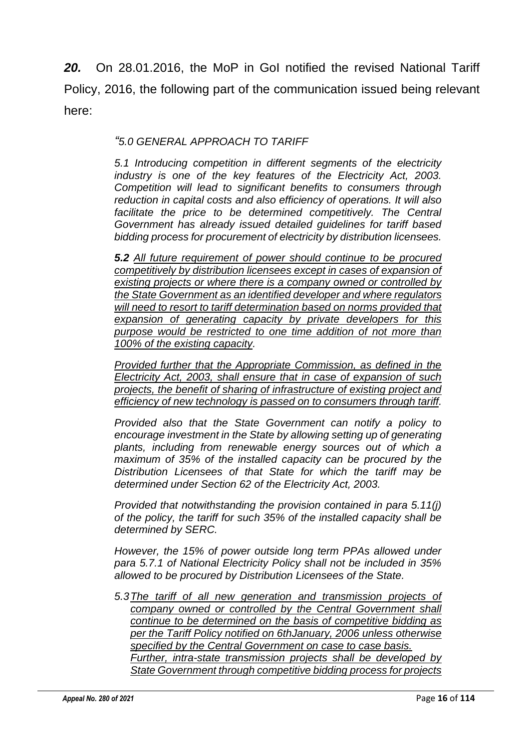*20.* On 28.01.2016, the MoP in GoI notified the revised National Tariff Policy, 2016, the following part of the communication issued being relevant here:

*"5.0 GENERAL APPROACH TO TARIFF*

*5.1 Introducing competition in different segments of the electricity industry is one of the key features of the Electricity Act, 2003. Competition will lead to significant benefits to consumers through reduction in capital costs and also efficiency of operations. It will also*  facilitate the price to be determined competitively. The Central *Government has already issued detailed guidelines for tariff based bidding process for procurement of electricity by distribution licensees.*

*5.2 All future requirement of power should continue to be procured competitively by distribution licensees except in cases of expansion of existing projects or where there is a company owned or controlled by the State Government as an identified developer and where regulators will need to resort to tariff determination based on norms provided that expansion of generating capacity by private developers for this purpose would be restricted to one time addition of not more than 100% of the existing capacity.*

*Provided further that the Appropriate Commission, as defined in the Electricity Act, 2003, shall ensure that in case of expansion of such projects, the benefit of sharing of infrastructure of existing project and efficiency of new technology is passed on to consumers through tariff.*

*Provided also that the State Government can notify a policy to encourage investment in the State by allowing setting up of generating plants, including from renewable energy sources out of which a maximum of 35% of the installed capacity can be procured by the Distribution Licensees of that State for which the tariff may be determined under Section 62 of the Electricity Act, 2003.*

*Provided that notwithstanding the provision contained in para 5.11(j) of the policy, the tariff for such 35% of the installed capacity shall be determined by SERC.*

*However, the 15% of power outside long term PPAs allowed under para 5.7.1 of National Electricity Policy shall not be included in 35% allowed to be procured by Distribution Licensees of the State.*

*5.3The tariff of all new generation and transmission projects of company owned or controlled by the Central Government shall continue to be determined on the basis of competitive bidding as per the Tariff Policy notified on 6thJanuary, 2006 unless otherwise specified by the Central Government on case to case basis. Further, intra-state transmission projects shall be developed by State Government through competitive bidding process for projects*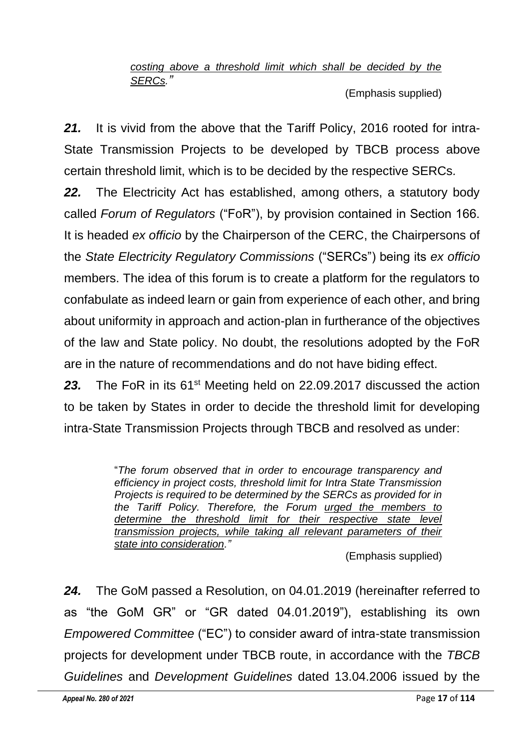# *costing above a threshold limit which shall be decided by the SERCs."*

(Emphasis supplied)

*21.* It is vivid from the above that the Tariff Policy, 2016 rooted for intra-State Transmission Projects to be developed by TBCB process above certain threshold limit, which is to be decided by the respective SERCs*.*

*22.* The Electricity Act has established, among others, a statutory body called *Forum of Regulators* ("FoR"), by provision contained in Section 166. It is headed *ex officio* by the Chairperson of the CERC, the Chairpersons of the *State Electricity Regulatory Commissions* ("SERCs") being its *ex officio*  members. The idea of this forum is to create a platform for the regulators to confabulate as indeed learn or gain from experience of each other, and bring about uniformity in approach and action-plan in furtherance of the objectives of the law and State policy. No doubt, the resolutions adopted by the FoR are in the nature of recommendations and do not have biding effect.

**23.** The FoR in its 61<sup>st</sup> Meeting held on 22.09.2017 discussed the action to be taken by States in order to decide the threshold limit for developing intra-State Transmission Projects through TBCB and resolved as under:

> "*The forum observed that in order to encourage transparency and efficiency in project costs, threshold limit for Intra State Transmission Projects is required to be determined by the SERCs as provided for in the Tariff Policy. Therefore, the Forum urged the members to determine the threshold limit for their respective state level transmission projects, while taking all relevant parameters of their state into consideration."*

(Emphasis supplied)

*24.* The GoM passed a Resolution, on 04.01.2019 (hereinafter referred to as "the GoM GR" or "GR dated 04.01.2019"), establishing its own *Empowered Committee* ("EC") to consider award of intra-state transmission projects for development under TBCB route, in accordance with the *TBCB Guidelines* and *Development Guidelines* dated 13.04.2006 issued by the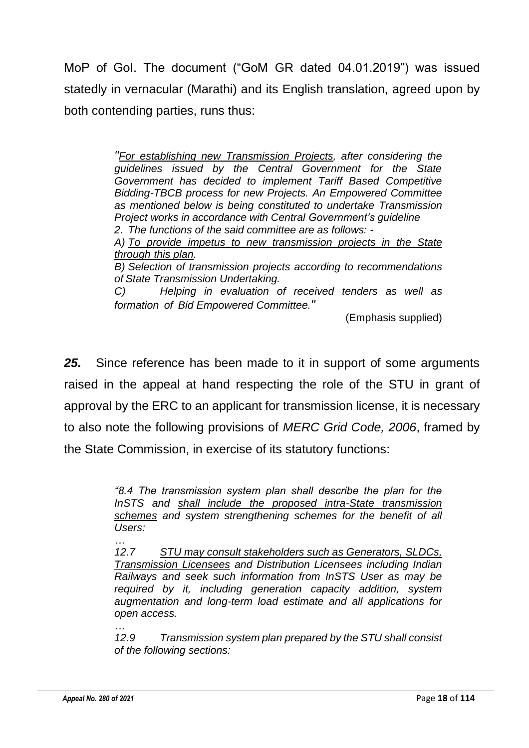MoP of GoI. The document ("GoM GR dated 04.01.2019") was issued statedly in vernacular (Marathi) and its English translation, agreed upon by both contending parties, runs thus:

> *"For establishing new Transmission Projects, after considering the guidelines issued by the Central Government for the State Government has decided to implement Tariff Based Competitive Bidding-TBCB process for new Projects. An Empowered Committee as mentioned below is being constituted to undertake Transmission Project works in accordance with Central Government's guideline 2. The functions of the said committee are as follows: - A) To provide impetus to new transmission projects in the State through this plan. B) Selection of transmission projects according to recommendations of State Transmission Undertaking. C) Helping in evaluation of received tenders as well as formation of Bid Empowered Committee."* (Emphasis supplied)

*25.* Since reference has been made to it in support of some arguments raised in the appeal at hand respecting the role of the STU in grant of approval by the ERC to an applicant for transmission license, it is necessary to also note the following provisions of *MERC Grid Code, 2006*, framed by the State Commission, in exercise of its statutory functions:

> *"8.4 The transmission system plan shall describe the plan for the InSTS and shall include the proposed intra-State transmission schemes and system strengthening schemes for the benefit of all Users:*

> *12.7 STU may consult stakeholders such as Generators, SLDCs, Transmission Licensees and Distribution Licensees including Indian Railways and seek such information from InSTS User as may be required by it, including generation capacity addition, system augmentation and long-term load estimate and all applications for open access.*

> *… 12.9 Transmission system plan prepared by the STU shall consist of the following sections:*

*…*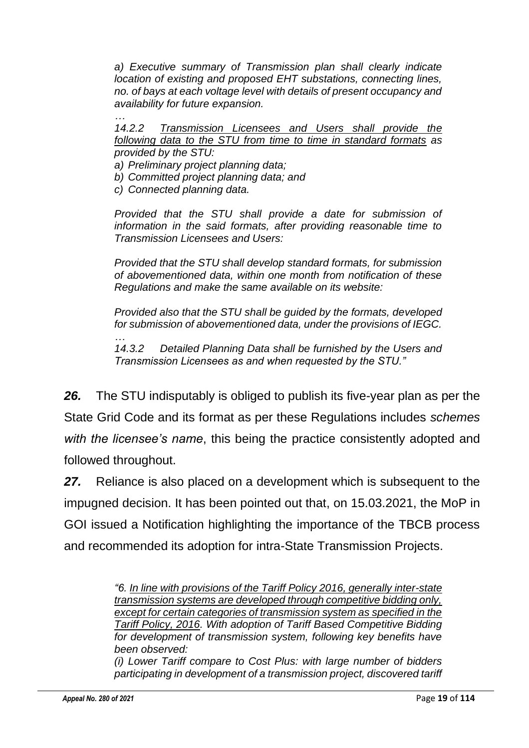*a) Executive summary of Transmission plan shall clearly indicate location of existing and proposed EHT substations, connecting lines, no. of bays at each voltage level with details of present occupancy and availability for future expansion.*

*… 14.2.2 Transmission Licensees and Users shall provide the following data to the STU from time to time in standard formats as provided by the STU:* 

*a) Preliminary project planning data;* 

*b) Committed project planning data; and* 

*c) Connected planning data.* 

*Provided that the STU shall provide a date for submission of information in the said formats, after providing reasonable time to Transmission Licensees and Users:* 

*Provided that the STU shall develop standard formats, for submission of abovementioned data, within one month from notification of these Regulations and make the same available on its website:* 

*Provided also that the STU shall be guided by the formats, developed for submission of abovementioned data, under the provisions of IEGC.*

*… 14.3.2 Detailed Planning Data shall be furnished by the Users and Transmission Licensees as and when requested by the STU."*

*26.* The STU indisputably is obliged to publish its five-year plan as per the State Grid Code and its format as per these Regulations includes *schemes with the licensee's name*, this being the practice consistently adopted and followed throughout.

*27.* Reliance is also placed on a development which is subsequent to the impugned decision. It has been pointed out that, on 15.03.2021, the MoP in GOI issued a Notification highlighting the importance of the TBCB process and recommended its adoption for intra-State Transmission Projects.

> *"6. In line with provisions of the Tariff Policy 2016, generally inter-state transmission systems are developed through competitive bidding only, except for certain categories of transmission system as specified in the Tariff Policy, 2016. With adoption of Tariff Based Competitive Bidding for development of transmission system, following key benefits have been observed:*

> *(i) Lower Tariff compare to Cost Plus: with large number of bidders participating in development of a transmission project, discovered tariff*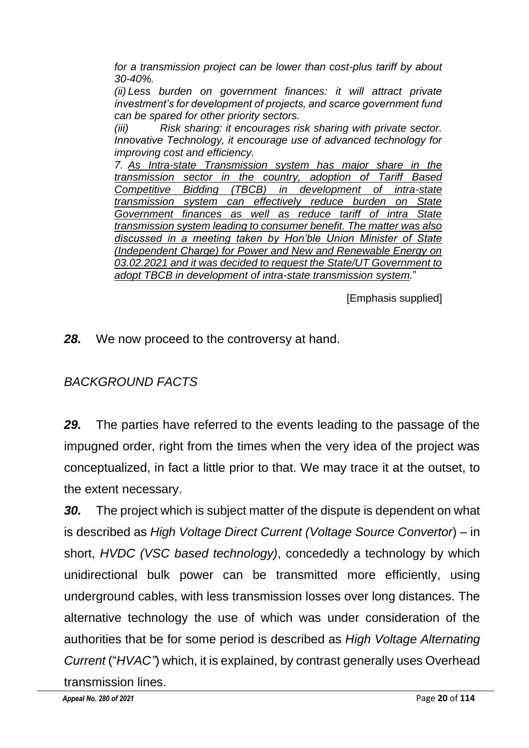*for a transmission project can be lower than cost-plus tariff by about 30-40%.*

*(ii) Less burden on government finances: it will attract private investment's for development of projects, and scarce government fund can be spared for other priority sectors.*

*(iii) Risk sharing: it encourages risk sharing with private sector. Innovative Technology, it encourage use of advanced technology for improving cost and efficiency.*

*7. As Intra-state Transmission system has major share in the transmission sector in the country, adoption of Tariff Based Competitive Bidding (TBCB) in development of intra-state transmission system can effectively reduce burden on State Government finances as well as reduce tariff of intra State transmission system leading to consumer benefit. The matter was also discussed in a meeting taken by Hon'ble Union Minister of State (Independent Charge) for Power and New and Renewable Energy on 03.02.2021 and it was decided to request the State/UT Government to adopt TBCB in development of intra-state transmission system.*"

[Emphasis supplied]

*28.* We now proceed to the controversy at hand.

# *BACKGROUND FACTS*

*29.* The parties have referred to the events leading to the passage of the impugned order, right from the times when the very idea of the project was conceptualized, in fact a little prior to that. We may trace it at the outset, to the extent necessary.

*30.* The project which is subject matter of the dispute is dependent on what is described as *High Voltage Direct Current (Voltage Source Convertor*) – in short, *HVDC (VSC based technology)*, concededly a technology by which unidirectional bulk power can be transmitted more efficiently, using underground cables, with less transmission losses over long distances. The alternative technology the use of which was under consideration of the authorities that be for some period is described as *High Voltage Alternating Current* ("*HVAC"*) which, it is explained, by contrast generally uses Overhead transmission lines.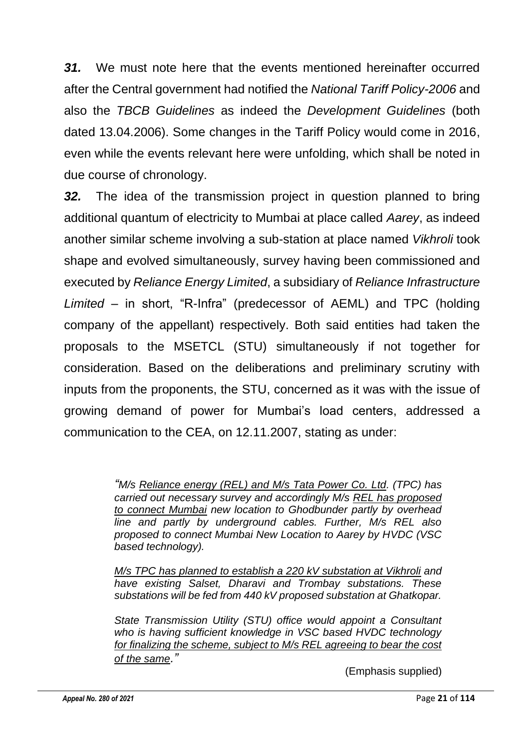*31.* We must note here that the events mentioned hereinafter occurred after the Central government had notified the *National Tariff Policy-2006* and also the *TBCB Guidelines* as indeed the *Development Guidelines* (both dated 13.04.2006). Some changes in the Tariff Policy would come in 2016, even while the events relevant here were unfolding, which shall be noted in due course of chronology.

*32.* The idea of the transmission project in question planned to bring additional quantum of electricity to Mumbai at place called *Aarey*, as indeed another similar scheme involving a sub-station at place named *Vikhroli* took shape and evolved simultaneously, survey having been commissioned and executed by *Reliance Energy Limited*, a subsidiary of *Reliance Infrastructure Limited* – in short, "R-Infra" (predecessor of AEML) and TPC (holding company of the appellant) respectively. Both said entities had taken the proposals to the MSETCL (STU) simultaneously if not together for consideration. Based on the deliberations and preliminary scrutiny with inputs from the proponents, the STU, concerned as it was with the issue of growing demand of power for Mumbai's load centers, addressed a communication to the CEA, on 12.11.2007, stating as under:

> *"M/s Reliance energy (REL) and M/s Tata Power Co. Ltd. (TPC) has carried out necessary survey and accordingly M/s REL has proposed to connect Mumbai new location to Ghodbunder partly by overhead line and partly by underground cables. Further, M/s REL also proposed to connect Mumbai New Location to Aarey by HVDC (VSC based technology).*

> *M/s TPC has planned to establish a 220 kV substation at Vikhroli and have existing Salset, Dharavi and Trombay substations. These substations will be fed from 440 kV proposed substation at Ghatkopar.*

> *State Transmission Utility (STU) office would appoint a Consultant who is having sufficient knowledge in VSC based HVDC technology for finalizing the scheme, subject to M/s REL agreeing to bear the cost of the same."*

(Emphasis supplied)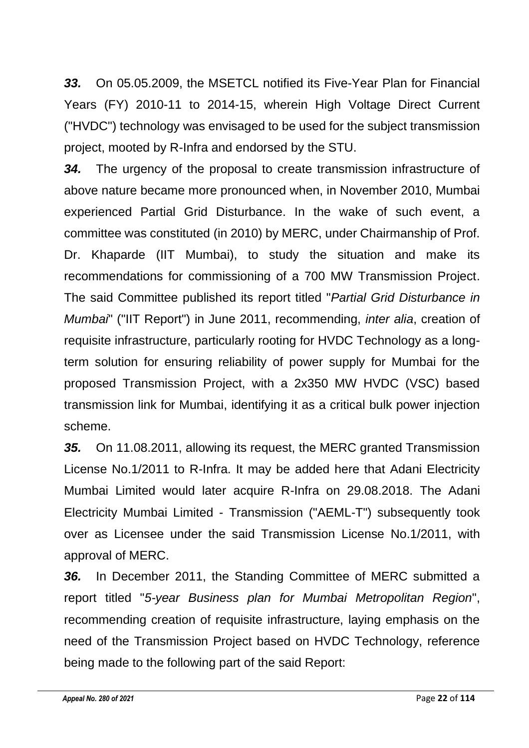*33.* On 05.05.2009, the MSETCL notified its Five-Year Plan for Financial Years (FY) 2010-11 to 2014-15, wherein High Voltage Direct Current ("HVDC") technology was envisaged to be used for the subject transmission project, mooted by R-Infra and endorsed by the STU.

*34.* The urgency of the proposal to create transmission infrastructure of above nature became more pronounced when, in November 2010, Mumbai experienced Partial Grid Disturbance. In the wake of such event, a committee was constituted (in 2010) by MERC, under Chairmanship of Prof. Dr. Khaparde (IIT Mumbai), to study the situation and make its recommendations for commissioning of a 700 MW Transmission Project. The said Committee published its report titled "*Partial Grid Disturbance in Mumbai*" ("IIT Report") in June 2011, recommending, *inter alia*, creation of requisite infrastructure, particularly rooting for HVDC Technology as a longterm solution for ensuring reliability of power supply for Mumbai for the proposed Transmission Project, with a 2x350 MW HVDC (VSC) based transmission link for Mumbai, identifying it as a critical bulk power injection scheme.

*35.* On 11.08.2011, allowing its request, the MERC granted Transmission License No.1/2011 to R-Infra. It may be added here that Adani Electricity Mumbai Limited would later acquire R-Infra on 29.08.2018. The Adani Electricity Mumbai Limited - Transmission ("AEML-T") subsequently took over as Licensee under the said Transmission License No.1/2011, with approval of MERC.

*36.* In December 2011, the Standing Committee of MERC submitted a report titled "*5-year Business plan for Mumbai Metropolitan Region*", recommending creation of requisite infrastructure, laying emphasis on the need of the Transmission Project based on HVDC Technology, reference being made to the following part of the said Report: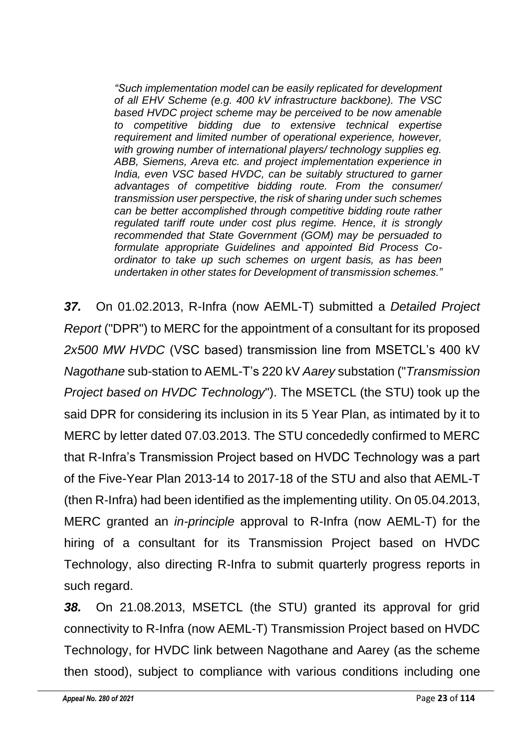*"Such implementation model can be easily replicated for development of all EHV Scheme (e.g. 400 kV infrastructure backbone). The VSC based HVDC project scheme may be perceived to be now amenable to competitive bidding due to extensive technical expertise requirement and limited number of operational experience, however, with growing number of international players/ technology supplies eg. ABB, Siemens, Areva etc. and project implementation experience in India, even VSC based HVDC, can be suitably structured to garner advantages of competitive bidding route. From the consumer/ transmission user perspective, the risk of sharing under such schemes can be better accomplished through competitive bidding route rather regulated tariff route under cost plus regime. Hence, it is strongly recommended that State Government (GOM) may be persuaded to formulate appropriate Guidelines and appointed Bid Process Coordinator to take up such schemes on urgent basis, as has been undertaken in other states for Development of transmission schemes."*

*37.* On 01.02.2013, R-Infra (now AEML-T) submitted a *Detailed Project Report* ("DPR") to MERC for the appointment of a consultant for its proposed *2x500 MW HVDC* (VSC based) transmission line from MSETCL's 400 kV *Nagothane* sub-station to AEML-T's 220 kV *Aarey* substation ("*Transmission Project based on HVDC Technology*"). The MSETCL (the STU) took up the said DPR for considering its inclusion in its 5 Year Plan, as intimated by it to MERC by letter dated 07.03.2013. The STU concededly confirmed to MERC that R-Infra's Transmission Project based on HVDC Technology was a part of the Five-Year Plan 2013-14 to 2017-18 of the STU and also that AEML-T (then R-Infra) had been identified as the implementing utility. On 05.04.2013, MERC granted an *in-principle* approval to R-Infra (now AEML-T) for the hiring of a consultant for its Transmission Project based on HVDC Technology, also directing R-Infra to submit quarterly progress reports in such regard.

*38.* On 21.08.2013, MSETCL (the STU) granted its approval for grid connectivity to R-Infra (now AEML-T) Transmission Project based on HVDC Technology, for HVDC link between Nagothane and Aarey (as the scheme then stood), subject to compliance with various conditions including one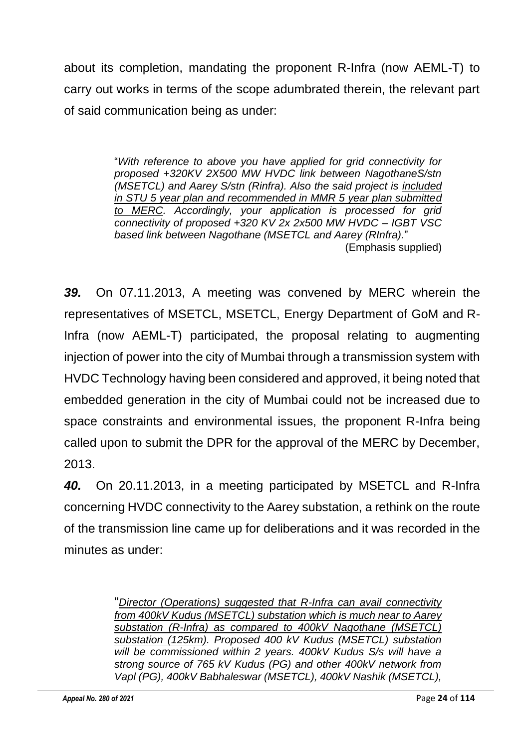about its completion, mandating the proponent R-Infra (now AEML-T) to carry out works in terms of the scope adumbrated therein, the relevant part of said communication being as under:

> "*With reference to above you have applied for grid connectivity for proposed +320KV 2X500 MW HVDC link between NagothaneS/stn (MSETCL) and Aarey S/stn (Rinfra). Also the said project is included in STU 5 year plan and recommended in MMR 5 year plan submitted to MERC. Accordingly, your application is processed for grid connectivity of proposed +320 KV 2x 2x500 MW HVDC – IGBT VSC based link between Nagothane (MSETCL and Aarey (RInfra).*" (Emphasis supplied)

*39.* On 07.11.2013, A meeting was convened by MERC wherein the representatives of MSETCL, MSETCL, Energy Department of GoM and R-Infra (now AEML-T) participated, the proposal relating to augmenting injection of power into the city of Mumbai through a transmission system with HVDC Technology having been considered and approved, it being noted that embedded generation in the city of Mumbai could not be increased due to space constraints and environmental issues, the proponent R-Infra being called upon to submit the DPR for the approval of the MERC by December, 2013.

*40.* On 20.11.2013, in a meeting participated by MSETCL and R-Infra concerning HVDC connectivity to the Aarey substation, a rethink on the route of the transmission line came up for deliberations and it was recorded in the minutes as under:

> "*Director (Operations) suggested that R-Infra can avail connectivity from 400kV Kudus (MSETCL) substation which is much near to Aarey substation (R-Infra) as compared to 400kV Nagothane (MSETCL) substation (125km). Proposed 400 kV Kudus (MSETCL) substation will be commissioned within 2 years. 400kV Kudus S/s will have a strong source of 765 kV Kudus (PG) and other 400kV network from Vapl (PG), 400kV Babhaleswar (MSETCL), 400kV Nashik (MSETCL),*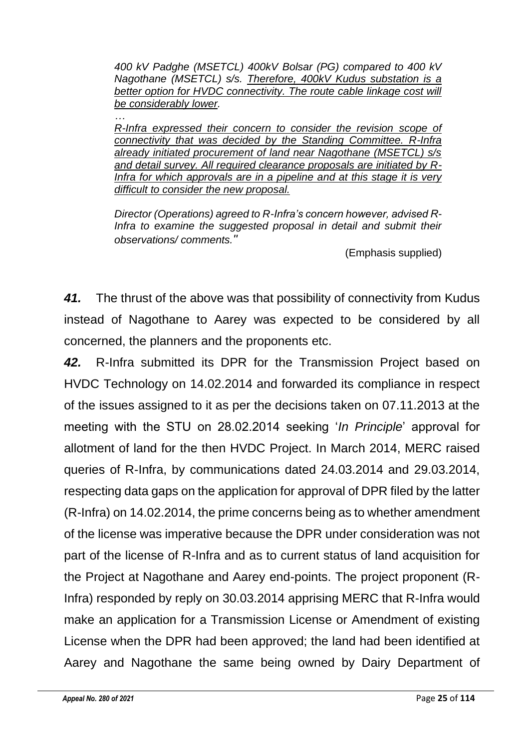*400 kV Padghe (MSETCL) 400kV Bolsar (PG) compared to 400 kV Nagothane (MSETCL) s/s. Therefore, 400kV Kudus substation is a better option for HVDC connectivity. The route cable linkage cost will be considerably lower.*

*… R-Infra expressed their concern to consider the revision scope of connectivity that was decided by the Standing Committee. R-Infra already initiated procurement of land near Nagothane (MSETCL) s/s and detail survey. All required clearance proposals are initiated by R-Infra for which approvals are in a pipeline and at this stage it is very difficult to consider the new proposal.*

*Director (Operations) agreed to R-Infra's concern however, advised R-*Infra to examine the suggested proposal in detail and submit their *observations/ comments."*

(Emphasis supplied)

*41.* The thrust of the above was that possibility of connectivity from Kudus instead of Nagothane to Aarey was expected to be considered by all concerned, the planners and the proponents etc.

*42.* R-Infra submitted its DPR for the Transmission Project based on HVDC Technology on 14.02.2014 and forwarded its compliance in respect of the issues assigned to it as per the decisions taken on 07.11.2013 at the meeting with the STU on 28.02.2014 seeking '*In Principle*' approval for allotment of land for the then HVDC Project. In March 2014, MERC raised queries of R-Infra, by communications dated 24.03.2014 and 29.03.2014, respecting data gaps on the application for approval of DPR filed by the latter (R-Infra) on 14.02.2014, the prime concerns being as to whether amendment of the license was imperative because the DPR under consideration was not part of the license of R-Infra and as to current status of land acquisition for the Project at Nagothane and Aarey end-points. The project proponent (R-Infra) responded by reply on 30.03.2014 apprising MERC that R-Infra would make an application for a Transmission License or Amendment of existing License when the DPR had been approved; the land had been identified at Aarey and Nagothane the same being owned by Dairy Department of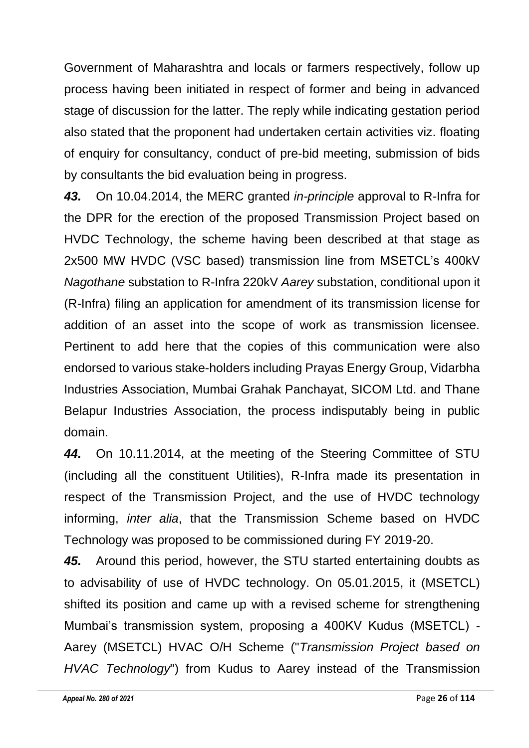Government of Maharashtra and locals or farmers respectively, follow up process having been initiated in respect of former and being in advanced stage of discussion for the latter. The reply while indicating gestation period also stated that the proponent had undertaken certain activities viz. floating of enquiry for consultancy, conduct of pre-bid meeting, submission of bids by consultants the bid evaluation being in progress.

*43.* On 10.04.2014, the MERC granted *in-principle* approval to R-Infra for the DPR for the erection of the proposed Transmission Project based on HVDC Technology, the scheme having been described at that stage as 2x500 MW HVDC (VSC based) transmission line from MSETCL's 400kV *Nagothane* substation to R-Infra 220kV *Aarey* substation, conditional upon it (R-Infra) filing an application for amendment of its transmission license for addition of an asset into the scope of work as transmission licensee. Pertinent to add here that the copies of this communication were also endorsed to various stake-holders including Prayas Energy Group, Vidarbha Industries Association, Mumbai Grahak Panchayat, SICOM Ltd. and Thane Belapur Industries Association, the process indisputably being in public domain.

*44.* On 10.11.2014, at the meeting of the Steering Committee of STU (including all the constituent Utilities), R-Infra made its presentation in respect of the Transmission Project, and the use of HVDC technology informing, *inter alia*, that the Transmission Scheme based on HVDC Technology was proposed to be commissioned during FY 2019-20.

*45.* Around this period, however, the STU started entertaining doubts as to advisability of use of HVDC technology. On 05.01.2015, it (MSETCL) shifted its position and came up with a revised scheme for strengthening Mumbai's transmission system, proposing a 400KV Kudus (MSETCL) - Aarey (MSETCL) HVAC O/H Scheme ("*Transmission Project based on HVAC Technology*") from Kudus to Aarey instead of the Transmission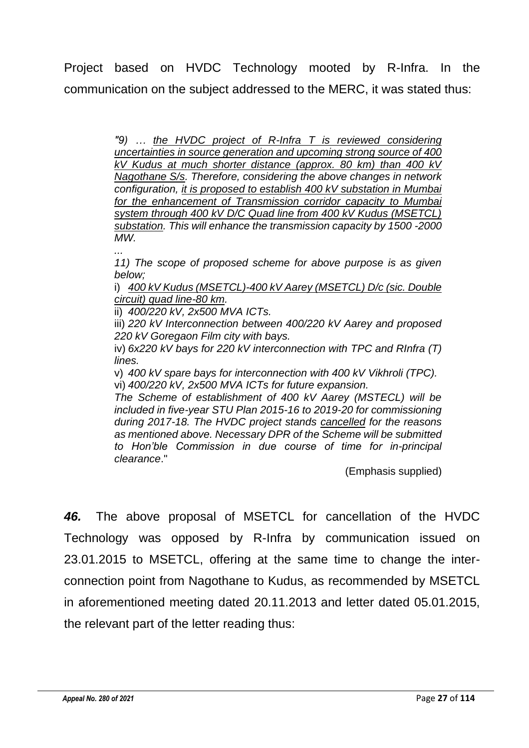Project based on HVDC Technology mooted by R-Infra. In the communication on the subject addressed to the MERC, it was stated thus:

> *"9) … the HVDC project of R-Infra T is reviewed considering uncertainties in source generation and upcoming strong source of 400 kV Kudus at much shorter distance (approx. 80 km) than 400 kV Nagothane S/s. Therefore, considering the above changes in network configuration, it is proposed to establish 400 kV substation in Mumbai for the enhancement of Transmission corridor capacity to Mumbai system through 400 kV D/C Quad line from 400 kV Kudus (MSETCL) substation. This will enhance the transmission capacity by 1500 -2000 MW.*

*...*

*11) The scope of proposed scheme for above purpose is as given below;*

i) *400 kV Kudus (MSETCL)-400 kV Aarey (MSETCL) D/c (sic. Double circuit) quad line-80 km.*

ii) *400/220 kV, 2x500 MVA ICTs.*

iii) *220 kV Interconnection between 400/220 kV Aarey and proposed 220 kV Goregaon Film city with bays.*

iv) *6x220 kV bays for 220 kV interconnection with TPC and RInfra (T) lines.*

v) *400 kV spare bays for interconnection with 400 kV Vikhroli (TPC).* vi) *400/220 kV, 2x500 MVA ICTs for future expansion.*

*The Scheme of establishment of 400 kV Aarey (MSTECL) will be included in five-year STU Plan 2015-16 to 2019-20 for commissioning during 2017-18. The HVDC project stands cancelled for the reasons as mentioned above. Necessary DPR of the Scheme will be submitted to Hon'ble Commission in due course of time for in-principal clearance*."

(Emphasis supplied)

*46.* The above proposal of MSETCL for cancellation of the HVDC Technology was opposed by R-Infra by communication issued on 23.01.2015 to MSETCL, offering at the same time to change the interconnection point from Nagothane to Kudus, as recommended by MSETCL in aforementioned meeting dated 20.11.2013 and letter dated 05.01.2015, the relevant part of the letter reading thus: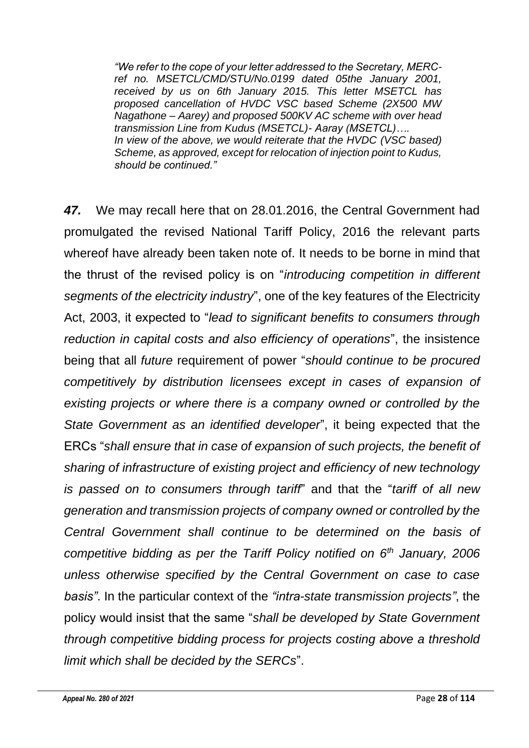*"We refer to the cope of your letter addressed to the Secretary, MERCref no. MSETCL/CMD/STU/No.0199 dated 05the January 2001, received by us on 6th January 2015. This letter MSETCL has proposed cancellation of HVDC VSC based Scheme (2X500 MW Nagathone – Aarey) and proposed 500KV AC scheme with over head transmission Line from Kudus (MSETCL)- Aaray (MSETCL)…. In view of the above, we would reiterate that the HVDC (VSC based) Scheme, as approved, except for relocation of injection point to Kudus, should be continued."*

*47.* We may recall here that on 28.01.2016, the Central Government had promulgated the revised National Tariff Policy, 2016 the relevant parts whereof have already been taken note of. It needs to be borne in mind that the thrust of the revised policy is on "*introducing competition in different segments of the electricity industry*", one of the key features of the Electricity Act, 2003, it expected to "*lead to significant benefits to consumers through reduction in capital costs and also efficiency of operations*", the insistence being that all *future* requirement of power "*should continue to be procured competitively by distribution licensees except in cases of expansion of existing projects or where there is a company owned or controlled by the State Government as an identified developer*", it being expected that the ERCs "*shall ensure that in case of expansion of such projects, the benefit of sharing of infrastructure of existing project and efficiency of new technology is passed on to consumers through tariff*" and that the "*tariff of all new generation and transmission projects of company owned or controlled by the Central Government shall continue to be determined on the basis of competitive bidding as per the Tariff Policy notified on 6th January, 2006 unless otherwise specified by the Central Government on case to case basis"*. In the particular context of the *"intra-state transmission projects"*, the policy would insist that the same "*shall be developed by State Government through competitive bidding process for projects costing above a threshold limit which shall be decided by the SERCs*".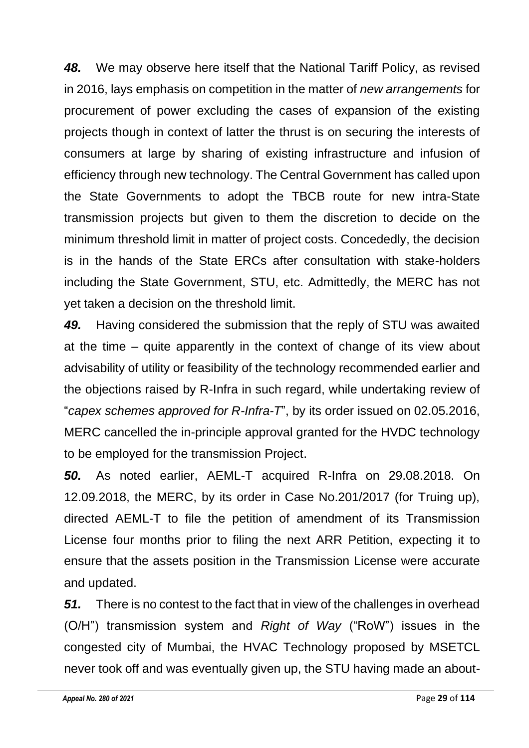*48.* We may observe here itself that the National Tariff Policy, as revised in 2016, lays emphasis on competition in the matter of *new arrangements* for procurement of power excluding the cases of expansion of the existing projects though in context of latter the thrust is on securing the interests of consumers at large by sharing of existing infrastructure and infusion of efficiency through new technology. The Central Government has called upon the State Governments to adopt the TBCB route for new intra-State transmission projects but given to them the discretion to decide on the minimum threshold limit in matter of project costs. Concededly, the decision is in the hands of the State ERCs after consultation with stake-holders including the State Government, STU, etc. Admittedly, the MERC has not yet taken a decision on the threshold limit.

*49.* Having considered the submission that the reply of STU was awaited at the time – quite apparently in the context of change of its view about advisability of utility or feasibility of the technology recommended earlier and the objections raised by R-Infra in such regard, while undertaking review of "*capex schemes approved for R-Infra-T*", by its order issued on 02.05.2016, MERC cancelled the in-principle approval granted for the HVDC technology to be employed for the transmission Project.

*50.* As noted earlier, AEML-T acquired R-Infra on 29.08.2018. On 12.09.2018, the MERC, by its order in Case No.201/2017 (for Truing up), directed AEML-T to file the petition of amendment of its Transmission License four months prior to filing the next ARR Petition, expecting it to ensure that the assets position in the Transmission License were accurate and updated.

*51.* There is no contest to the fact that in view of the challenges in overhead (O/H") transmission system and *Right of Way* ("RoW") issues in the congested city of Mumbai, the HVAC Technology proposed by MSETCL never took off and was eventually given up, the STU having made an about-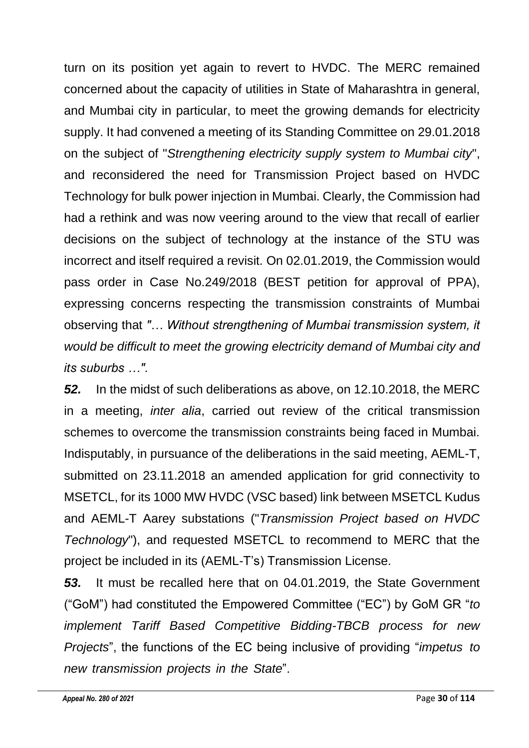turn on its position yet again to revert to HVDC. The MERC remained concerned about the capacity of utilities in State of Maharashtra in general, and Mumbai city in particular, to meet the growing demands for electricity supply. It had convened a meeting of its Standing Committee on 29.01.2018 on the subject of "*Strengthening electricity supply system to Mumbai city*", and reconsidered the need for Transmission Project based on HVDC Technology for bulk power injection in Mumbai. Clearly, the Commission had had a rethink and was now veering around to the view that recall of earlier decisions on the subject of technology at the instance of the STU was incorrect and itself required a revisit. On 02.01.2019, the Commission would pass order in Case No.249/2018 (BEST petition for approval of PPA), expressing concerns respecting the transmission constraints of Mumbai observing that *"… Without strengthening of Mumbai transmission system, it would be difficult to meet the growing electricity demand of Mumbai city and its suburbs …"*.

*52.* In the midst of such deliberations as above, on 12.10.2018, the MERC in a meeting, *inter alia*, carried out review of the critical transmission schemes to overcome the transmission constraints being faced in Mumbai. Indisputably, in pursuance of the deliberations in the said meeting, AEML-T, submitted on 23.11.2018 an amended application for grid connectivity to MSETCL, for its 1000 MW HVDC (VSC based) link between MSETCL Kudus and AEML-T Aarey substations ("*Transmission Project based on HVDC Technology*"), and requested MSETCL to recommend to MERC that the project be included in its (AEML-T's) Transmission License.

*53.* It must be recalled here that on 04.01.2019, the State Government ("GoM") had constituted the Empowered Committee ("EC") by GoM GR "*to implement Tariff Based Competitive Bidding-TBCB process for new Projects*", the functions of the EC being inclusive of providing "*impetus to new transmission projects in the State*".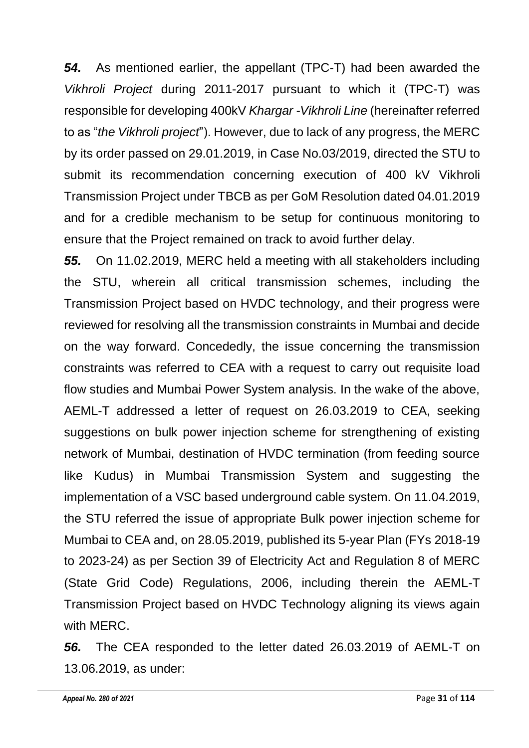*54.* As mentioned earlier, the appellant (TPC-T) had been awarded the *Vikhroli Project* during 2011-2017 pursuant to which it (TPC-T) was responsible for developing 400kV *Khargar -Vikhroli Line* (hereinafter referred to as "*the Vikhroli project*"). However, due to lack of any progress, the MERC by its order passed on 29.01.2019, in Case No.03/2019, directed the STU to submit its recommendation concerning execution of 400 kV Vikhroli Transmission Project under TBCB as per GoM Resolution dated 04.01.2019 and for a credible mechanism to be setup for continuous monitoring to ensure that the Project remained on track to avoid further delay.

*55.* On 11.02.2019, MERC held a meeting with all stakeholders including the STU, wherein all critical transmission schemes, including the Transmission Project based on HVDC technology, and their progress were reviewed for resolving all the transmission constraints in Mumbai and decide on the way forward. Concededly, the issue concerning the transmission constraints was referred to CEA with a request to carry out requisite load flow studies and Mumbai Power System analysis. In the wake of the above, AEML-T addressed a letter of request on 26.03.2019 to CEA, seeking suggestions on bulk power injection scheme for strengthening of existing network of Mumbai, destination of HVDC termination (from feeding source like Kudus) in Mumbai Transmission System and suggesting the implementation of a VSC based underground cable system. On 11.04.2019, the STU referred the issue of appropriate Bulk power injection scheme for Mumbai to CEA and, on 28.05.2019, published its 5-year Plan (FYs 2018-19 to 2023-24) as per Section 39 of Electricity Act and Regulation 8 of MERC (State Grid Code) Regulations, 2006, including therein the AEML-T Transmission Project based on HVDC Technology aligning its views again with MERC.

*56.* The CEA responded to the letter dated 26.03.2019 of AEML-T on 13.06.2019, as under: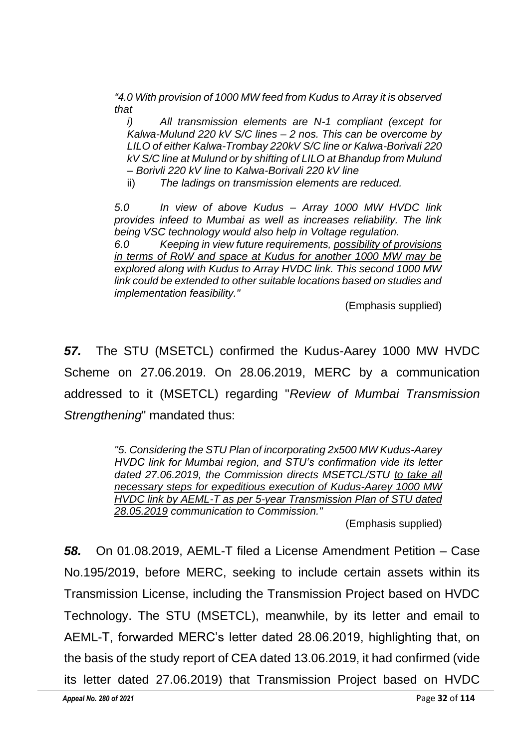*"4.0 With provision of 1000 MW feed from Kudus to Array it is observed that*

*i) All transmission elements are N-1 compliant (except for Kalwa-Mulund 220 kV S/C lines – 2 nos. This can be overcome by LILO of either Kalwa-Trombay 220kV S/C line or Kalwa-Borivali 220 kV S/C line at Mulund or by shifting of LILO at Bhandup from Mulund – Borivli 220 kV line to Kalwa-Borivali 220 kV line*

ii) *The ladings on transmission elements are reduced.*

*5.0 In view of above Kudus – Array 1000 MW HVDC link provides infeed to Mumbai as well as increases reliability. The link being VSC technology would also help in Voltage regulation. 6.0 Keeping in view future requirements, possibility of provisions in terms of RoW and space at Kudus for another 1000 MW may be explored along with Kudus to Array HVDC link. This second 1000 MW link could be extended to other suitable locations based on studies and implementation feasibility."*

(Emphasis supplied)

*57.* The STU (MSETCL) confirmed the Kudus-Aarey 1000 MW HVDC Scheme on 27.06.2019. On 28.06.2019, MERC by a communication addressed to it (MSETCL) regarding "*Review of Mumbai Transmission Strengthening*" mandated thus:

> *"5. Considering the STU Plan of incorporating 2x500 MW Kudus-Aarey HVDC link for Mumbai region, and STU's confirmation vide its letter dated 27.06.2019, the Commission directs MSETCL/STU to take all necessary steps for expeditious execution of Kudus-Aarey 1000 MW HVDC link by AEML-T as per 5-year Transmission Plan of STU dated 28.05.2019 communication to Commission."*

> > (Emphasis supplied)

*58.* On 01.08.2019, AEML-T filed a License Amendment Petition – Case No.195/2019, before MERC, seeking to include certain assets within its Transmission License, including the Transmission Project based on HVDC Technology. The STU (MSETCL), meanwhile, by its letter and email to AEML-T, forwarded MERC's letter dated 28.06.2019, highlighting that, on the basis of the study report of CEA dated 13.06.2019, it had confirmed (vide its letter dated 27.06.2019) that Transmission Project based on HVDC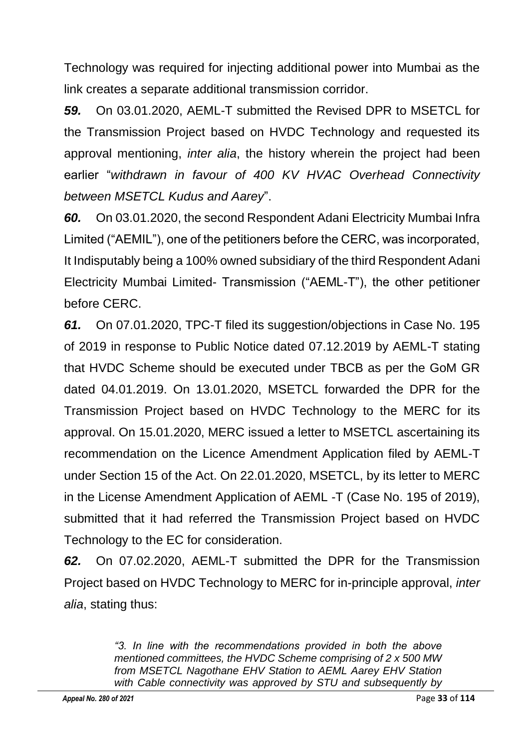Technology was required for injecting additional power into Mumbai as the link creates a separate additional transmission corridor.

*59.* On 03.01.2020, AEML-T submitted the Revised DPR to MSETCL for the Transmission Project based on HVDC Technology and requested its approval mentioning, *inter alia*, the history wherein the project had been earlier "*withdrawn in favour of 400 KV HVAC Overhead Connectivity between MSETCL Kudus and Aarey*".

*60.* On 03.01.2020, the second Respondent Adani Electricity Mumbai Infra Limited ("AEMIL"), one of the petitioners before the CERC, was incorporated, It Indisputably being a 100% owned subsidiary of the third Respondent Adani Electricity Mumbai Limited- Transmission ("AEML-T"), the other petitioner before CERC.

*61.* On 07.01.2020, TPC-T filed its suggestion/objections in Case No. 195 of 2019 in response to Public Notice dated 07.12.2019 by AEML-T stating that HVDC Scheme should be executed under TBCB as per the GoM GR dated 04.01.2019. On 13.01.2020, MSETCL forwarded the DPR for the Transmission Project based on HVDC Technology to the MERC for its approval. On 15.01.2020, MERC issued a letter to MSETCL ascertaining its recommendation on the Licence Amendment Application filed by AEML-T under Section 15 of the Act. On 22.01.2020, MSETCL, by its letter to MERC in the License Amendment Application of AEML -T (Case No. 195 of 2019), submitted that it had referred the Transmission Project based on HVDC Technology to the EC for consideration.

*62.* On 07.02.2020, AEML-T submitted the DPR for the Transmission Project based on HVDC Technology to MERC for in-principle approval, *inter alia*, stating thus:

> *"3. In line with the recommendations provided in both the above mentioned committees, the HVDC Scheme comprising of 2 x 500 MW from MSETCL Nagothane EHV Station to AEML Aarey EHV Station with Cable connectivity was approved by STU and subsequently by*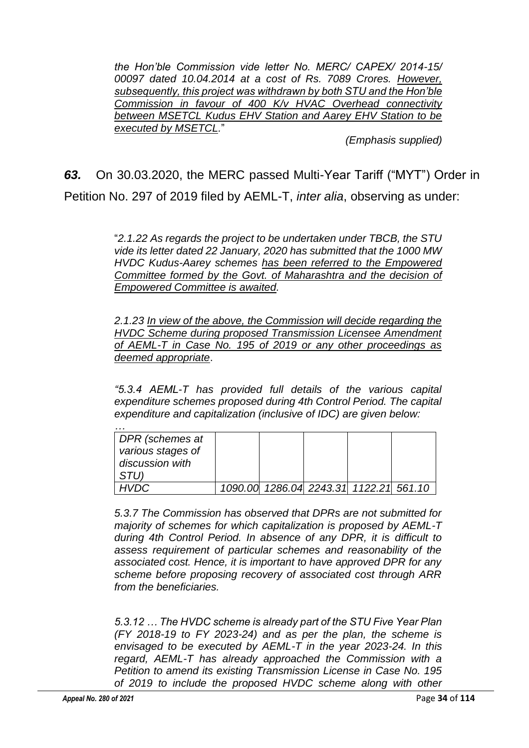*the Hon'ble Commission vide letter No. MERC/ CAPEX/ 2014-15/ 00097 dated 10.04.2014 at a cost of Rs. 7089 Crores. However, subsequently, this project was withdrawn by both STU and the Hon'ble Commission in favour of 400 K/v HVAC Overhead connectivity between MSETCL Kudus EHV Station and Aarey EHV Station to be executed by MSETCL.*"

*(Emphasis supplied)*

*63.* On 30.03.2020, the MERC passed Multi-Year Tariff ("MYT") Order in Petition No. 297 of 2019 filed by AEML-T, *inter alia*, observing as under:

> "*2.1.22 As regards the project to be undertaken under TBCB, the STU vide its letter dated 22 January, 2020 has submitted that the 1000 MW HVDC Kudus-Aarey schemes has been referred to the Empowered Committee formed by the Govt. of Maharashtra and the decision of Empowered Committee is awaited.*

> *2.1.23 In view of the above, the Commission will decide regarding the HVDC Scheme during proposed Transmission Licensee Amendment of AEML-T in Case No. 195 of 2019 or any other proceedings as deemed appropriate*.

> *"5.3.4 AEML-T has provided full details of the various capital expenditure schemes proposed during 4th Control Period. The capital expenditure and capitalization (inclusive of IDC) are given below:*

| DPR (schemes at   |                                        |  |  |
|-------------------|----------------------------------------|--|--|
| various stages of |                                        |  |  |
| discussion with   |                                        |  |  |
| STU)              |                                        |  |  |
| <b>HVDC</b>       | 1090.00 1286.04 2243.31 1122.21 561.10 |  |  |

*5.3.7 The Commission has observed that DPRs are not submitted for majority of schemes for which capitalization is proposed by AEML-T during 4th Control Period. In absence of any DPR, it is difficult to assess requirement of particular schemes and reasonability of the associated cost. Hence, it is important to have approved DPR for any scheme before proposing recovery of associated cost through ARR from the beneficiaries.*

*5.3.12 … The HVDC scheme is already part of the STU Five Year Plan (FY 2018-19 to FY 2023-24) and as per the plan, the scheme is envisaged to be executed by AEML-T in the year 2023-24. In this regard, AEML-T has already approached the Commission with a Petition to amend its existing Transmission License in Case No. 195 of 2019 to include the proposed HVDC scheme along with other*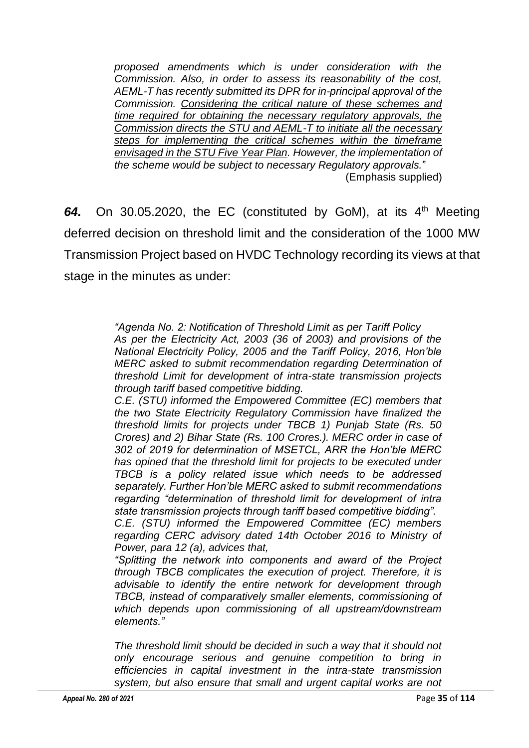*proposed amendments which is under consideration with the Commission. Also, in order to assess its reasonability of the cost, AEML-T has recently submitted its DPR for in-principal approval of the Commission. Considering the critical nature of these schemes and time required for obtaining the necessary regulatory approvals, the Commission directs the STU and AEML-T to initiate all the necessary steps for implementing the critical schemes within the timeframe envisaged in the STU Five Year Plan. However, the implementation of the scheme would be subject to necessary Regulatory approvals.*" (Emphasis supplied)

**64.** On 30.05.2020, the EC (constituted by GoM), at its 4<sup>th</sup> Meeting deferred decision on threshold limit and the consideration of the 1000 MW Transmission Project based on HVDC Technology recording its views at that stage in the minutes as under:

> *"Agenda No. 2: Notification of Threshold Limit as per Tariff Policy As per the Electricity Act, 2003 (36 of 2003) and provisions of the National Electricity Policy, 2005 and the Tariff Policy, 2016, Hon'ble MERC asked to submit recommendation regarding Determination of threshold Limit for development of intra-state transmission projects through tariff based competitive bidding.*

> *C.E. (STU) informed the Empowered Committee (EC) members that the two State Electricity Regulatory Commission have finalized the threshold limits for projects under TBCB 1) Punjab State (Rs. 50 Crores) and 2) Bihar State (Rs. 100 Crores.). MERC order in case of 302 of 2019 for determination of MSETCL, ARR the Hon'ble MERC has opined that the threshold limit for projects to be executed under TBCB is a policy related issue which needs to be addressed separately. Further Hon'ble MERC asked to submit recommendations regarding "determination of threshold limit for development of intra state transmission projects through tariff based competitive bidding". C.E. (STU) informed the Empowered Committee (EC) members*

> *regarding CERC advisory dated 14th October 2016 to Ministry of Power, para 12 (a), advices that,*

> *"Splitting the network into components and award of the Project through TBCB complicates the execution of project. Therefore, it is advisable to identify the entire network for development through TBCB, instead of comparatively smaller elements, commissioning of which depends upon commissioning of all upstream/downstream elements."*

> *The threshold limit should be decided in such a way that it should not only encourage serious and genuine competition to bring in efficiencies in capital investment in the intra-state transmission system, but also ensure that small and urgent capital works are not*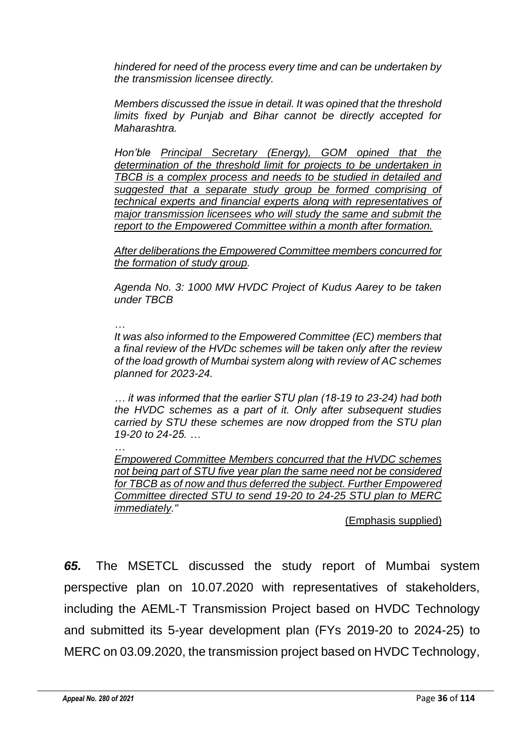*hindered for need of the process every time and can be undertaken by the transmission licensee directly.*

*Members discussed the issue in detail. It was opined that the threshold limits fixed by Punjab and Bihar cannot be directly accepted for Maharashtra.*

*Hon'ble Principal Secretary (Energy), GOM opined that the determination of the threshold limit for projects to be undertaken in TBCB is a complex process and needs to be studied in detailed and suggested that a separate study group be formed comprising of technical experts and financial experts along with representatives of major transmission licensees who will study the same and submit the report to the Empowered Committee within a month after formation.*

*After deliberations the Empowered Committee members concurred for the formation of study group.*

*Agenda No. 3: 1000 MW HVDC Project of Kudus Aarey to be taken under TBCB*

*…*

*It was also informed to the Empowered Committee (EC) members that a final review of the HVDc schemes will be taken only after the review of the load growth of Mumbai system along with review of AC schemes planned for 2023-24.*

*… it was informed that the earlier STU plan (18-19 to 23-24) had both the HVDC schemes as a part of it. Only after subsequent studies carried by STU these schemes are now dropped from the STU plan 19-20 to 24-25. …*

*… Empowered Committee Members concurred that the HVDC schemes not being part of STU five year plan the same need not be considered for TBCB as of now and thus deferred the subject. Further Empowered Committee directed STU to send 19-20 to 24-25 STU plan to MERC immediately."*

(Emphasis supplied)

*65.* The MSETCL discussed the study report of Mumbai system perspective plan on 10.07.2020 with representatives of stakeholders, including the AEML-T Transmission Project based on HVDC Technology and submitted its 5-year development plan (FYs 2019-20 to 2024-25) to MERC on 03.09.2020, the transmission project based on HVDC Technology,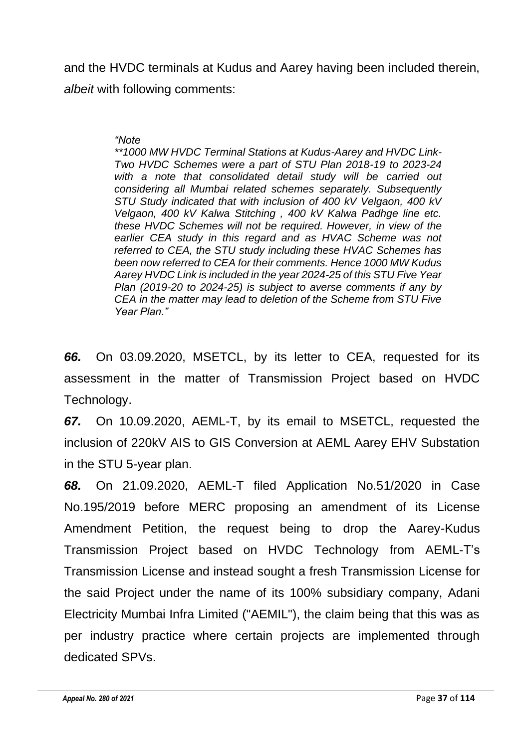and the HVDC terminals at Kudus and Aarey having been included therein, *albeit* with following comments:

### *"Note*

*\*\*1000 MW HVDC Terminal Stations at Kudus-Aarey and HVDC Link-Two HVDC Schemes were a part of STU Plan 2018-19 to 2023-24 with a note that consolidated detail study will be carried out considering all Mumbai related schemes separately. Subsequently STU Study indicated that with inclusion of 400 kV Velgaon, 400 kV Velgaon, 400 kV Kalwa Stitching , 400 kV Kalwa Padhge line etc. these HVDC Schemes will not be required. However, in view of the earlier CEA study in this regard and as HVAC Scheme was not referred to CEA, the STU study including these HVAC Schemes has been now referred to CEA for their comments. Hence 1000 MW Kudus Aarey HVDC Link is included in the year 2024-25 of this STU Five Year Plan (2019-20 to 2024-25) is subject to averse comments if any by CEA in the matter may lead to deletion of the Scheme from STU Five Year Plan."*

*66.* On 03.09.2020, MSETCL, by its letter to CEA, requested for its assessment in the matter of Transmission Project based on HVDC Technology.

*67.* On 10.09.2020, AEML-T, by its email to MSETCL, requested the inclusion of 220kV AIS to GIS Conversion at AEML Aarey EHV Substation in the STU 5-year plan.

*68.* On 21.09.2020, AEML-T filed Application No.51/2020 in Case No.195/2019 before MERC proposing an amendment of its License Amendment Petition, the request being to drop the Aarey-Kudus Transmission Project based on HVDC Technology from AEML-T's Transmission License and instead sought a fresh Transmission License for the said Project under the name of its 100% subsidiary company, Adani Electricity Mumbai Infra Limited ("AEMIL"), the claim being that this was as per industry practice where certain projects are implemented through dedicated SPVs.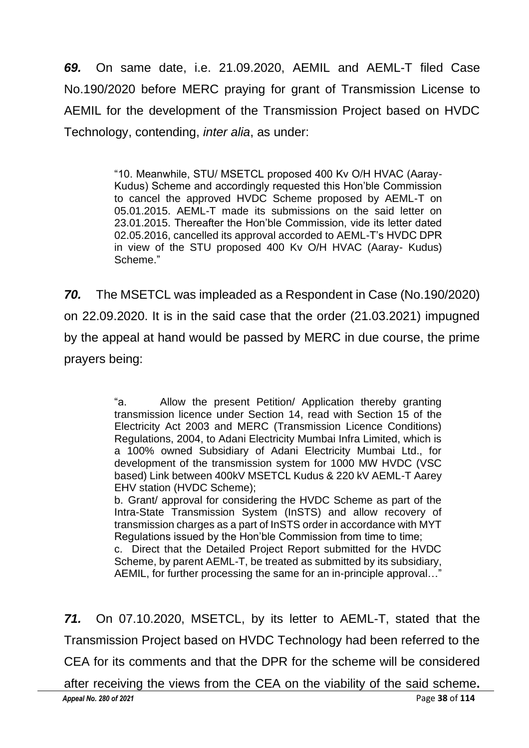*69.* On same date, i.e. 21.09.2020, AEMIL and AEML-T filed Case No.190/2020 before MERC praying for grant of Transmission License to AEMIL for the development of the Transmission Project based on HVDC Technology, contending, *inter alia*, as under:

> "10. Meanwhile, STU/ MSETCL proposed 400 Kv O/H HVAC (Aaray-Kudus) Scheme and accordingly requested this Hon'ble Commission to cancel the approved HVDC Scheme proposed by AEML-T on 05.01.2015. AEML-T made its submissions on the said letter on 23.01.2015. Thereafter the Hon'ble Commission, vide its letter dated 02.05.2016, cancelled its approval accorded to AEML-T's HVDC DPR in view of the STU proposed 400 Kv O/H HVAC (Aaray- Kudus) Scheme."

*70.* The MSETCL was impleaded as a Respondent in Case (No.190/2020) on 22.09.2020. It is in the said case that the order (21.03.2021) impugned by the appeal at hand would be passed by MERC in due course, the prime prayers being:

> "a. Allow the present Petition/ Application thereby granting transmission licence under Section 14, read with Section 15 of the Electricity Act 2003 and MERC (Transmission Licence Conditions) Regulations, 2004, to Adani Electricity Mumbai Infra Limited, which is a 100% owned Subsidiary of Adani Electricity Mumbai Ltd., for development of the transmission system for 1000 MW HVDC (VSC based) Link between 400kV MSETCL Kudus & 220 kV AEML-T Aarey EHV station (HVDC Scheme);

> b. Grant/ approval for considering the HVDC Scheme as part of the Intra-State Transmission System (InSTS) and allow recovery of transmission charges as a part of InSTS order in accordance with MYT Regulations issued by the Hon'ble Commission from time to time; c. Direct that the Detailed Project Report submitted for the HVDC Scheme, by parent AEML-T, be treated as submitted by its subsidiary, AEMIL, for further processing the same for an in-principle approval…"

*71.* On 07.10.2020, MSETCL, by its letter to AEML-T, stated that the Transmission Project based on HVDC Technology had been referred to the CEA for its comments and that the DPR for the scheme will be considered after receiving the views from the CEA on the viability of the said scheme**.**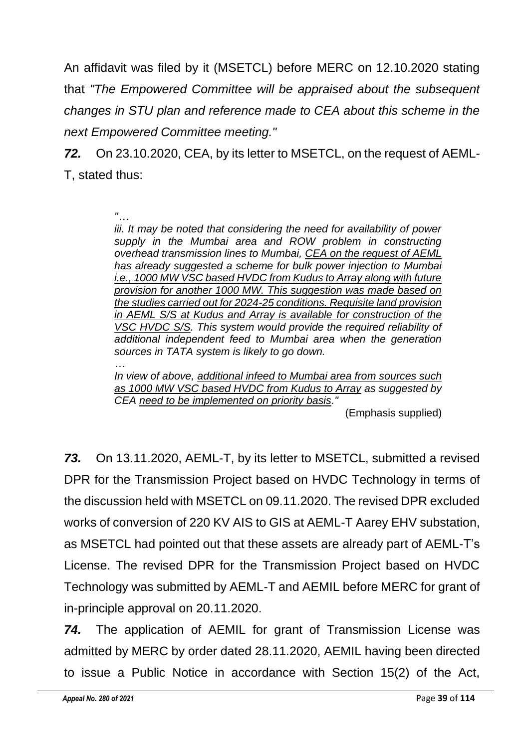An affidavit was filed by it (MSETCL) before MERC on 12.10.2020 stating that *"The Empowered Committee will be appraised about the subsequent changes in STU plan and reference made to CEA about this scheme in the next Empowered Committee meeting."*

*72.* On 23.10.2020, CEA, by its letter to MSETCL, on the request of AEML-T, stated thus:

> *"… iii. It may be noted that considering the need for availability of power supply in the Mumbai area and ROW problem in constructing overhead transmission lines to Mumbai, CEA on the request of AEML has already suggested a scheme for bulk power injection to Mumbai i.e., 1000 MW VSC based HVDC from Kudus to Array along with future provision for another 1000 MW. This suggestion was made based on the studies carried out for 2024-25 conditions. Requisite land provision in AEML S/S at Kudus and Array is available for construction of the VSC HVDC S/S. This system would provide the required reliability of additional independent feed to Mumbai area when the generation sources in TATA system is likely to go down.*

> *… In view of above, additional infeed to Mumbai area from sources such as 1000 MW VSC based HVDC from Kudus to Array as suggested by CEA need to be implemented on priority basis."*

(Emphasis supplied)

*73.* On 13.11.2020, AEML-T, by its letter to MSETCL, submitted a revised DPR for the Transmission Project based on HVDC Technology in terms of the discussion held with MSETCL on 09.11.2020. The revised DPR excluded works of conversion of 220 KV AIS to GIS at AEML-T Aarey EHV substation, as MSETCL had pointed out that these assets are already part of AEML-T's License. The revised DPR for the Transmission Project based on HVDC Technology was submitted by AEML-T and AEMIL before MERC for grant of in-principle approval on 20.11.2020.

*74.* The application of AEMIL for grant of Transmission License was admitted by MERC by order dated 28.11.2020, AEMIL having been directed to issue a Public Notice in accordance with Section 15(2) of the Act,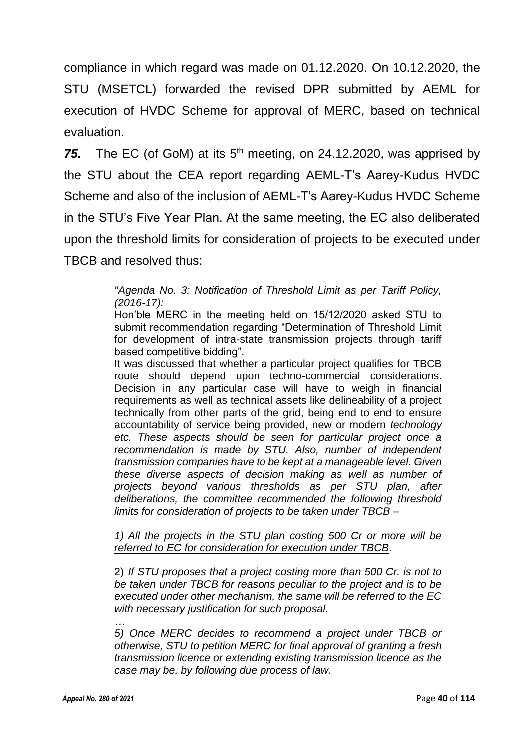compliance in which regard was made on 01.12.2020. On 10.12.2020, the STU (MSETCL) forwarded the revised DPR submitted by AEML for execution of HVDC Scheme for approval of MERC, based on technical evaluation.

75. The EC (of GoM) at its 5<sup>th</sup> meeting, on 24.12.2020, was apprised by the STU about the CEA report regarding AEML-T's Aarey-Kudus HVDC Scheme and also of the inclusion of AEML-T's Aarey-Kudus HVDC Scheme in the STU's Five Year Plan. At the same meeting, the EC also deliberated upon the threshold limits for consideration of projects to be executed under TBCB and resolved thus:

### *"Agenda No. 3: Notification of Threshold Limit as per Tariff Policy, (2016-17):*

Hon'ble MERC in the meeting held on 15/12/2020 asked STU to submit recommendation regarding "Determination of Threshold Limit for development of intra-state transmission projects through tariff based competitive bidding".

It was discussed that whether a particular project qualifies for TBCB route should depend upon techno-commercial considerations. Decision in any particular case will have to weigh in financial requirements as well as technical assets like delineability of a project technically from other parts of the grid, being end to end to ensure accountability of service being provided, new or modern *technology etc. These aspects should be seen for particular project once a recommendation is made by STU. Also, number of independent transmission companies have to be kept at a manageable level. Given these diverse aspects of decision making as well as number of projects beyond various thresholds as per STU plan, after deliberations, the committee recommended the following threshold limits for consideration of projects to be taken under TBCB –*

*1) All the projects in the STU plan costing 500 Cr or more will be referred to EC for consideration for execution under TBCB.*

2) *If STU proposes that a project costing more than 500 Cr. is not to be taken under TBCB for reasons peculiar to the project and is to be executed under other mechanism, the same will be referred to the EC with necessary justification for such proposal.*

*5) Once MERC decides to recommend a project under TBCB or otherwise, STU to petition MERC for final approval of granting a fresh transmission licence or extending existing transmission licence as the case may be, by following due process of law.*

*…*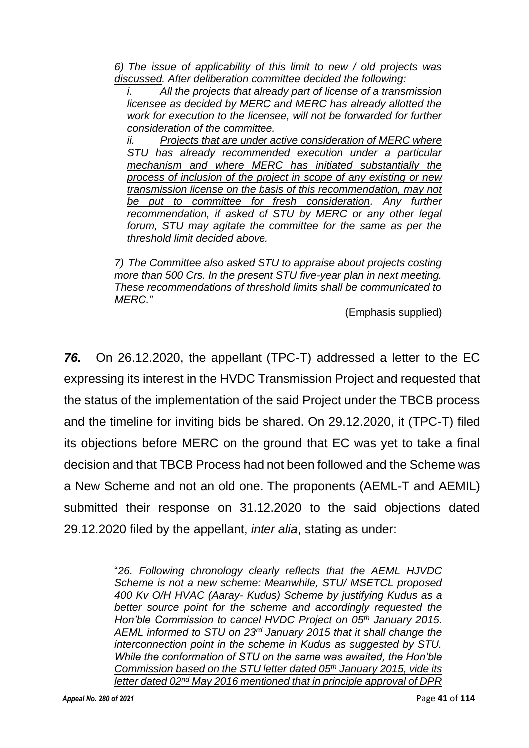*6) The issue of applicability of this limit to new / old projects was discussed. After deliberation committee decided the following:*

*i. All the projects that already part of license of a transmission licensee as decided by MERC and MERC has already allotted the work for execution to the licensee, will not be forwarded for further consideration of the committee.*

*ii. Projects that are under active consideration of MERC where STU has already recommended execution under a particular mechanism and where MERC has initiated substantially the process of inclusion of the project in scope of any existing or new transmission license on the basis of this recommendation, may not*  be put to committee for fresh consideration. Any further *recommendation, if asked of STU by MERC or any other legal forum, STU may agitate the committee for the same as per the threshold limit decided above.*

*7) The Committee also asked STU to appraise about projects costing more than 500 Crs. In the present STU five-year plan in next meeting. These recommendations of threshold limits shall be communicated to MERC."*

(Emphasis supplied)

*76.* On 26.12.2020, the appellant (TPC-T) addressed a letter to the EC expressing its interest in the HVDC Transmission Project and requested that the status of the implementation of the said Project under the TBCB process and the timeline for inviting bids be shared. On 29.12.2020, it (TPC-T) filed its objections before MERC on the ground that EC was yet to take a final decision and that TBCB Process had not been followed and the Scheme was a New Scheme and not an old one. The proponents (AEML-T and AEMIL) submitted their response on 31.12.2020 to the said objections dated 29.12.2020 filed by the appellant, *inter alia*, stating as under:

> "*26. Following chronology clearly reflects that the AEML HJVDC Scheme is not a new scheme: Meanwhile, STU/ MSETCL proposed 400 Kv O/H HVAC (Aaray- Kudus) Scheme by justifying Kudus as a*  better source point for the scheme and accordingly requested the *Hon'ble Commission to cancel HVDC Project on 05th January 2015. AEML informed to STU on 23rd January 2015 that it shall change the interconnection point in the scheme in Kudus as suggested by STU. While the conformation of STU on the same was awaited, the Hon'ble Commission based on the STU letter dated 05th January 2015, vide its letter dated 02nd May 2016 mentioned that in principle approval of DPR*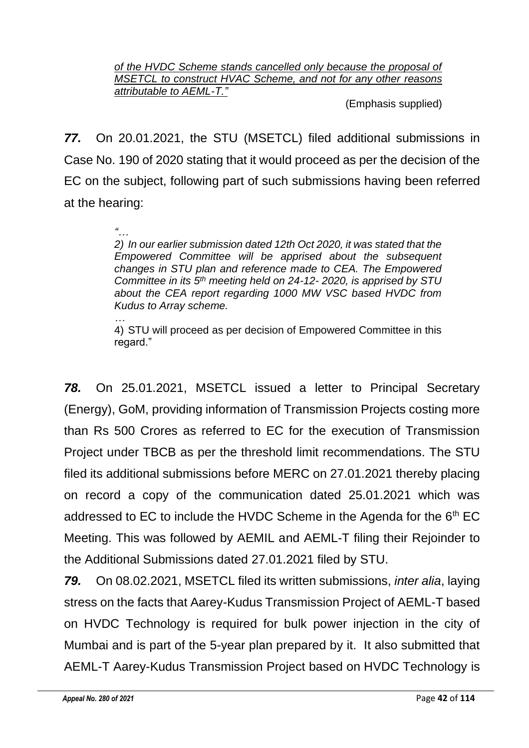*of the HVDC Scheme stands cancelled only because the proposal of MSETCL to construct HVAC Scheme, and not for any other reasons attributable to AEML-T."*

(Emphasis supplied)

*77.* On 20.01.2021, the STU (MSETCL) filed additional submissions in Case No. 190 of 2020 stating that it would proceed as per the decision of the EC on the subject, following part of such submissions having been referred at the hearing:

> *"… 2) In our earlier submission dated 12th Oct 2020, it was stated that the Empowered Committee will be apprised about the subsequent changes in STU plan and reference made to CEA. The Empowered Committee in its 5th meeting held on 24-12- 2020, is apprised by STU about the CEA report regarding 1000 MW VSC based HVDC from Kudus to Array scheme.*

> *…* 4) STU will proceed as per decision of Empowered Committee in this regard."

*78.* On 25.01.2021, MSETCL issued a letter to Principal Secretary (Energy), GoM, providing information of Transmission Projects costing more than Rs 500 Crores as referred to EC for the execution of Transmission Project under TBCB as per the threshold limit recommendations. The STU filed its additional submissions before MERC on 27.01.2021 thereby placing on record a copy of the communication dated 25.01.2021 which was addressed to EC to include the HVDC Scheme in the Agenda for the  $6<sup>th</sup>$  EC Meeting. This was followed by AEMIL and AEML-T filing their Rejoinder to the Additional Submissions dated 27.01.2021 filed by STU.

*79.* On 08.02.2021, MSETCL filed its written submissions, *inter alia*, laying stress on the facts that Aarey-Kudus Transmission Project of AEML-T based on HVDC Technology is required for bulk power injection in the city of Mumbai and is part of the 5-year plan prepared by it. It also submitted that AEML-T Aarey-Kudus Transmission Project based on HVDC Technology is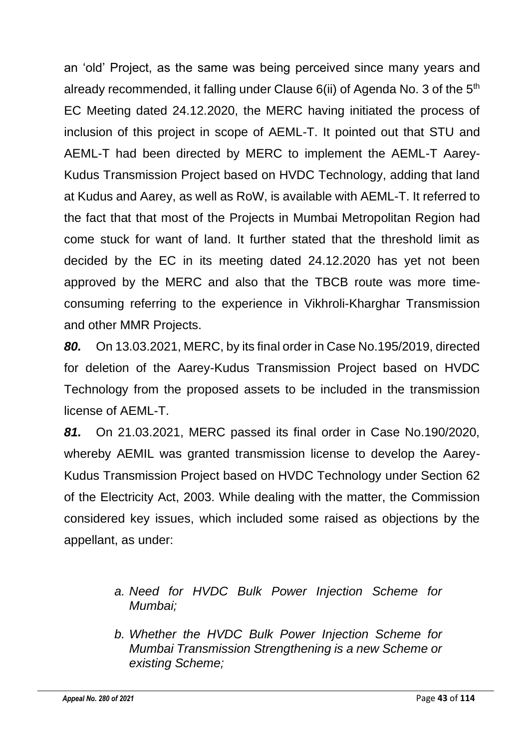an 'old' Project, as the same was being perceived since many years and already recommended, it falling under Clause  $6(ii)$  of Agenda No. 3 of the  $5<sup>th</sup>$ EC Meeting dated 24.12.2020, the MERC having initiated the process of inclusion of this project in scope of AEML-T. It pointed out that STU and AEML-T had been directed by MERC to implement the AEML-T Aarey-Kudus Transmission Project based on HVDC Technology, adding that land at Kudus and Aarey, as well as RoW, is available with AEML-T. It referred to the fact that that most of the Projects in Mumbai Metropolitan Region had come stuck for want of land. It further stated that the threshold limit as decided by the EC in its meeting dated 24.12.2020 has yet not been approved by the MERC and also that the TBCB route was more timeconsuming referring to the experience in Vikhroli-Kharghar Transmission and other MMR Projects.

*80.* On 13.03.2021, MERC, by its final order in Case No.195/2019, directed for deletion of the Aarey-Kudus Transmission Project based on HVDC Technology from the proposed assets to be included in the transmission license of AEML-T.

*81.* On 21.03.2021, MERC passed its final order in Case No.190/2020, whereby AEMIL was granted transmission license to develop the Aarey-Kudus Transmission Project based on HVDC Technology under Section 62 of the Electricity Act, 2003. While dealing with the matter, the Commission considered key issues, which included some raised as objections by the appellant, as under:

- *a. Need for HVDC Bulk Power Injection Scheme for Mumbai;*
- *b. Whether the HVDC Bulk Power Injection Scheme for Mumbai Transmission Strengthening is a new Scheme or existing Scheme;*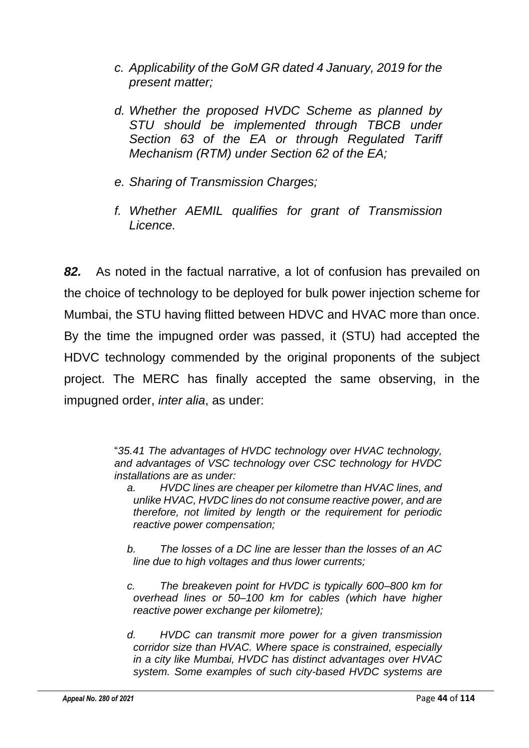- *c. Applicability of the GoM GR dated 4 January, 2019 for the present matter;*
- *d. Whether the proposed HVDC Scheme as planned by STU should be implemented through TBCB under Section 63 of the EA or through Regulated Tariff Mechanism (RTM) under Section 62 of the EA;*
- *e. Sharing of Transmission Charges;*
- *f. Whether AEMIL qualifies for grant of Transmission Licence.*

*82.* As noted in the factual narrative, a lot of confusion has prevailed on the choice of technology to be deployed for bulk power injection scheme for Mumbai, the STU having flitted between HDVC and HVAC more than once. By the time the impugned order was passed, it (STU) had accepted the HDVC technology commended by the original proponents of the subject project. The MERC has finally accepted the same observing, in the impugned order, *inter alia*, as under:

> "*35.41 The advantages of HVDC technology over HVAC technology, and advantages of VSC technology over CSC technology for HVDC installations are as under:*

- *a. HVDC lines are cheaper per kilometre than HVAC lines, and unlike HVAC, HVDC lines do not consume reactive power, and are therefore, not limited by length or the requirement for periodic reactive power compensation;*
- *b. The losses of a DC line are lesser than the losses of an AC line due to high voltages and thus lower currents;*
- *c. The breakeven point for HVDC is typically 600–800 km for overhead lines or 50–100 km for cables (which have higher reactive power exchange per kilometre);*
- *d. HVDC can transmit more power for a given transmission corridor size than HVAC. Where space is constrained, especially in a city like Mumbai, HVDC has distinct advantages over HVAC system. Some examples of such city-based HVDC systems are*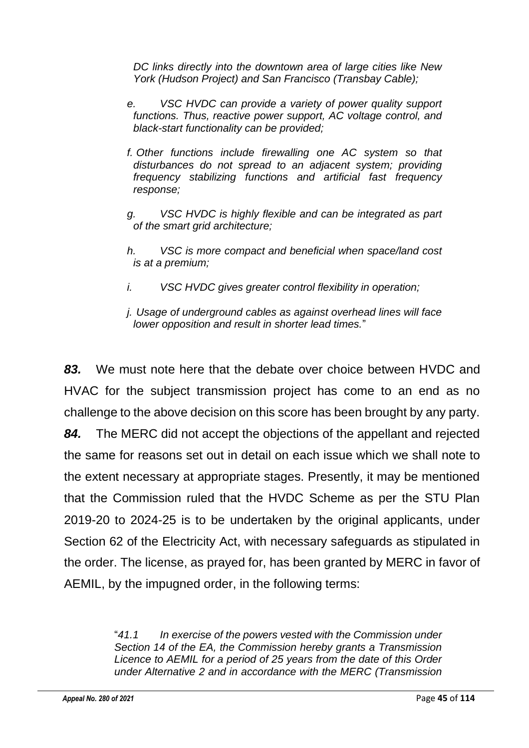*DC links directly into the downtown area of large cities like New York (Hudson Project) and San Francisco (Transbay Cable);*

- *e. VSC HVDC can provide a variety of power quality support functions. Thus, reactive power support, AC voltage control, and black-start functionality can be provided;*
- *f. Other functions include firewalling one AC system so that disturbances do not spread to an adjacent system; providing frequency stabilizing functions and artificial fast frequency response;*
- *g. VSC HVDC is highly flexible and can be integrated as part of the smart grid architecture;*
- *h. VSC is more compact and beneficial when space/land cost is at a premium;*
- *i. VSC HVDC gives greater control flexibility in operation;*
- *j. Usage of underground cables as against overhead lines will face lower opposition and result in shorter lead times.*"

*83.* We must note here that the debate over choice between HVDC and HVAC for the subject transmission project has come to an end as no challenge to the above decision on this score has been brought by any party.

*84.* The MERC did not accept the objections of the appellant and rejected the same for reasons set out in detail on each issue which we shall note to the extent necessary at appropriate stages. Presently, it may be mentioned that the Commission ruled that the HVDC Scheme as per the STU Plan 2019-20 to 2024-25 is to be undertaken by the original applicants, under Section 62 of the Electricity Act, with necessary safeguards as stipulated in the order. The license, as prayed for, has been granted by MERC in favor of AEMIL, by the impugned order, in the following terms:

> "*41.1 In exercise of the powers vested with the Commission under Section 14 of the EA, the Commission hereby grants a Transmission Licence to AEMIL for a period of 25 years from the date of this Order under Alternative 2 and in accordance with the MERC (Transmission*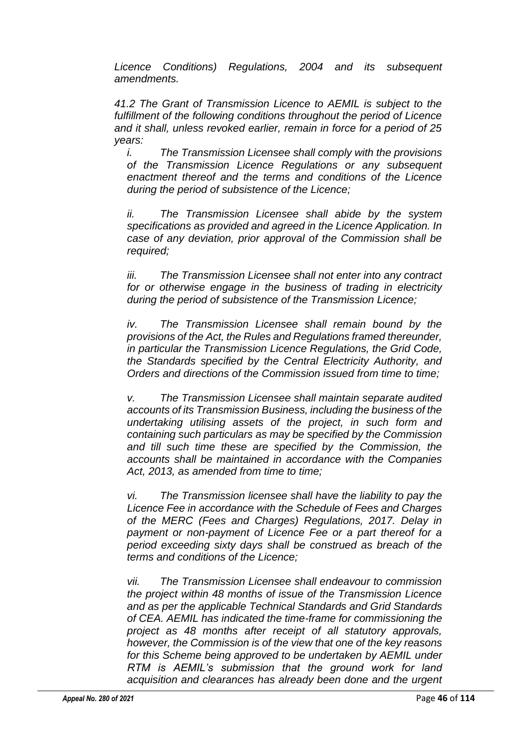*Licence Conditions) Regulations, 2004 and its subsequent amendments.* 

*41.2 The Grant of Transmission Licence to AEMIL is subject to the fulfillment of the following conditions throughout the period of Licence and it shall, unless revoked earlier, remain in force for a period of 25 years:* 

*i. The Transmission Licensee shall comply with the provisions of the Transmission Licence Regulations or any subsequent enactment thereof and the terms and conditions of the Licence during the period of subsistence of the Licence;* 

*ii. The Transmission Licensee shall abide by the system specifications as provided and agreed in the Licence Application. In case of any deviation, prior approval of the Commission shall be required;* 

*iii. The Transmission Licensee shall not enter into any contract for or otherwise engage in the business of trading in electricity during the period of subsistence of the Transmission Licence;* 

*iv. The Transmission Licensee shall remain bound by the provisions of the Act, the Rules and Regulations framed thereunder, in particular the Transmission Licence Regulations, the Grid Code, the Standards specified by the Central Electricity Authority, and Orders and directions of the Commission issued from time to time;* 

*v. The Transmission Licensee shall maintain separate audited accounts of its Transmission Business, including the business of the undertaking utilising assets of the project, in such form and containing such particulars as may be specified by the Commission and till such time these are specified by the Commission, the accounts shall be maintained in accordance with the Companies Act, 2013, as amended from time to time;* 

*vi. The Transmission licensee shall have the liability to pay the Licence Fee in accordance with the Schedule of Fees and Charges of the MERC (Fees and Charges) Regulations, 2017. Delay in payment or non-payment of Licence Fee or a part thereof for a period exceeding sixty days shall be construed as breach of the terms and conditions of the Licence;* 

*vii. The Transmission Licensee shall endeavour to commission the project within 48 months of issue of the Transmission Licence and as per the applicable Technical Standards and Grid Standards of CEA. AEMIL has indicated the time-frame for commissioning the project as 48 months after receipt of all statutory approvals, however, the Commission is of the view that one of the key reasons for this Scheme being approved to be undertaken by AEMIL under RTM is AEMIL's submission that the ground work for land acquisition and clearances has already been done and the urgent*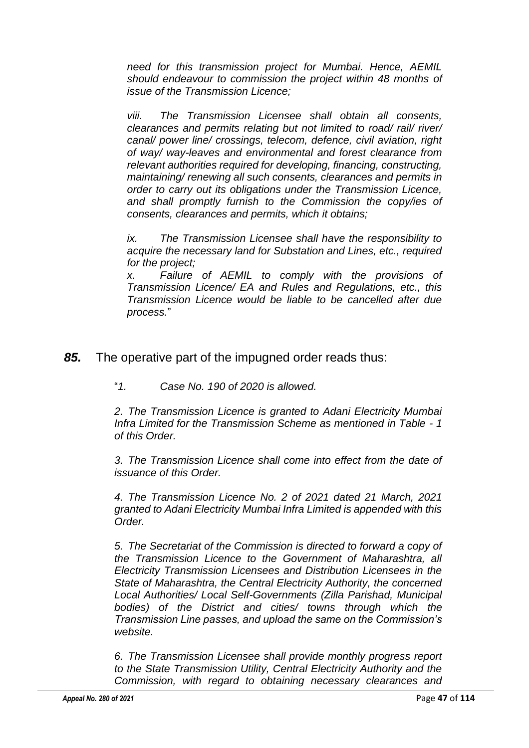*need for this transmission project for Mumbai. Hence, AEMIL should endeavour to commission the project within 48 months of issue of the Transmission Licence;* 

*viii. The Transmission Licensee shall obtain all consents, clearances and permits relating but not limited to road/ rail/ river/ canal/ power line/ crossings, telecom, defence, civil aviation, right of way/ way-leaves and environmental and forest clearance from relevant authorities required for developing, financing, constructing, maintaining/ renewing all such consents, clearances and permits in order to carry out its obligations under the Transmission Licence, and shall promptly furnish to the Commission the copy/ies of consents, clearances and permits, which it obtains;* 

*ix. The Transmission Licensee shall have the responsibility to acquire the necessary land for Substation and Lines, etc., required for the project;* 

*x. Failure of AEMIL to comply with the provisions of Transmission Licence/ EA and Rules and Regulations, etc., this Transmission Licence would be liable to be cancelled after due process.*"

*85.* The operative part of the impugned order reads thus:

"*1. Case No. 190 of 2020 is allowed.* 

*2. The Transmission Licence is granted to Adani Electricity Mumbai Infra Limited for the Transmission Scheme as mentioned in Table - 1 of this Order.* 

*3. The Transmission Licence shall come into effect from the date of issuance of this Order.* 

*4. The Transmission Licence No. 2 of 2021 dated 21 March, 2021 granted to Adani Electricity Mumbai Infra Limited is appended with this Order.* 

*5. The Secretariat of the Commission is directed to forward a copy of the Transmission Licence to the Government of Maharashtra, all Electricity Transmission Licensees and Distribution Licensees in the State of Maharashtra, the Central Electricity Authority, the concerned Local Authorities/ Local Self-Governments (Zilla Parishad, Municipal bodies) of the District and cities/ towns through which the Transmission Line passes, and upload the same on the Commission's website.* 

*6. The Transmission Licensee shall provide monthly progress report to the State Transmission Utility, Central Electricity Authority and the Commission, with regard to obtaining necessary clearances and*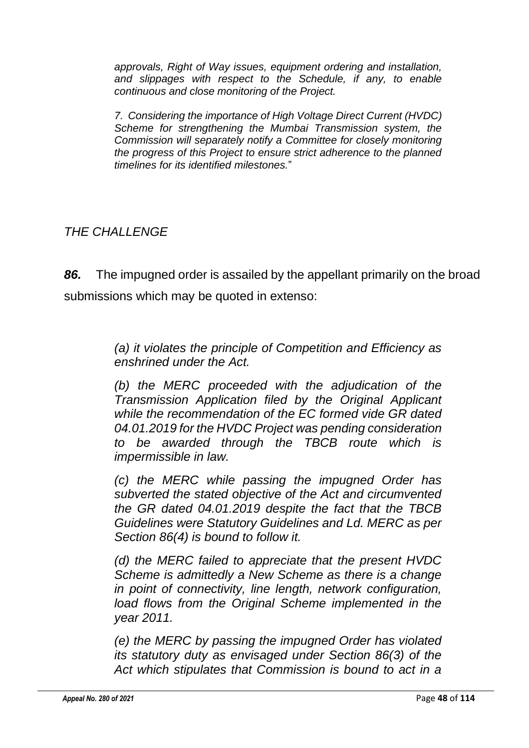*approvals, Right of Way issues, equipment ordering and installation, and slippages with respect to the Schedule, if any, to enable continuous and close monitoring of the Project.* 

*7. Considering the importance of High Voltage Direct Current (HVDC) Scheme for strengthening the Mumbai Transmission system, the Commission will separately notify a Committee for closely monitoring the progress of this Project to ensure strict adherence to the planned timelines for its identified milestones.*"

# *THE CHALLENGE*

*86.* The impugned order is assailed by the appellant primarily on the broad submissions which may be quoted in extenso:

> *(a) it violates the principle of Competition and Efficiency as enshrined under the Act.*

> *(b) the MERC proceeded with the adjudication of the Transmission Application filed by the Original Applicant while the recommendation of the EC formed vide GR dated 04.01.2019 for the HVDC Project was pending consideration to be awarded through the TBCB route which is impermissible in law.*

> *(c) the MERC while passing the impugned Order has subverted the stated objective of the Act and circumvented the GR dated 04.01.2019 despite the fact that the TBCB Guidelines were Statutory Guidelines and Ld. MERC as per Section 86(4) is bound to follow it.*

> *(d) the MERC failed to appreciate that the present HVDC Scheme is admittedly a New Scheme as there is a change in point of connectivity, line length, network configuration, load flows from the Original Scheme implemented in the year 2011.*

> *(e) the MERC by passing the impugned Order has violated its statutory duty as envisaged under Section 86(3) of the Act which stipulates that Commission is bound to act in a*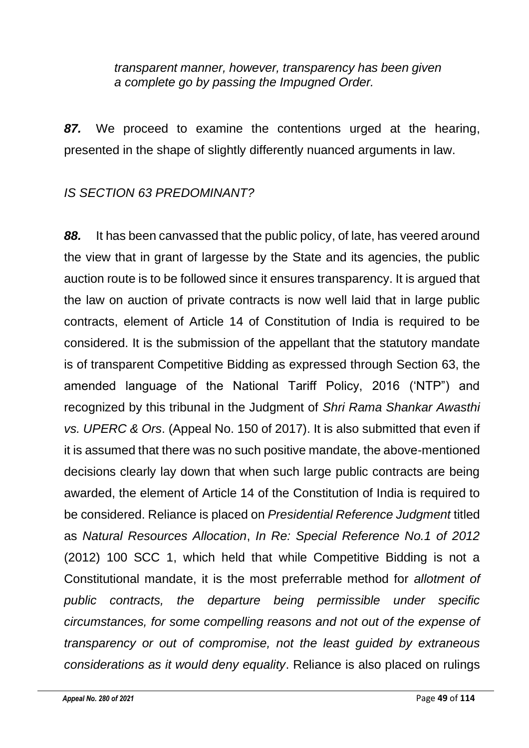*transparent manner, however, transparency has been given a complete go by passing the Impugned Order.*

*87.* We proceed to examine the contentions urged at the hearing, presented in the shape of slightly differently nuanced arguments in law.

## *IS SECTION 63 PREDOMINANT?*

*88.* It has been canvassed that the public policy, of late, has veered around the view that in grant of largesse by the State and its agencies, the public auction route is to be followed since it ensures transparency. It is argued that the law on auction of private contracts is now well laid that in large public contracts, element of Article 14 of Constitution of India is required to be considered. It is the submission of the appellant that the statutory mandate is of transparent Competitive Bidding as expressed through Section 63, the amended language of the National Tariff Policy, 2016 ('NTP") and recognized by this tribunal in the Judgment of *Shri Rama Shankar Awasthi vs. UPERC & Ors*. (Appeal No. 150 of 2017). It is also submitted that even if it is assumed that there was no such positive mandate, the above-mentioned decisions clearly lay down that when such large public contracts are being awarded, the element of Article 14 of the Constitution of India is required to be considered. Reliance is placed on *Presidential Reference Judgment* titled as *Natural Resources Allocation*, *In Re: Special Reference No.1 of 2012* (2012) 100 SCC 1, which held that while Competitive Bidding is not a Constitutional mandate, it is the most preferrable method for *allotment of public contracts, the departure being permissible under specific circumstances, for some compelling reasons and not out of the expense of transparency or out of compromise, not the least guided by extraneous considerations as it would deny equality*. Reliance is also placed on rulings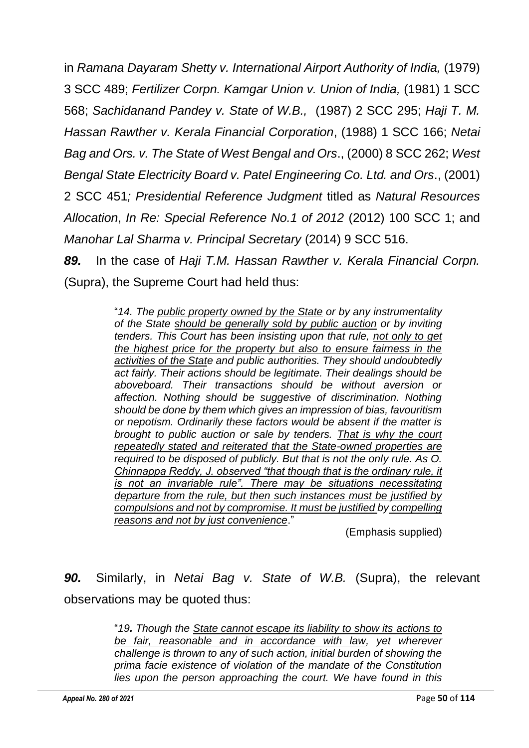in *Ramana Dayaram Shetty v. International Airport Authority of India,* (1979) 3 SCC 489; *Fertilizer Corpn. Kamgar Union v. Union of India,* (1981) 1 SCC 568; *Sachidanand Pandey v. State of W.B.,* (1987) 2 SCC 295; *Haji T. M. Hassan Rawther v. Kerala Financial Corporation*, (1988) 1 SCC 166; *Netai Bag and Ors. v. The State of West Bengal and Ors*., (2000) 8 SCC 262; *West Bengal State Electricity Board v. Patel Engineering Co. Ltd. and Ors*., (2001) 2 SCC 451*; Presidential Reference Judgment* titled as *Natural Resources Allocation*, *In Re: Special Reference No.1 of 2012* (2012) 100 SCC 1; and *Manohar Lal Sharma v. Principal Secretary* (2014) 9 SCC 516.

*89.* In the case of *Haji T.M. Hassan Rawther v. Kerala Financial Corpn.* (Supra), the Supreme Court had held thus:

> "*14. The public property owned by the State or by any instrumentality of the State should be generally sold by public auction or by inviting tenders. This Court has been insisting upon that rule, not only to get the highest price for the property but also to ensure fairness in the activities of the State and public authorities. They should undoubtedly act fairly. Their actions should be legitimate. Their dealings should be aboveboard. Their transactions should be without aversion or affection. Nothing should be suggestive of discrimination. Nothing should be done by them which gives an impression of bias, favouritism or nepotism. Ordinarily these factors would be absent if the matter is brought to public auction or sale by tenders. That is why the court repeatedly stated and reiterated that the State-owned properties are required to be disposed of publicly. But that is not the only rule. As O. Chinnappa Reddy, J. observed "that though that is the ordinary rule, it*  is not an invariable rule". There may be situations necessitating *departure from the rule, but then such instances must be justified by compulsions and not by compromise. It must be justified by compelling reasons and not by just convenience*."

(Emphasis supplied)

*90.* Similarly, in *Netai Bag v. State of W.B.* (Supra), the relevant observations may be quoted thus:

> "*19. Though the State cannot escape its liability to show its actions to*  **be fair, reasonable and in accordance with law, yet wherever** *challenge is thrown to any of such action, initial burden of showing the prima facie existence of violation of the mandate of the Constitution lies upon the person approaching the court. We have found in this*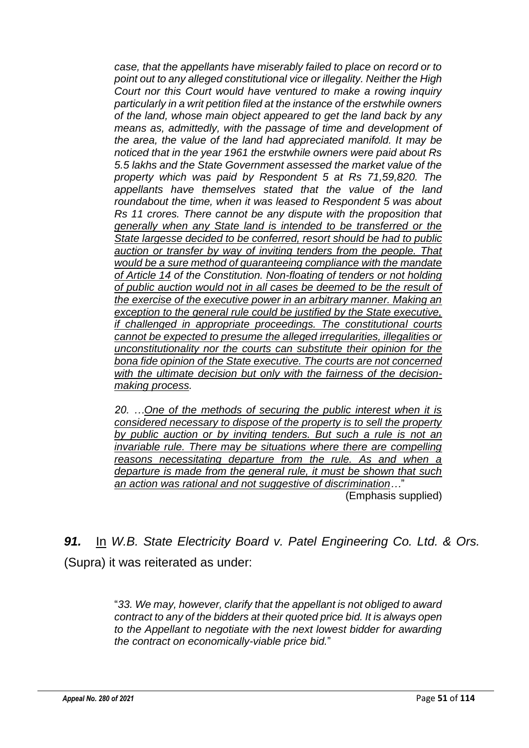*case, that the appellants have miserably failed to place on record or to point out to any alleged constitutional vice or illegality. Neither the High Court nor this Court would have ventured to make a rowing inquiry particularly in a writ petition filed at the instance of the erstwhile owners of the land, whose main object appeared to get the land back by any means as, admittedly, with the passage of time and development of the area, the value of the land had appreciated manifold. It may be noticed that in the year 1961 the erstwhile owners were paid about Rs 5.5 lakhs and the State Government assessed the market value of the property which was paid by Respondent 5 at Rs 71,59,820. The appellants have themselves stated that the value of the land roundabout the time, when it was leased to Respondent 5 was about Rs 11 crores. There cannot be any dispute with the proposition that generally when any State land is intended to be transferred or the State largesse decided to be conferred, resort should be had to public auction or transfer by way of inviting tenders from the people. That would be a sure method of guaranteeing compliance with the mandate of Article 14 of the Constitution. Non-floating of tenders or not holding of public auction would not in all cases be deemed to be the result of the exercise of the executive power in an arbitrary manner. Making an exception to the general rule could be justified by the State executive, if challenged in appropriate proceedings. The constitutional courts cannot be expected to presume the alleged irregularities, illegalities or unconstitutionality nor the courts can substitute their opinion for the bona fide opinion of the State executive. The courts are not concerned with the ultimate decision but only with the fairness of the decisionmaking process.*

*20. …One of the methods of securing the public interest when it is considered necessary to dispose of the property is to sell the property by public auction or by inviting tenders. But such a rule is not an invariable rule. There may be situations where there are compelling reasons necessitating departure from the rule. As and when a departure is made from the general rule, it must be shown that such an action was rational and not suggestive of discrimination…*"

(Emphasis supplied)

*91.* In *W.B. State Electricity Board v. Patel Engineering Co. Ltd. & Ors.* (Supra) it was reiterated as under:

> "*33. We may, however, clarify that the appellant is not obliged to award contract to any of the bidders at their quoted price bid. It is always open to the Appellant to negotiate with the next lowest bidder for awarding the contract on economically-viable price bid.*"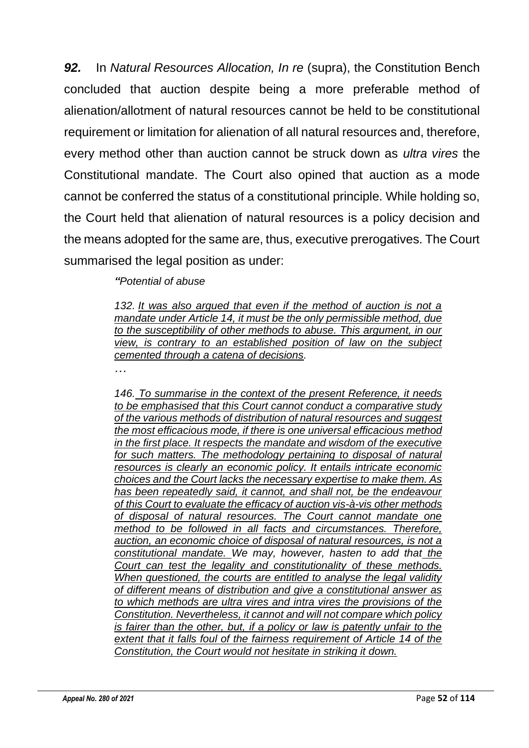*92.* In *Natural Resources Allocation, In re* (supra), the Constitution Bench concluded that auction despite being a more preferable method of alienation/allotment of natural resources cannot be held to be constitutional requirement or limitation for alienation of all natural resources and, therefore, every method other than auction cannot be struck down as *ultra vires* the Constitutional mandate. The Court also opined that auction as a mode cannot be conferred the status of a constitutional principle. While holding so, the Court held that alienation of natural resources is a policy decision and the means adopted for the same are, thus, executive prerogatives. The Court summarised the legal position as under:

*"Potential of abuse*

*132. It was also argued that even if the method of auction is not a mandate under Article 14, it must be the only permissible method, due to the susceptibility of other methods to abuse. This argument, in our view, is contrary to an established position of law on the subject cemented through a catena of decisions.*

…

*146. To summarise in the context of the present Reference, it needs to be emphasised that this Court cannot conduct a comparative study of the various methods of distribution of natural resources and suggest the most efficacious mode, if there is one universal efficacious method in the first place. It respects the mandate and wisdom of the executive*  for such matters. The methodology pertaining to disposal of natural *resources is clearly an economic policy. It entails intricate economic choices and the Court lacks the necessary expertise to make them. As has been repeatedly said, it cannot, and shall not, be the endeavour of this Court to evaluate the efficacy of auction vis-à-vis other methods of disposal of natural resources. The Court cannot mandate one method to be followed in all facts and circumstances. Therefore, auction, an economic choice of disposal of natural resources, is not a constitutional mandate. We may, however, hasten to add that the Court can test the legality and constitutionality of these methods. When questioned, the courts are entitled to analyse the legal validity of different means of distribution and give a constitutional answer as to which methods are ultra vires and intra vires the provisions of the Constitution. Nevertheless, it cannot and will not compare which policy is fairer than the other, but, if a policy or law is patently unfair to the extent that it falls foul of the fairness requirement of Article 14 of the Constitution, the Court would not hesitate in striking it down.*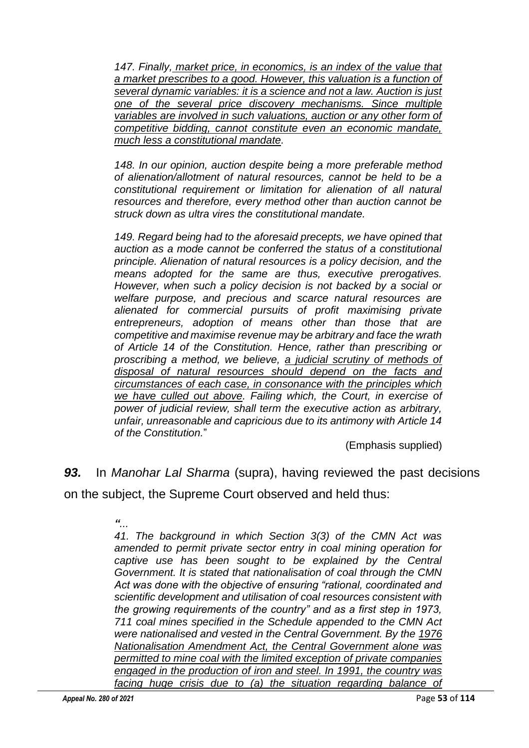*147. Finally, market price, in economics, is an index of the value that a market prescribes to a good. However, this valuation is a function of several dynamic variables: it is a science and not a law. Auction is just one of the several price discovery mechanisms. Since multiple variables are involved in such valuations, auction or any other form of competitive bidding, cannot constitute even an economic mandate, much less a constitutional mandate.*

*148. In our opinion, auction despite being a more preferable method of alienation/allotment of natural resources, cannot be held to be a constitutional requirement or limitation for alienation of all natural resources and therefore, every method other than auction cannot be struck down as ultra vires the constitutional mandate.*

*149. Regard being had to the aforesaid precepts, we have opined that auction as a mode cannot be conferred the status of a constitutional principle. Alienation of natural resources is a policy decision, and the means adopted for the same are thus, executive prerogatives. However, when such a policy decision is not backed by a social or welfare purpose, and precious and scarce natural resources are alienated for commercial pursuits of profit maximising private entrepreneurs, adoption of means other than those that are competitive and maximise revenue may be arbitrary and face the wrath of Article 14 of the Constitution. Hence, rather than prescribing or proscribing a method, we believe, a judicial scrutiny of methods of disposal of natural resources should depend on the facts and circumstances of each case, in consonance with the principles which we have culled out above. Failing which, the Court, in exercise of power of judicial review, shall term the executive action as arbitrary, unfair, unreasonable and capricious due to its antimony with Article 14 of the Constitution.*"

(Emphasis supplied)

*93.* In *Manohar Lal Sharma* (supra), having reviewed the past decisions

on the subject, the Supreme Court observed and held thus:

*"...*

*41. The background in which Section 3(3) of the CMN Act was amended to permit private sector entry in coal mining operation for captive use has been sought to be explained by the Central Government. It is stated that nationalisation of coal through the CMN Act was done with the objective of ensuring "rational, coordinated and scientific development and utilisation of coal resources consistent with the growing requirements of the country" and as a first step in 1973, 711 coal mines specified in the Schedule appended to the CMN Act were nationalised and vested in the Central Government. By the 1976 Nationalisation Amendment Act, the Central Government alone was permitted to mine coal with the limited exception of private companies engaged in the production of iron and steel. In 1991, the country was facing huge crisis due to (a) the situation regarding balance of*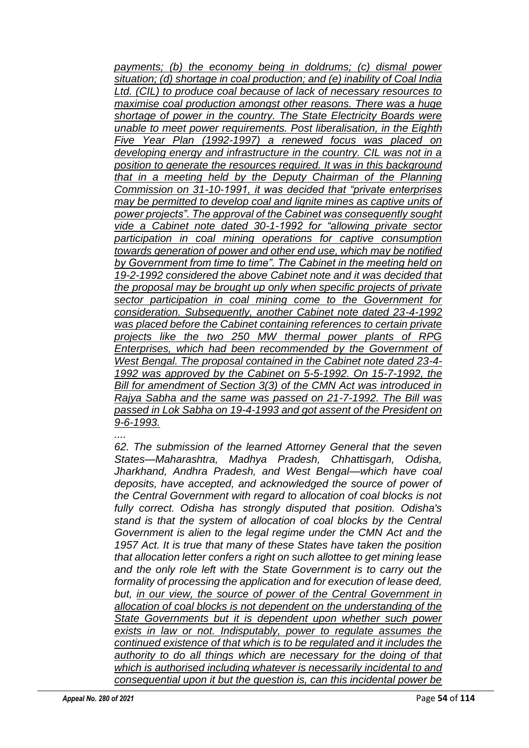*payments; (b) the economy being in doldrums; (c) dismal power situation; (d) shortage in coal production; and (e) inability of Coal India Ltd. (CIL) to produce coal because of lack of necessary resources to maximise coal production amongst other reasons. There was a huge shortage of power in the country. The State Electricity Boards were unable to meet power requirements. Post liberalisation, in the Eighth Five Year Plan (1992-1997) a renewed focus was placed on developing energy and infrastructure in the country. CIL was not in a position to generate the resources required. It was in this background that in a meeting held by the Deputy Chairman of the Planning Commission on 31-10-1991, it was decided that "private enterprises may be permitted to develop coal and lignite mines as captive units of power projects". The approval of the Cabinet was consequently sought vide a Cabinet note dated 30-1-1992 for "allowing private sector participation in coal mining operations for captive consumption towards generation of power and other end use, which may be notified by Government from time to time". The Cabinet in the meeting held on 19-2-1992 considered the above Cabinet note and it was decided that the proposal may be brought up only when specific projects of private sector participation in coal mining come to the Government for consideration. Subsequently, another Cabinet note dated 23-4-1992 was placed before the Cabinet containing references to certain private projects like the two 250 MW thermal power plants of RPG Enterprises, which had been recommended by the Government of West Bengal. The proposal contained in the Cabinet note dated 23-4- 1992 was approved by the Cabinet on 5-5-1992. On 15-7-1992, the Bill for amendment of Section 3(3) of the CMN Act was introduced in Rajya Sabha and the same was passed on 21-7-1992. The Bill was passed in Lok Sabha on 19-4-1993 and got assent of the President on 9-6-1993.*

*62. The submission of the learned Attorney General that the seven States—Maharashtra, Madhya Pradesh, Chhattisgarh, Odisha, Jharkhand, Andhra Pradesh, and West Bengal—which have coal*  deposits, have accepted, and acknowledged the source of power of *the Central Government with regard to allocation of coal blocks is not fully correct. Odisha has strongly disputed that position. Odisha's stand is that the system of allocation of coal blocks by the Central Government is alien to the legal regime under the CMN Act and the 1957 Act. It is true that many of these States have taken the position that allocation letter confers a right on such allottee to get mining lease and the only role left with the State Government is to carry out the formality of processing the application and for execution of lease deed, but, in our view, the source of power of the Central Government in allocation of coal blocks is not dependent on the understanding of the State Governments but it is dependent upon whether such power exists in law or not. Indisputably, power to regulate assumes the continued existence of that which is to be regulated and it includes the authority to do all things which are necessary for the doing of that which is authorised including whatever is necessarily incidental to and consequential upon it but the question is, can this incidental power be* 

*....*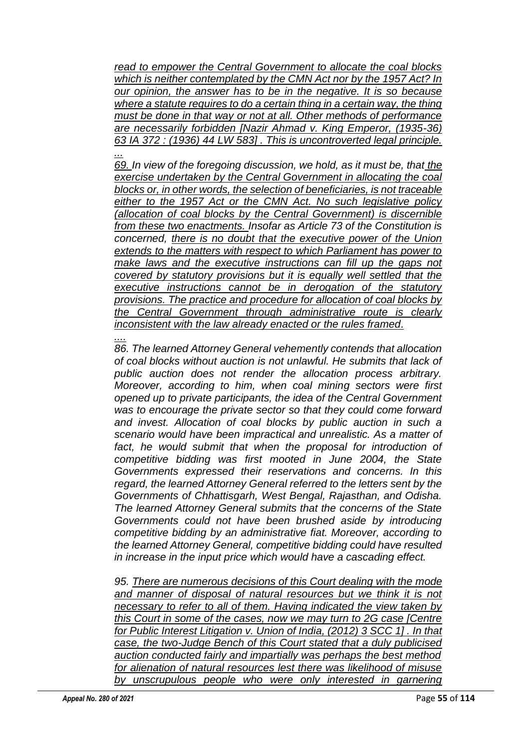*read to empower the Central Government to allocate the coal blocks which is neither contemplated by the CMN Act nor by the 1957 Act? In our opinion, the answer has to be in the negative. It is so because where a statute requires to do a certain thing in a certain way, the thing must be done in that way or not at all. Other methods of performance are necessarily forbidden [Nazir Ahmad v. King Emperor, (1935-36) 63 IA 372 : (1936) 44 LW 583] . This is uncontroverted legal principle.*

*... 69. In view of the foregoing discussion, we hold, as it must be, that the exercise undertaken by the Central Government in allocating the coal blocks or, in other words, the selection of beneficiaries, is not traceable either to the 1957 Act or the CMN Act. No such legislative policy (allocation of coal blocks by the Central Government) is discernible from these two enactments. Insofar as Article 73 of the Constitution is concerned, there is no doubt that the executive power of the Union extends to the matters with respect to which Parliament has power to make laws and the executive instructions can fill up the gaps not covered by statutory provisions but it is equally well settled that the executive instructions cannot be in derogation of the statutory provisions. The practice and procedure for allocation of coal blocks by the Central Government through administrative route is clearly inconsistent with the law already enacted or the rules framed.*

*.... 86. The learned Attorney General vehemently contends that allocation of coal blocks without auction is not unlawful. He submits that lack of public auction does not render the allocation process arbitrary. Moreover, according to him, when coal mining sectors were first opened up to private participants, the idea of the Central Government was to encourage the private sector so that they could come forward and invest. Allocation of coal blocks by public auction in such a scenario would have been impractical and unrealistic. As a matter of*  fact, he would submit that when the proposal for introduction of *competitive bidding was first mooted in June 2004, the State Governments expressed their reservations and concerns. In this*  regard, the learned Attorney General referred to the letters sent by the *Governments of Chhattisgarh, West Bengal, Rajasthan, and Odisha. The learned Attorney General submits that the concerns of the State Governments could not have been brushed aside by introducing competitive bidding by an administrative fiat. Moreover, according to the learned Attorney General, competitive bidding could have resulted in increase in the input price which would have a cascading effect.*

*95. There are numerous decisions of this Court dealing with the mode and manner of disposal of natural resources but we think it is not necessary to refer to all of them. Having indicated the view taken by this Court in some of the cases, now we may turn to 2G case [Centre for Public Interest Litigation v. Union of India, (2012) 3 SCC 1] . In that case, the two-Judge Bench of this Court stated that a duly publicised auction conducted fairly and impartially was perhaps the best method for alienation of natural resources lest there was likelihood of misuse by unscrupulous people who were only interested in garnering*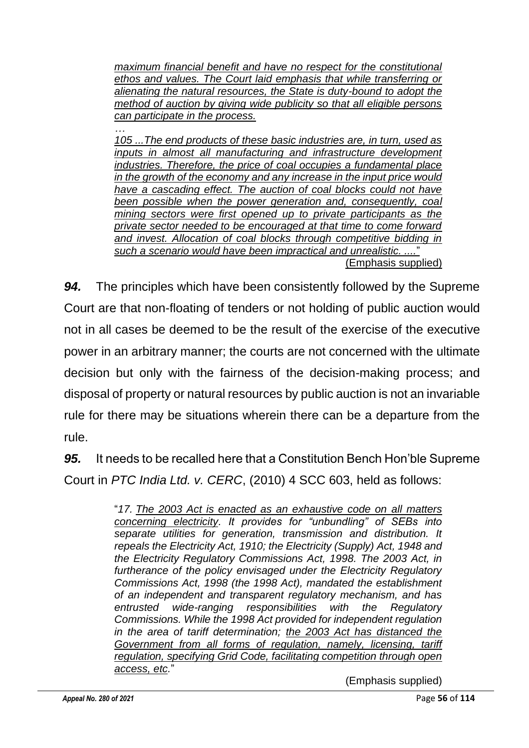*maximum financial benefit and have no respect for the constitutional ethos and values. The Court laid emphasis that while transferring or alienating the natural resources, the State is duty-bound to adopt the method of auction by giving wide publicity so that all eligible persons can participate in the process.*

*… 105 ...The end products of these basic industries are, in turn, used as inputs in almost all manufacturing and infrastructure development industries. Therefore, the price of coal occupies a fundamental place in the growth of the economy and any increase in the input price would have a cascading effect. The auction of coal blocks could not have been possible when the power generation and, consequently, coal mining sectors were first opened up to private participants as the private sector needed to be encouraged at that time to come forward and invest. Allocation of coal blocks through competitive bidding in such a scenario would have been impractical and unrealistic. ....*" (Emphasis supplied)

*94.* The principles which have been consistently followed by the Supreme Court are that non-floating of tenders or not holding of public auction would not in all cases be deemed to be the result of the exercise of the executive power in an arbitrary manner; the courts are not concerned with the ultimate decision but only with the fairness of the decision-making process; and disposal of property or natural resources by public auction is not an invariable rule for there may be situations wherein there can be a departure from the rule.

*95.* It needs to be recalled here that a Constitution Bench Hon'ble Supreme Court in *PTC India Ltd. v. CERC*, (2010) 4 SCC 603, held as follows:

> "*17. The 2003 Act is enacted as an exhaustive code on all matters concerning electricity. It provides for "unbundling" of SEBs into separate utilities for generation, transmission and distribution. It repeals the Electricity Act, 1910; the Electricity (Supply) Act, 1948 and the Electricity Regulatory Commissions Act, 1998. The 2003 Act, in furtherance of the policy envisaged under the Electricity Regulatory Commissions Act, 1998 (the 1998 Act), mandated the establishment of an independent and transparent regulatory mechanism, and has entrusted wide-ranging responsibilities with the Regulatory Commissions. While the 1998 Act provided for independent regulation in the area of tariff determination; the 2003 Act has distanced the Government from all forms of regulation, namely, licensing, tariff regulation, specifying Grid Code, facilitating competition through open access, etc.*"

(Emphasis supplied)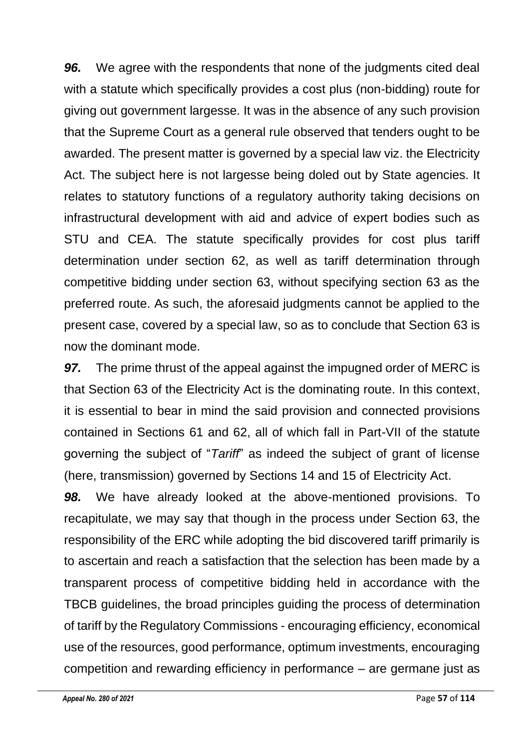*96.* We agree with the respondents that none of the judgments cited deal with a statute which specifically provides a cost plus (non-bidding) route for giving out government largesse. It was in the absence of any such provision that the Supreme Court as a general rule observed that tenders ought to be awarded. The present matter is governed by a special law viz. the Electricity Act. The subject here is not largesse being doled out by State agencies. It relates to statutory functions of a regulatory authority taking decisions on infrastructural development with aid and advice of expert bodies such as STU and CEA. The statute specifically provides for cost plus tariff determination under section 62, as well as tariff determination through competitive bidding under section 63, without specifying section 63 as the preferred route. As such, the aforesaid judgments cannot be applied to the present case, covered by a special law, so as to conclude that Section 63 is now the dominant mode.

*97.* The prime thrust of the appeal against the impugned order of MERC is that Section 63 of the Electricity Act is the dominating route. In this context, it is essential to bear in mind the said provision and connected provisions contained in Sections 61 and 62, all of which fall in Part-VII of the statute governing the subject of "*Tariff*" as indeed the subject of grant of license (here, transmission) governed by Sections 14 and 15 of Electricity Act.

*98.* We have already looked at the above-mentioned provisions. To recapitulate, we may say that though in the process under Section 63, the responsibility of the ERC while adopting the bid discovered tariff primarily is to ascertain and reach a satisfaction that the selection has been made by a transparent process of competitive bidding held in accordance with the TBCB guidelines, the broad principles guiding the process of determination of tariff by the Regulatory Commissions - encouraging efficiency, economical use of the resources, good performance, optimum investments, encouraging competition and rewarding efficiency in performance – are germane just as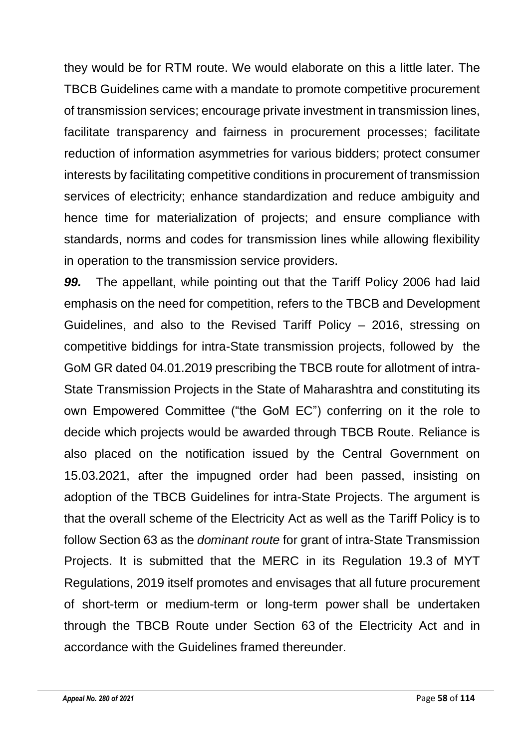they would be for RTM route. We would elaborate on this a little later. The TBCB Guidelines came with a mandate to promote competitive procurement of transmission services; encourage private investment in transmission lines, facilitate transparency and fairness in procurement processes; facilitate reduction of information asymmetries for various bidders; protect consumer interests by facilitating competitive conditions in procurement of transmission services of electricity; enhance standardization and reduce ambiguity and hence time for materialization of projects; and ensure compliance with standards, norms and codes for transmission lines while allowing flexibility in operation to the transmission service providers.

*99.* The appellant, while pointing out that the Tariff Policy 2006 had laid emphasis on the need for competition, refers to the TBCB and Development Guidelines, and also to the Revised Tariff Policy – 2016, stressing on competitive biddings for intra-State transmission projects, followed by the GoM GR dated 04.01.2019 prescribing the TBCB route for allotment of intra-State Transmission Projects in the State of Maharashtra and constituting its own Empowered Committee ("the GoM EC") conferring on it the role to decide which projects would be awarded through TBCB Route. Reliance is also placed on the notification issued by the Central Government on 15.03.2021, after the impugned order had been passed, insisting on adoption of the TBCB Guidelines for intra-State Projects. The argument is that the overall scheme of the Electricity Act as well as the Tariff Policy is to follow Section 63 as the *dominant route* for grant of intra-State Transmission Projects. It is submitted that the MERC in its Regulation 19.3 of MYT Regulations, 2019 itself promotes and envisages that all future procurement of short-term or medium-term or long-term power shall be undertaken through the TBCB Route under Section 63 of the Electricity Act and in accordance with the Guidelines framed thereunder.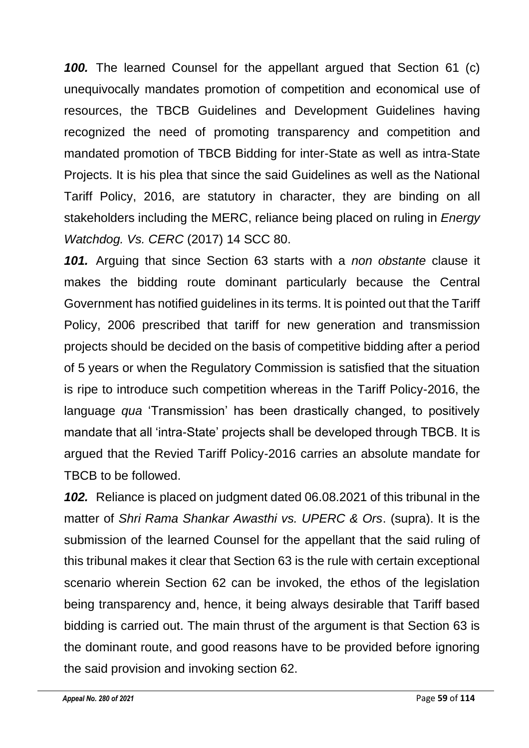*100.* The learned Counsel for the appellant argued that Section 61 (c) unequivocally mandates promotion of competition and economical use of resources, the TBCB Guidelines and Development Guidelines having recognized the need of promoting transparency and competition and mandated promotion of TBCB Bidding for inter-State as well as intra-State Projects. It is his plea that since the said Guidelines as well as the National Tariff Policy, 2016, are statutory in character, they are binding on all stakeholders including the MERC, reliance being placed on ruling in *Energy Watchdog. Vs. CERC* (2017) 14 SCC 80.

*101.* Arguing that since Section 63 starts with a *non obstante* clause it makes the bidding route dominant particularly because the Central Government has notified guidelines in its terms. It is pointed out that the Tariff Policy, 2006 prescribed that tariff for new generation and transmission projects should be decided on the basis of competitive bidding after a period of 5 years or when the Regulatory Commission is satisfied that the situation is ripe to introduce such competition whereas in the Tariff Policy-2016, the language *qua* 'Transmission' has been drastically changed, to positively mandate that all 'intra-State' projects shall be developed through TBCB. It is argued that the Revied Tariff Policy-2016 carries an absolute mandate for TBCB to be followed.

*102.* Reliance is placed on judgment dated 06.08.2021 of this tribunal in the matter of *Shri Rama Shankar Awasthi vs. UPERC & Ors*. (supra). It is the submission of the learned Counsel for the appellant that the said ruling of this tribunal makes it clear that Section 63 is the rule with certain exceptional scenario wherein Section 62 can be invoked, the ethos of the legislation being transparency and, hence, it being always desirable that Tariff based bidding is carried out. The main thrust of the argument is that Section 63 is the dominant route, and good reasons have to be provided before ignoring the said provision and invoking section 62.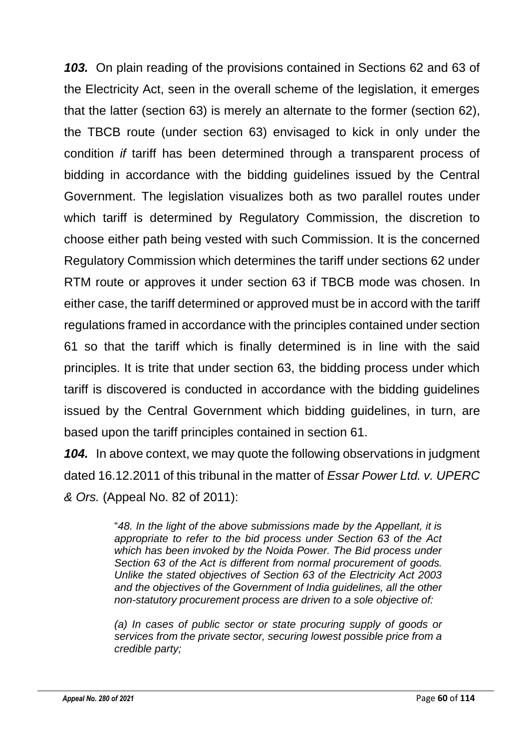*103.* On plain reading of the provisions contained in Sections 62 and 63 of the Electricity Act, seen in the overall scheme of the legislation, it emerges that the latter (section 63) is merely an alternate to the former (section 62), the TBCB route (under section 63) envisaged to kick in only under the condition *if* tariff has been determined through a transparent process of bidding in accordance with the bidding guidelines issued by the Central Government. The legislation visualizes both as two parallel routes under which tariff is determined by Regulatory Commission, the discretion to choose either path being vested with such Commission. It is the concerned Regulatory Commission which determines the tariff under sections 62 under RTM route or approves it under section 63 if TBCB mode was chosen. In either case, the tariff determined or approved must be in accord with the tariff regulations framed in accordance with the principles contained under section 61 so that the tariff which is finally determined is in line with the said principles. It is trite that under section 63, the bidding process under which tariff is discovered is conducted in accordance with the bidding guidelines issued by the Central Government which bidding guidelines, in turn, are based upon the tariff principles contained in section 61.

*104.* In above context, we may quote the following observations in judgment dated 16.12.2011 of this tribunal in the matter of *Essar Power Ltd. v. UPERC & Ors.* (Appeal No. 82 of 2011):

> "*48. In the light of the above submissions made by the Appellant, it is appropriate to refer to the bid process under Section 63 of the Act which has been invoked by the Noida Power. The Bid process under Section 63 of the Act is different from normal procurement of goods. Unlike the stated objectives of Section 63 of the Electricity Act 2003 and the objectives of the Government of India guidelines, all the other non-statutory procurement process are driven to a sole objective of:*

> *(a) In cases of public sector or state procuring supply of goods or services from the private sector, securing lowest possible price from a credible party;*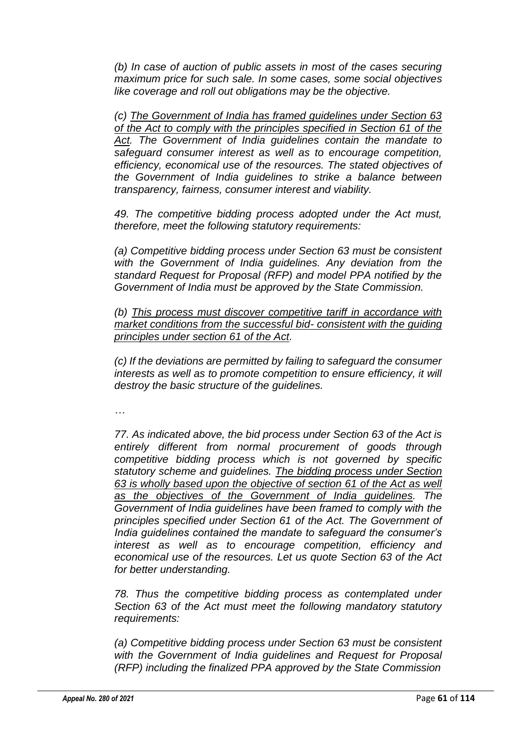*(b) In case of auction of public assets in most of the cases securing maximum price for such sale. In some cases, some social objectives like coverage and roll out obligations may be the objective.*

*(c) The Government of India has framed guidelines under Section 63 of the Act to comply with the principles specified in Section 61 of the Act. The Government of India guidelines contain the mandate to safeguard consumer interest as well as to encourage competition, efficiency, economical use of the resources. The stated objectives of the Government of India guidelines to strike a balance between transparency, fairness, consumer interest and viability.*

*49. The competitive bidding process adopted under the Act must, therefore, meet the following statutory requirements:*

*(a) Competitive bidding process under Section 63 must be consistent with the Government of India guidelines. Any deviation from the standard Request for Proposal (RFP) and model PPA notified by the Government of India must be approved by the State Commission.*

*(b) This process must discover competitive tariff in accordance with market conditions from the successful bid- consistent with the guiding principles under section 61 of the Act.*

*(c) If the deviations are permitted by failing to safeguard the consumer interests as well as to promote competition to ensure efficiency, it will destroy the basic structure of the guidelines.*

*…*

*77. As indicated above, the bid process under Section 63 of the Act is entirely different from normal procurement of goods through competitive bidding process which is not governed by specific statutory scheme and guidelines. The bidding process under Section 63 is wholly based upon the objective of section 61 of the Act as well as the objectives of the Government of India guidelines. The Government of India guidelines have been framed to comply with the principles specified under Section 61 of the Act. The Government of India guidelines contained the mandate to safeguard the consumer's interest as well as to encourage competition, efficiency and economical use of the resources. Let us quote Section 63 of the Act for better understanding.*

*78. Thus the competitive bidding process as contemplated under Section 63 of the Act must meet the following mandatory statutory requirements:*

*(a) Competitive bidding process under Section 63 must be consistent with the Government of India guidelines and Request for Proposal (RFP) including the finalized PPA approved by the State Commission*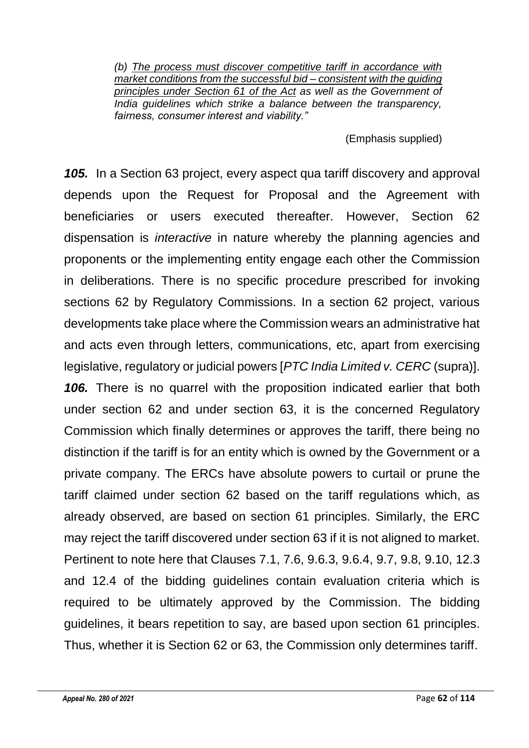*(b) The process must discover competitive tariff in accordance with market conditions from the successful bid – consistent with the guiding principles under Section 61 of the Act as well as the Government of India guidelines which strike a balance between the transparency, fairness, consumer interest and viability."*

(Emphasis supplied)

*105.* In a Section 63 project, every aspect qua tariff discovery and approval depends upon the Request for Proposal and the Agreement with beneficiaries or users executed thereafter. However, Section 62 dispensation is *interactive* in nature whereby the planning agencies and proponents or the implementing entity engage each other the Commission in deliberations. There is no specific procedure prescribed for invoking sections 62 by Regulatory Commissions. In a section 62 project, various developments take place where the Commission wears an administrative hat and acts even through letters, communications, etc, apart from exercising legislative, regulatory or judicial powers [*PTC India Limited v. CERC* (supra)]. *106.* There is no quarrel with the proposition indicated earlier that both under section 62 and under section 63, it is the concerned Regulatory Commission which finally determines or approves the tariff, there being no distinction if the tariff is for an entity which is owned by the Government or a private company. The ERCs have absolute powers to curtail or prune the tariff claimed under section 62 based on the tariff regulations which, as already observed, are based on section 61 principles. Similarly, the ERC may reject the tariff discovered under section 63 if it is not aligned to market. Pertinent to note here that Clauses 7.1, 7.6, 9.6.3, 9.6.4, 9.7, 9.8, 9.10, 12.3 and 12.4 of the bidding guidelines contain evaluation criteria which is required to be ultimately approved by the Commission. The bidding guidelines, it bears repetition to say, are based upon section 61 principles. Thus, whether it is Section 62 or 63, the Commission only determines tariff.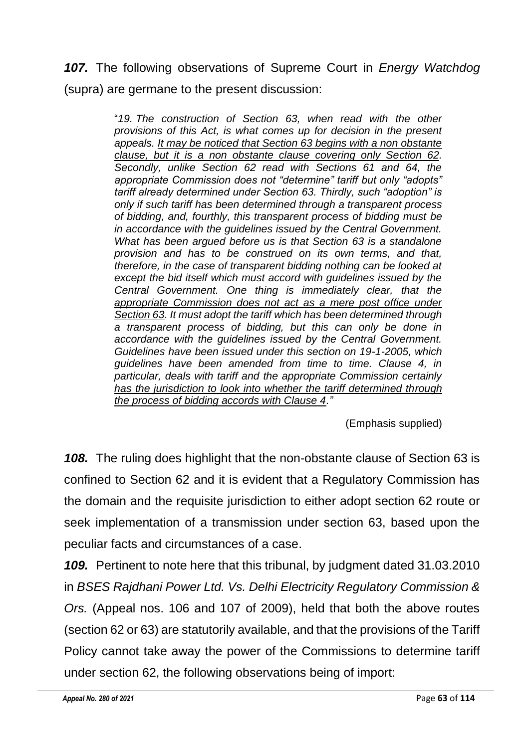*107.* The following observations of Supreme Court in *Energy Watchdog* (supra) are germane to the present discussion:

> "*19. The construction of Section 63, when read with the other provisions of this Act, is what comes up for decision in the present appeals. It may be noticed that Section 63 begins with a non obstante clause, but it is a non obstante clause covering only Section 62. Secondly, unlike Section 62 read with Sections 61 and 64, the appropriate Commission does not "determine" tariff but only "adopts" tariff already determined under Section 63. Thirdly, such "adoption" is only if such tariff has been determined through a transparent process of bidding, and, fourthly, this transparent process of bidding must be in accordance with the guidelines issued by the Central Government. What has been argued before us is that Section 63 is a standalone provision and has to be construed on its own terms, and that, therefore, in the case of transparent bidding nothing can be looked at except the bid itself which must accord with guidelines issued by the Central Government. One thing is immediately clear, that the appropriate Commission does not act as a mere post office under Section 63. It must adopt the tariff which has been determined through a transparent process of bidding, but this can only be done in accordance with the guidelines issued by the Central Government. Guidelines have been issued under this section on 19-1-2005, which guidelines have been amended from time to time. Clause 4, in particular, deals with tariff and the appropriate Commission certainly has the jurisdiction to look into whether the tariff determined through the process of bidding accords with Clause 4."*

> > (Emphasis supplied)

*108.* The ruling does highlight that the non-obstante clause of Section 63 is confined to Section 62 and it is evident that a Regulatory Commission has the domain and the requisite jurisdiction to either adopt section 62 route or seek implementation of a transmission under section 63, based upon the peculiar facts and circumstances of a case.

*109.* Pertinent to note here that this tribunal, by judgment dated 31.03.2010 in *BSES Rajdhani Power Ltd. Vs. Delhi Electricity Regulatory Commission & Ors.* (Appeal nos. 106 and 107 of 2009), held that both the above routes (section 62 or 63) are statutorily available, and that the provisions of the Tariff Policy cannot take away the power of the Commissions to determine tariff under section 62, the following observations being of import: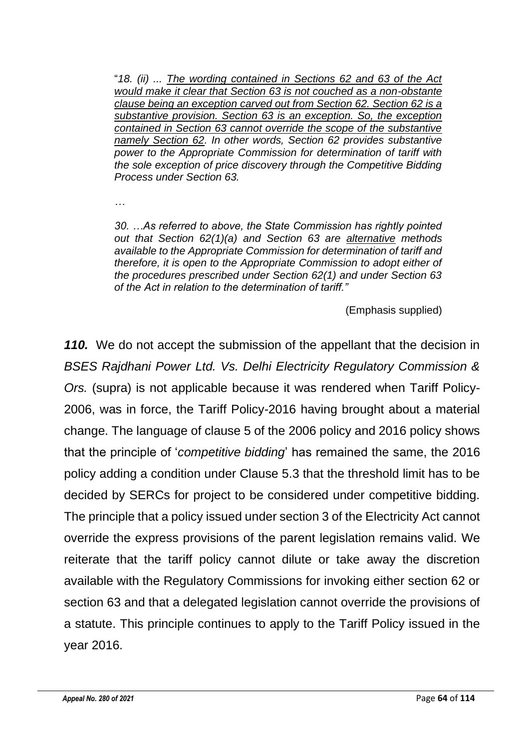"*18. (ii) ... The wording contained in Sections 62 and 63 of the Act would make it clear that Section 63 is not couched as a non-obstante clause being an exception carved out from Section 62. Section 62 is a substantive provision. Section 63 is an exception. So, the exception contained in Section 63 cannot override the scope of the substantive namely Section 62. In other words, Section 62 provides substantive power to the Appropriate Commission for determination of tariff with the sole exception of price discovery through the Competitive Bidding Process under Section 63.*

*…*

*30. …As referred to above, the State Commission has rightly pointed out that Section 62(1)(a) and Section 63 are alternative methods available to the Appropriate Commission for determination of tariff and therefore, it is open to the Appropriate Commission to adopt either of the procedures prescribed under Section 62(1) and under Section 63 of the Act in relation to the determination of tariff."*

(Emphasis supplied)

*110.* We do not accept the submission of the appellant that the decision in *BSES Rajdhani Power Ltd. Vs. Delhi Electricity Regulatory Commission & Ors.* (supra) is not applicable because it was rendered when Tariff Policy-2006, was in force, the Tariff Policy-2016 having brought about a material change. The language of clause 5 of the 2006 policy and 2016 policy shows that the principle of '*competitive bidding*' has remained the same, the 2016 policy adding a condition under Clause 5.3 that the threshold limit has to be decided by SERCs for project to be considered under competitive bidding. The principle that a policy issued under section 3 of the Electricity Act cannot override the express provisions of the parent legislation remains valid. We reiterate that the tariff policy cannot dilute or take away the discretion available with the Regulatory Commissions for invoking either section 62 or section 63 and that a delegated legislation cannot override the provisions of a statute. This principle continues to apply to the Tariff Policy issued in the year 2016.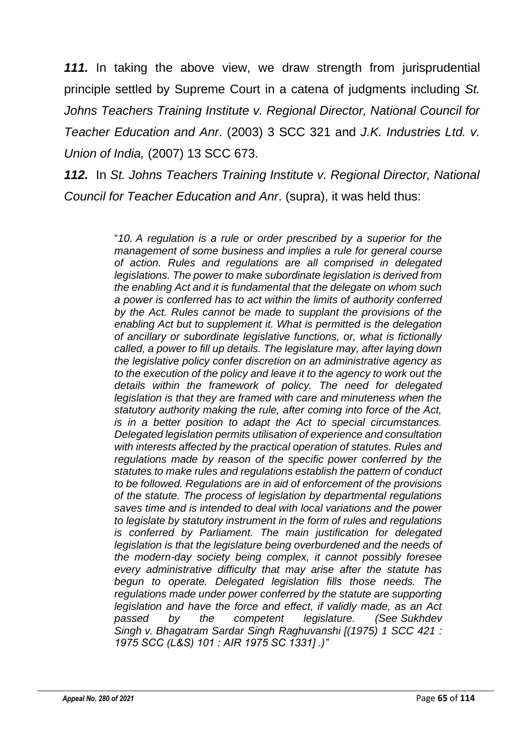*111.* In taking the above view, we draw strength from jurisprudential principle settled by Supreme Court in a catena of judgments including *St. Johns Teachers Training Institute v. Regional Director, National Council for Teacher Education and Anr*. (2003) 3 SCC 321 and *J.K. Industries Ltd. v. Union of India,* (2007) 13 SCC 673.

*112.* In *St. Johns Teachers Training Institute v. Regional Director, National Council for Teacher Education and Anr*. (supra), it was held thus:

> "*10. A regulation is a rule or order prescribed by a superior for the management of some business and implies a rule for general course of action. Rules and regulations are all comprised in delegated legislations. The power to make subordinate legislation is derived from the enabling Act and it is fundamental that the delegate on whom such a power is conferred has to act within the limits of authority conferred by the Act. Rules cannot be made to supplant the provisions of the enabling Act but to supplement it. What is permitted is the delegation of ancillary or subordinate legislative functions, or, what is fictionally called, a power to fill up details. The legislature may, after laying down the legislative policy confer discretion on an administrative agency as to the execution of the policy and leave it to the agency to work out the details within the framework of policy. The need for delegated legislation is that they are framed with care and minuteness when the statutory authority making the rule, after coming into force of the Act, is in a better position to adapt the Act to special circumstances. Delegated legislation permits utilisation of experience and consultation with interests affected by the practical operation of statutes. Rules and regulations made by reason of the specific power conferred by the statutes to make rules and regulations establish the pattern of conduct to be followed. Regulations are in aid of enforcement of the provisions of the statute. The process of legislation by departmental regulations saves time and is intended to deal with local variations and the power to legislate by statutory instrument in the form of rules and regulations is conferred by Parliament. The main justification for delegated legislation is that the legislature being overburdened and the needs of the modern-day society being complex, it cannot possibly foresee every administrative difficulty that may arise after the statute has begun to operate. Delegated legislation fills those needs. The regulations made under power conferred by the statute are supporting legislation and have the force and effect, if validly made, as an Act passed by the competent legislature. (See Sukhdev Singh v. Bhagatram Sardar Singh Raghuvanshi [(1975) 1 SCC 421 : 1975 SCC (L&S) 101 : AIR 1975 SC 1331] .)"*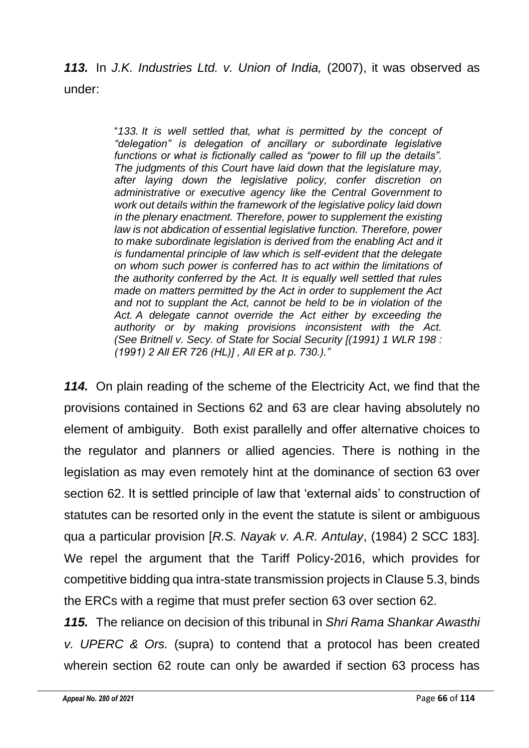*113.* In *J.K. Industries Ltd. v. Union of India,* (2007), it was observed as under:

> "*133. It is well settled that, what is permitted by the concept of "delegation" is delegation of ancillary or subordinate legislative functions or what is fictionally called as "power to fill up the details". The judgments of this Court have laid down that the legislature may, after laying down the legislative policy, confer discretion on administrative or executive agency like the Central Government to work out details within the framework of the legislative policy laid down in the plenary enactment. Therefore, power to supplement the existing law is not abdication of essential legislative function. Therefore, power to make subordinate legislation is derived from the enabling Act and it is fundamental principle of law which is self-evident that the delegate on whom such power is conferred has to act within the limitations of the authority conferred by the Act. It is equally well settled that rules made on matters permitted by the Act in order to supplement the Act and not to supplant the Act, cannot be held to be in violation of the Act. A delegate cannot override the Act either by exceeding the authority or by making provisions inconsistent with the Act. (See Britnell v. Secy. of State for Social Security [(1991) 1 WLR 198 : (1991) 2 All ER 726 (HL)] , All ER at p. 730.)."*

*114.* On plain reading of the scheme of the Electricity Act, we find that the provisions contained in Sections 62 and 63 are clear having absolutely no element of ambiguity. Both exist parallelly and offer alternative choices to the regulator and planners or allied agencies. There is nothing in the legislation as may even remotely hint at the dominance of section 63 over section 62. It is settled principle of law that 'external aids' to construction of statutes can be resorted only in the event the statute is silent or ambiguous qua a particular provision [*R.S. Nayak v. A.R. Antulay*, (1984) 2 SCC 183]. We repel the argument that the Tariff Policy-2016, which provides for competitive bidding qua intra-state transmission projects in Clause 5.3, binds the ERCs with a regime that must prefer section 63 over section 62.

*115.* The reliance on decision of this tribunal in *Shri Rama Shankar Awasthi v. UPERC & Ors.* (supra) to contend that a protocol has been created wherein section 62 route can only be awarded if section 63 process has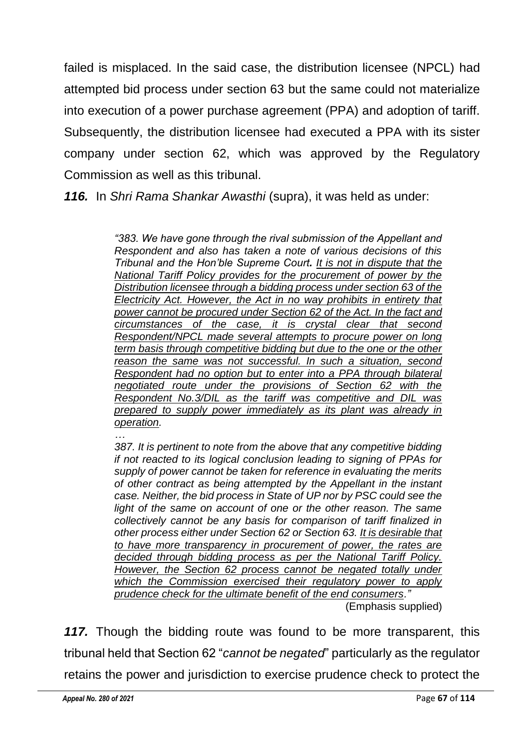failed is misplaced. In the said case, the distribution licensee (NPCL) had attempted bid process under section 63 but the same could not materialize into execution of a power purchase agreement (PPA) and adoption of tariff. Subsequently, the distribution licensee had executed a PPA with its sister company under section 62, which was approved by the Regulatory Commission as well as this tribunal.

*116.* In *Shri Rama Shankar Awasthi* (supra), it was held as under:

*"383. We have gone through the rival submission of the Appellant and Respondent and also has taken a note of various decisions of this Tribunal and the Hon'ble Supreme Court. It is not in dispute that the National Tariff Policy provides for the procurement of power by the Distribution licensee through a bidding process under section 63 of the Electricity Act. However, the Act in no way prohibits in entirety that power cannot be procured under Section 62 of the Act. In the fact and circumstances of the case, it is crystal clear that second Respondent/NPCL made several attempts to procure power on long term basis through competitive bidding but due to the one or the other reason the same was not successful. In such a situation, second Respondent had no option but to enter into a PPA through bilateral negotiated route under the provisions of Section 62 with the Respondent No.3/DIL as the tariff was competitive and DIL was prepared to supply power immediately as its plant was already in operation.*

*387. It is pertinent to note from the above that any competitive bidding if not reacted to its logical conclusion leading to signing of PPAs for supply of power cannot be taken for reference in evaluating the merits of other contract as being attempted by the Appellant in the instant case. Neither, the bid process in State of UP nor by PSC could see the*  light of the same on account of one or the other reason. The same *collectively cannot be any basis for comparison of tariff finalized in other process either under Section 62 or Section 63. It is desirable that to have more transparency in procurement of power, the rates are decided through bidding process as per the National Tariff Policy. However, the Section 62 process cannot be negated totally under which the Commission exercised their regulatory power to apply prudence check for the ultimate benefit of the end consumers."*

(Emphasis supplied)

*117.* Though the bidding route was found to be more transparent, this tribunal held that Section 62 "*cannot be negated*" particularly as the regulator retains the power and jurisdiction to exercise prudence check to protect the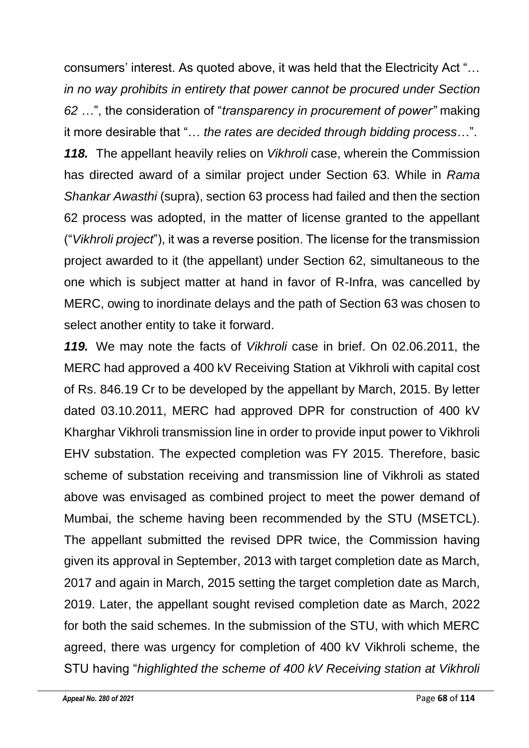consumers' interest. As quoted above, it was held that the Electricity Act "… *in no way prohibits in entirety that power cannot be procured under Section 62* …", the consideration of "*transparency in procurement of power"* making it more desirable that "… *the rates are decided through bidding process*…".

*118.* The appellant heavily relies on *Vikhroli* case, wherein the Commission has directed award of a similar project under Section 63. While in *Rama Shankar Awasthi* (supra), section 63 process had failed and then the section 62 process was adopted, in the matter of license granted to the appellant ("*Vikhroli project*"), it was a reverse position. The license for the transmission project awarded to it (the appellant) under Section 62, simultaneous to the one which is subject matter at hand in favor of R-Infra, was cancelled by MERC, owing to inordinate delays and the path of Section 63 was chosen to select another entity to take it forward.

*119.* We may note the facts of *Vikhroli* case in brief. On 02.06.2011, the MERC had approved a 400 kV Receiving Station at Vikhroli with capital cost of Rs. 846.19 Cr to be developed by the appellant by March, 2015. By letter dated 03.10.2011, MERC had approved DPR for construction of 400 kV Kharghar Vikhroli transmission line in order to provide input power to Vikhroli EHV substation. The expected completion was FY 2015. Therefore, basic scheme of substation receiving and transmission line of Vikhroli as stated above was envisaged as combined project to meet the power demand of Mumbai, the scheme having been recommended by the STU (MSETCL). The appellant submitted the revised DPR twice, the Commission having given its approval in September, 2013 with target completion date as March, 2017 and again in March, 2015 setting the target completion date as March, 2019. Later, the appellant sought revised completion date as March, 2022 for both the said schemes. In the submission of the STU, with which MERC agreed, there was urgency for completion of 400 kV Vikhroli scheme, the STU having "*highlighted the scheme of 400 kV Receiving station at Vikhroli*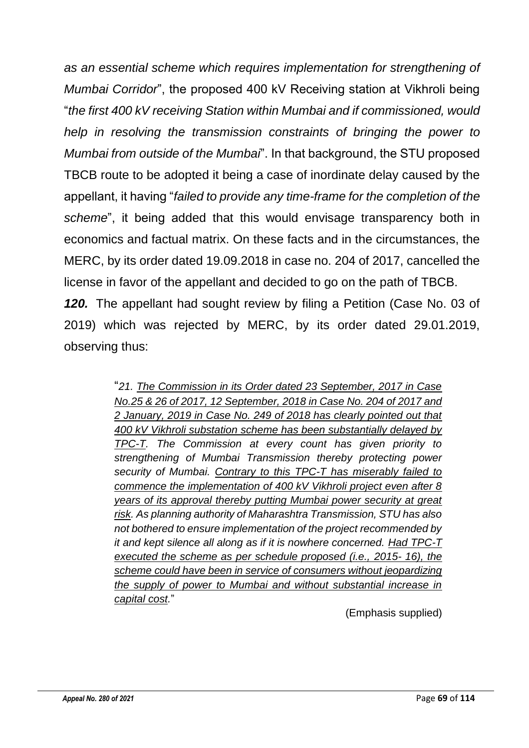*as an essential scheme which requires implementation for strengthening of Mumbai Corridor*", the proposed 400 kV Receiving station at Vikhroli being "*the first 400 kV receiving Station within Mumbai and if commissioned, would help in resolving the transmission constraints of bringing the power to Mumbai from outside of the Mumbai*". In that background, the STU proposed TBCB route to be adopted it being a case of inordinate delay caused by the appellant, it having "*failed to provide any time-frame for the completion of the scheme*", it being added that this would envisage transparency both in economics and factual matrix. On these facts and in the circumstances, the MERC, by its order dated 19.09.2018 in case no. 204 of 2017, cancelled the license in favor of the appellant and decided to go on the path of TBCB.

*120.* The appellant had sought review by filing a Petition (Case No. 03 of 2019) which was rejected by MERC, by its order dated 29.01.2019, observing thus:

> "*21. The Commission in its Order dated 23 September, 2017 in Case No.25 & 26 of 2017, 12 September, 2018 in Case No. 204 of 2017 and 2 January, 2019 in Case No. 249 of 2018 has clearly pointed out that 400 kV Vikhroli substation scheme has been substantially delayed by TPC-T. The Commission at every count has given priority to strengthening of Mumbai Transmission thereby protecting power security of Mumbai. Contrary to this TPC-T has miserably failed to commence the implementation of 400 kV Vikhroli project even after 8 years of its approval thereby putting Mumbai power security at great risk. As planning authority of Maharashtra Transmission, STU has also not bothered to ensure implementation of the project recommended by it and kept silence all along as if it is nowhere concerned. Had TPC-T executed the scheme as per schedule proposed (i.e., 2015- 16), the scheme could have been in service of consumers without jeopardizing the supply of power to Mumbai and without substantial increase in capital cost.*"

> > (Emphasis supplied)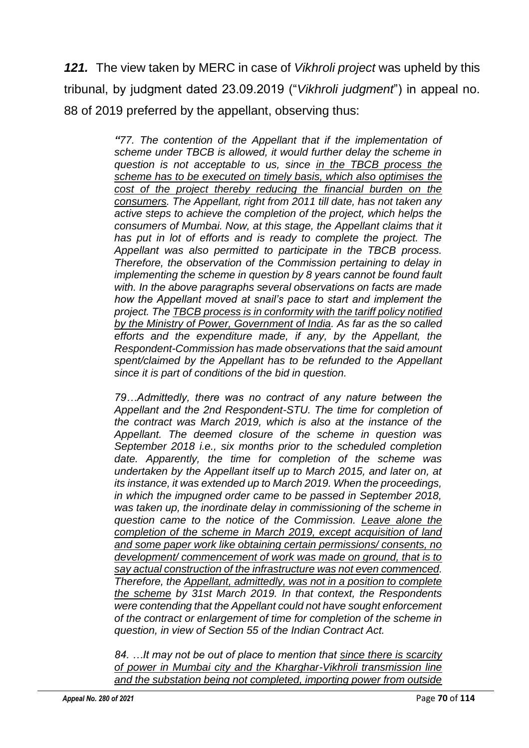*121.* The view taken by MERC in case of *Vikhroli project* was upheld by this tribunal, by judgment dated 23.09.2019 ("*Vikhroli judgment*") in appeal no. 88 of 2019 preferred by the appellant, observing thus:

> *"77. The contention of the Appellant that if the implementation of scheme under TBCB is allowed, it would further delay the scheme in question is not acceptable to us, since in the TBCB process the scheme has to be executed on timely basis, which also optimises the cost of the project thereby reducing the financial burden on the consumers. The Appellant, right from 2011 till date, has not taken any active steps to achieve the completion of the project, which helps the consumers of Mumbai. Now, at this stage, the Appellant claims that it*  has put in lot of efforts and is ready to complete the project. The *Appellant was also permitted to participate in the TBCB process. Therefore, the observation of the Commission pertaining to delay in implementing the scheme in question by 8 years cannot be found fault with. In the above paragraphs several observations on facts are made how the Appellant moved at snail's pace to start and implement the project. The TBCB process is in conformity with the tariff policy notified by the Ministry of Power, Government of India. As far as the so called efforts and the expenditure made, if any, by the Appellant, the Respondent-Commission has made observations that the said amount spent/claimed by the Appellant has to be refunded to the Appellant since it is part of conditions of the bid in question.*

> *79…Admittedly, there was no contract of any nature between the Appellant and the 2nd Respondent-STU. The time for completion of the contract was March 2019, which is also at the instance of the Appellant. The deemed closure of the scheme in question was September 2018 i.e., six months prior to the scheduled completion date. Apparently, the time for completion of the scheme was undertaken by the Appellant itself up to March 2015, and later on, at its instance, it was extended up to March 2019. When the proceedings, in which the impugned order came to be passed in September 2018, was taken up, the inordinate delay in commissioning of the scheme in question came to the notice of the Commission. Leave alone the completion of the scheme in March 2019, except acquisition of land and some paper work like obtaining certain permissions/ consents, no development/ commencement of work was made on ground, that is to say actual construction of the infrastructure was not even commenced. Therefore, the Appellant, admittedly, was not in a position to complete the scheme by 31st March 2019. In that context, the Respondents were contending that the Appellant could not have sought enforcement of the contract or enlargement of time for completion of the scheme in question, in view of Section 55 of the Indian Contract Act.*

> *84. …It may not be out of place to mention that since there is scarcity of power in Mumbai city and the Kharghar-Vikhroli transmission line and the substation being not completed, importing power from outside*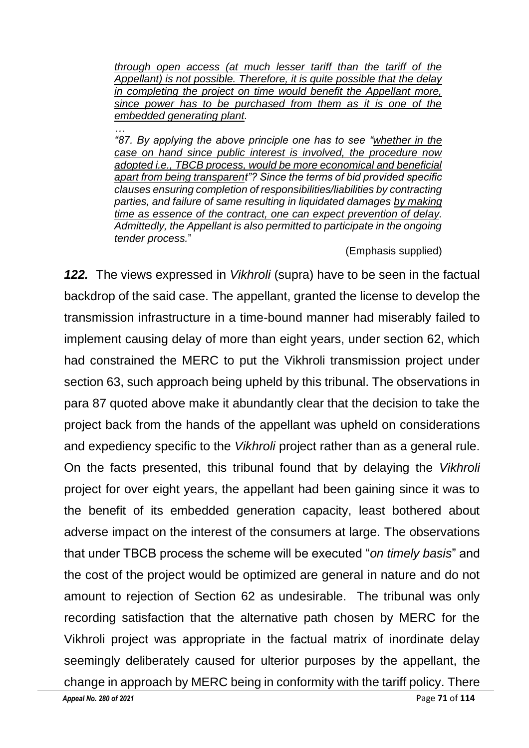*through open access (at much lesser tariff than the tariff of the Appellant) is not possible. Therefore, it is quite possible that the delay in completing the project on time would benefit the Appellant more, since power has to be purchased from them as it is one of the embedded generating plant.*

*… "87. By applying the above principle one has to see "whether in the case on hand since public interest is involved, the procedure now adopted i.e., TBCB process, would be more economical and beneficial apart from being transparent"? Since the terms of bid provided specific clauses ensuring completion of responsibilities/liabilities by contracting parties, and failure of same resulting in liquidated damages by making time as essence of the contract, one can expect prevention of delay. Admittedly, the Appellant is also permitted to participate in the ongoing tender process.*"

### (Emphasis supplied)

*122.* The views expressed in *Vikhroli* (supra) have to be seen in the factual backdrop of the said case. The appellant, granted the license to develop the transmission infrastructure in a time-bound manner had miserably failed to implement causing delay of more than eight years, under section 62, which had constrained the MERC to put the Vikhroli transmission project under section 63, such approach being upheld by this tribunal. The observations in para 87 quoted above make it abundantly clear that the decision to take the project back from the hands of the appellant was upheld on considerations and expediency specific to the *Vikhroli* project rather than as a general rule. On the facts presented, this tribunal found that by delaying the *Vikhroli*  project for over eight years, the appellant had been gaining since it was to the benefit of its embedded generation capacity, least bothered about adverse impact on the interest of the consumers at large. The observations that under TBCB process the scheme will be executed "*on timely basis*" and the cost of the project would be optimized are general in nature and do not amount to rejection of Section 62 as undesirable. The tribunal was only recording satisfaction that the alternative path chosen by MERC for the Vikhroli project was appropriate in the factual matrix of inordinate delay seemingly deliberately caused for ulterior purposes by the appellant, the change in approach by MERC being in conformity with the tariff policy. There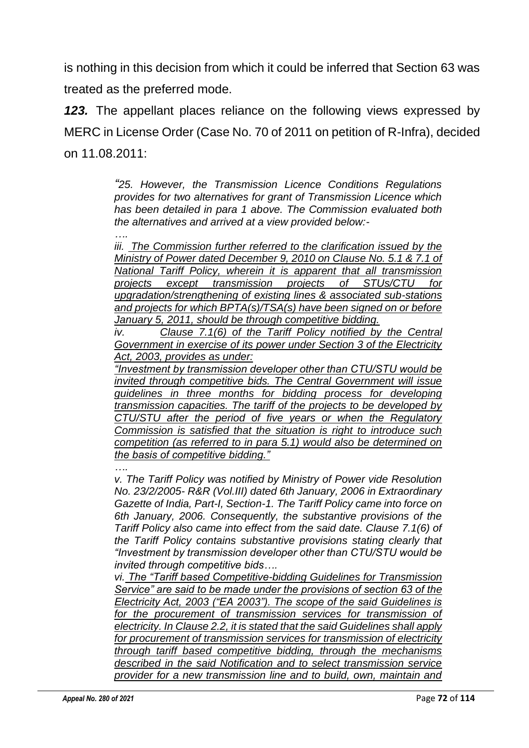is nothing in this decision from which it could be inferred that Section 63 was treated as the preferred mode.

*123.* The appellant places reliance on the following views expressed by MERC in License Order (Case No. 70 of 2011 on petition of R-Infra), decided on 11.08.2011:

> *"25. However, the Transmission Licence Conditions Regulations provides for two alternatives for grant of Transmission Licence which has been detailed in para 1 above. The Commission evaluated both the alternatives and arrived at a view provided below:-*

> *…. iii. The Commission further referred to the clarification issued by the Ministry of Power dated December 9, 2010 on Clause No. 5.1 & 7.1 of National Tariff Policy, wherein it is apparent that all transmission projects except transmission projects of STUs/CTU for upgradation/strengthening of existing lines & associated sub-stations and projects for which BPTA(s)/TSA(s) have been signed on or before January 5, 2011, should be through competitive bidding.*

> *iv. Clause 7.1(6) of the Tariff Policy notified by the Central Government in exercise of its power under Section 3 of the Electricity Act, 2003, provides as under:*

> *"Investment by transmission developer other than CTU/STU would be invited through competitive bids. The Central Government will issue guidelines in three months for bidding process for developing transmission capacities. The tariff of the projects to be developed by CTU/STU after the period of five years or when the Regulatory Commission is satisfied that the situation is right to introduce such competition (as referred to in para 5.1) would also be determined on the basis of competitive bidding."*

> *…. v. The Tariff Policy was notified by Ministry of Power vide Resolution No. 23/2/2005- R&R (Vol.III) dated 6th January, 2006 in Extraordinary Gazette of India, Part-I, Section-1. The Tariff Policy came into force on 6th January, 2006. Consequently, the substantive provisions of the Tariff Policy also came into effect from the said date. Clause 7.1(6) of the Tariff Policy contains substantive provisions stating clearly that "Investment by transmission developer other than CTU/STU would be invited through competitive bids….*

> *vi. The "Tariff based Competitive-bidding Guidelines for Transmission Service" are said to be made under the provisions of section 63 of the Electricity Act, 2003 ("EA 2003"). The scope of the said Guidelines is*  for the procurement of transmission services for transmission of *electricity. In Clause 2.2, it is stated that the said Guidelines shall apply for procurement of transmission services for transmission of electricity through tariff based competitive bidding, through the mechanisms described in the said Notification and to select transmission service provider for a new transmission line and to build, own, maintain and*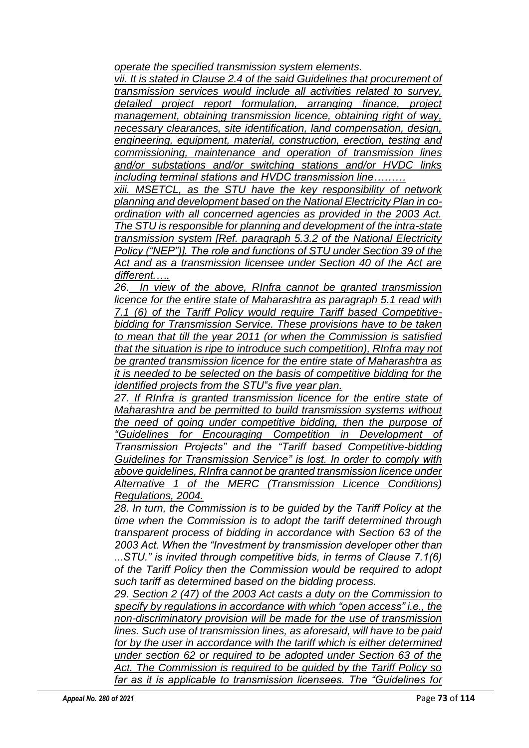*operate the specified transmission system elements.* 

*vii. It is stated in Clause 2.4 of the said Guidelines that procurement of transmission services would include all activities related to survey, detailed project report formulation, arranging finance, project management, obtaining transmission licence, obtaining right of way, necessary clearances, site identification, land compensation, design, engineering, equipment, material, construction, erection, testing and commissioning, maintenance and operation of transmission lines and/or substations and/or switching stations and/or HVDC links including terminal stations and HVDC transmission line………*

*xiii. MSETCL, as the STU have the key responsibility of network planning and development based on the National Electricity Plan in coordination with all concerned agencies as provided in the 2003 Act. The STU is responsible for planning and development of the intra-state transmission system [Ref. paragraph 5.3.2 of the National Electricity Policy ("NEP")]. The role and functions of STU under Section 39 of the Act and as a transmission licensee under Section 40 of the Act are different.….*

*26. In view of the above, RInfra cannot be granted transmission licence for the entire state of Maharashtra as paragraph 5.1 read with 7.1 (6) of the Tariff Policy would require Tariff based Competitivebidding for Transmission Service. These provisions have to be taken to mean that till the year 2011 (or when the Commission is satisfied that the situation is ripe to introduce such competition), RInfra may not be granted transmission licence for the entire state of Maharashtra as it is needed to be selected on the basis of competitive bidding for the identified projects from the STU"s five year plan.* 

*27. If RInfra is granted transmission licence for the entire state of Maharashtra and be permitted to build transmission systems without the need of going under competitive bidding, then the purpose of "Guidelines for Encouraging Competition in Development of Transmission Projects" and the "Tariff based Competitive-bidding Guidelines for Transmission Service" is lost. In order to comply with above guidelines, RInfra cannot be granted transmission licence under Alternative 1 of the MERC (Transmission Licence Conditions) Regulations, 2004.*

*28. In turn, the Commission is to be guided by the Tariff Policy at the time when the Commission is to adopt the tariff determined through transparent process of bidding in accordance with Section 63 of the 2003 Act. When the "Investment by transmission developer other than ...STU." is invited through competitive bids, in terms of Clause 7.1(6) of the Tariff Policy then the Commission would be required to adopt such tariff as determined based on the bidding process.* 

*29. Section 2 (47) of the 2003 Act casts a duty on the Commission to specify by regulations in accordance with which "open access" i.e., the non-discriminatory provision will be made for the use of transmission lines. Such use of transmission lines, as aforesaid, will have to be paid for by the user in accordance with the tariff which is either determined under section 62 or required to be adopted under Section 63 of the Act. The Commission is required to be guided by the Tariff Policy so far as it is applicable to transmission licensees. The "Guidelines for*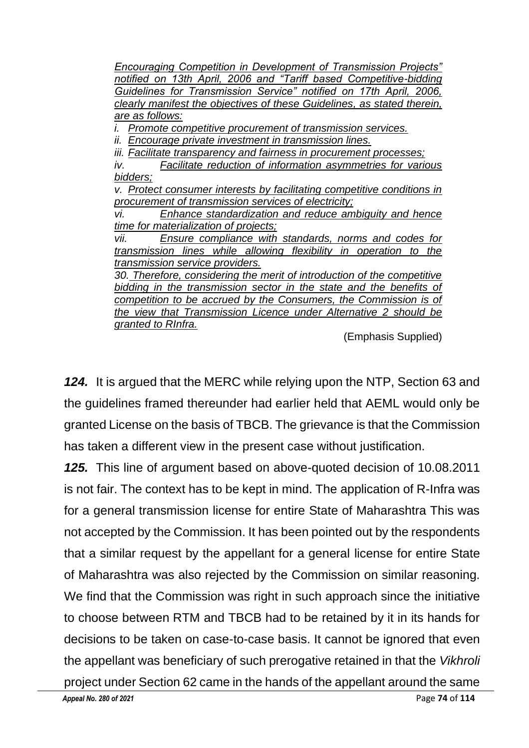*Encouraging Competition in Development of Transmission Projects" notified on 13th April, 2006 and "Tariff based Competitive-bidding Guidelines for Transmission Service" notified on 17th April, 2006, clearly manifest the objectives of these Guidelines, as stated therein, are as follows:* 

*i. Promote competitive procurement of transmission services.* 

*ii. Encourage private investment in transmission lines.* 

*iii. Facilitate transparency and fairness in procurement processes;* 

*iv. Facilitate reduction of information asymmetries for various bidders;* 

*v. Protect consumer interests by facilitating competitive conditions in procurement of transmission services of electricity;* 

*vi. Enhance standardization and reduce ambiguity and hence time for materialization of projects;* 

*vii. Ensure compliance with standards, norms and codes for transmission lines while allowing flexibility in operation to the transmission service providers.* 

*30. Therefore, considering the merit of introduction of the competitive bidding in the transmission sector in the state and the benefits of competition to be accrued by the Consumers, the Commission is of the view that Transmission Licence under Alternative 2 should be granted to RInfra.*

(Emphasis Supplied)

*124.* It is argued that the MERC while relying upon the NTP, Section 63 and the guidelines framed thereunder had earlier held that AEML would only be granted License on the basis of TBCB. The grievance is that the Commission has taken a different view in the present case without justification.

*125.* This line of argument based on above-quoted decision of 10.08.2011 is not fair. The context has to be kept in mind. The application of R-Infra was for a general transmission license for entire State of Maharashtra This was not accepted by the Commission. It has been pointed out by the respondents that a similar request by the appellant for a general license for entire State of Maharashtra was also rejected by the Commission on similar reasoning. We find that the Commission was right in such approach since the initiative to choose between RTM and TBCB had to be retained by it in its hands for decisions to be taken on case-to-case basis. It cannot be ignored that even the appellant was beneficiary of such prerogative retained in that the *Vikhroli*  project under Section 62 came in the hands of the appellant around the same

*Appeal No. 280 of 2021* Page **74** of **114**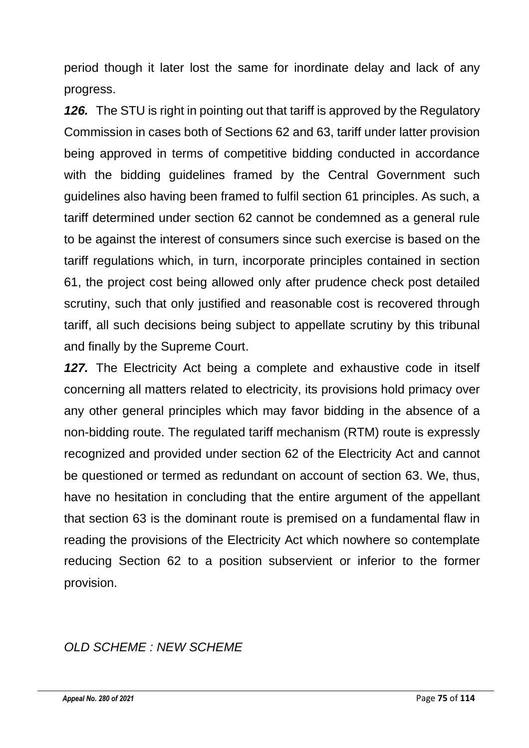period though it later lost the same for inordinate delay and lack of any progress.

*126.* The STU is right in pointing out that tariff is approved by the Regulatory Commission in cases both of Sections 62 and 63, tariff under latter provision being approved in terms of competitive bidding conducted in accordance with the bidding guidelines framed by the Central Government such guidelines also having been framed to fulfil section 61 principles. As such, a tariff determined under section 62 cannot be condemned as a general rule to be against the interest of consumers since such exercise is based on the tariff regulations which, in turn, incorporate principles contained in section 61, the project cost being allowed only after prudence check post detailed scrutiny, such that only justified and reasonable cost is recovered through tariff, all such decisions being subject to appellate scrutiny by this tribunal and finally by the Supreme Court.

*127.* The Electricity Act being a complete and exhaustive code in itself concerning all matters related to electricity, its provisions hold primacy over any other general principles which may favor bidding in the absence of a non-bidding route. The regulated tariff mechanism (RTM) route is expressly recognized and provided under section 62 of the Electricity Act and cannot be questioned or termed as redundant on account of section 63. We, thus, have no hesitation in concluding that the entire argument of the appellant that section 63 is the dominant route is premised on a fundamental flaw in reading the provisions of the Electricity Act which nowhere so contemplate reducing Section 62 to a position subservient or inferior to the former provision.

## *OLD SCHEME : NEW SCHEME*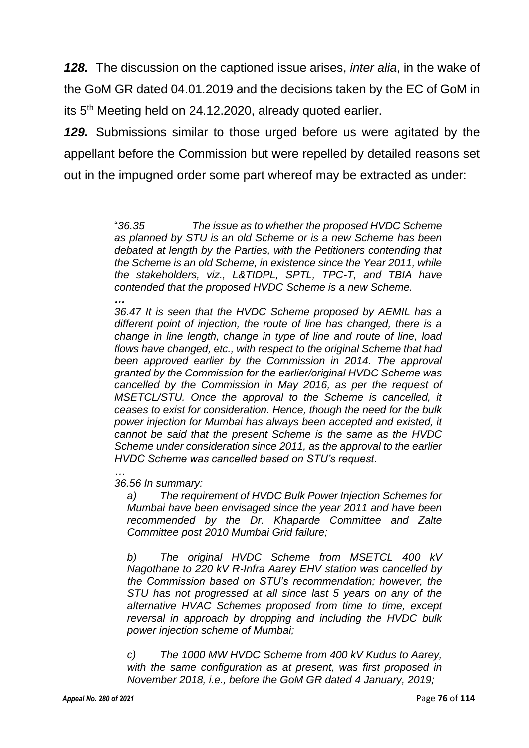*128.* The discussion on the captioned issue arises, *inter alia*, in the wake of the GoM GR dated 04.01.2019 and the decisions taken by the EC of GoM in its 5th Meeting held on 24.12.2020, already quoted earlier.

*129.* Submissions similar to those urged before us were agitated by the appellant before the Commission but were repelled by detailed reasons set out in the impugned order some part whereof may be extracted as under:

> "*36.35 The issue as to whether the proposed HVDC Scheme as planned by STU is an old Scheme or is a new Scheme has been debated at length by the Parties, with the Petitioners contending that the Scheme is an old Scheme, in existence since the Year 2011, while the stakeholders, viz., L&TIDPL, SPTL, TPC-T, and TBIA have contended that the proposed HVDC Scheme is a new Scheme.*

> *… 36.47 It is seen that the HVDC Scheme proposed by AEMIL has a different point of injection, the route of line has changed, there is a change in line length, change in type of line and route of line, load flows have changed, etc., with respect to the original Scheme that had been approved earlier by the Commission in 2014. The approval granted by the Commission for the earlier/original HVDC Scheme was cancelled by the Commission in May 2016, as per the request of MSETCL/STU. Once the approval to the Scheme is cancelled, it ceases to exist for consideration. Hence, though the need for the bulk power injection for Mumbai has always been accepted and existed, it cannot be said that the present Scheme is the same as the HVDC Scheme under consideration since 2011, as the approval to the earlier HVDC Scheme was cancelled based on STU's request*.

*… 36.56 In summary:*

> *a) The requirement of HVDC Bulk Power Injection Schemes for Mumbai have been envisaged since the year 2011 and have been recommended by the Dr. Khaparde Committee and Zalte Committee post 2010 Mumbai Grid failure;*

> *b) The original HVDC Scheme from MSETCL 400 kV Nagothane to 220 kV R-Infra Aarey EHV station was cancelled by the Commission based on STU's recommendation; however, the STU has not progressed at all since last 5 years on any of the alternative HVAC Schemes proposed from time to time, except reversal in approach by dropping and including the HVDC bulk power injection scheme of Mumbai;*

> *c) The 1000 MW HVDC Scheme from 400 kV Kudus to Aarey, with the same configuration as at present, was first proposed in November 2018, i.e., before the GoM GR dated 4 January, 2019;*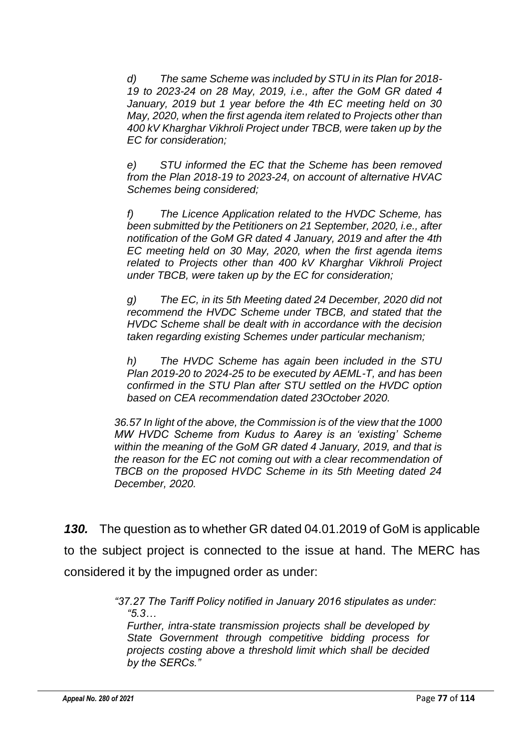*d) The same Scheme was included by STU in its Plan for 2018- 19 to 2023-24 on 28 May, 2019, i.e., after the GoM GR dated 4 January, 2019 but 1 year before the 4th EC meeting held on 30 May, 2020, when the first agenda item related to Projects other than 400 kV Kharghar Vikhroli Project under TBCB, were taken up by the EC for consideration;* 

*e) STU informed the EC that the Scheme has been removed from the Plan 2018-19 to 2023-24, on account of alternative HVAC Schemes being considered;*

*f) The Licence Application related to the HVDC Scheme, has been submitted by the Petitioners on 21 September, 2020, i.e., after notification of the GoM GR dated 4 January, 2019 and after the 4th EC meeting held on 30 May, 2020, when the first agenda items related to Projects other than 400 kV Kharghar Vikhroli Project under TBCB, were taken up by the EC for consideration;* 

*g) The EC, in its 5th Meeting dated 24 December, 2020 did not recommend the HVDC Scheme under TBCB, and stated that the HVDC Scheme shall be dealt with in accordance with the decision taken regarding existing Schemes under particular mechanism;* 

*h) The HVDC Scheme has again been included in the STU Plan 2019-20 to 2024-25 to be executed by AEML-T, and has been confirmed in the STU Plan after STU settled on the HVDC option based on CEA recommendation dated 23October 2020.* 

*36.57 In light of the above, the Commission is of the view that the 1000 MW HVDC Scheme from Kudus to Aarey is an 'existing' Scheme within the meaning of the GoM GR dated 4 January, 2019, and that is the reason for the EC not coming out with a clear recommendation of TBCB on the proposed HVDC Scheme in its 5th Meeting dated 24 December, 2020.*

*130.* The question as to whether GR dated 04.01.2019 of GoM is applicable to the subject project is connected to the issue at hand. The MERC has considered it by the impugned order as under:

> *"37.27 The Tariff Policy notified in January 2016 stipulates as under: "5.3…*

*Further, intra-state transmission projects shall be developed by State Government through competitive bidding process for projects costing above a threshold limit which shall be decided by the SERCs."*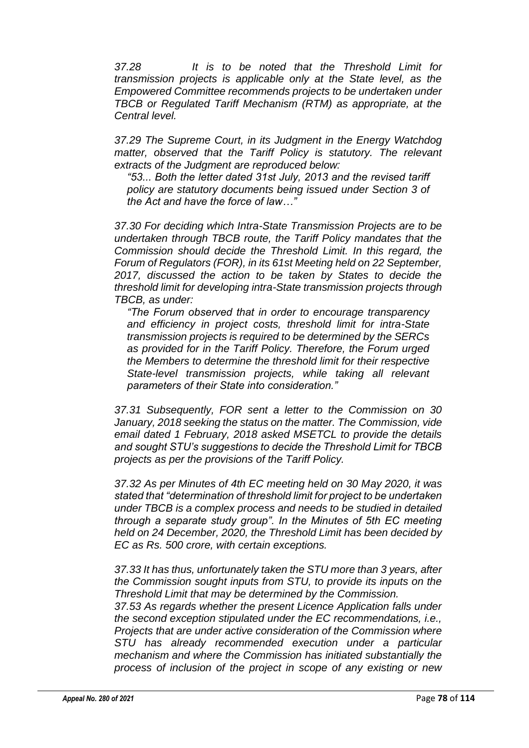*37.28 It is to be noted that the Threshold Limit for transmission projects is applicable only at the State level, as the Empowered Committee recommends projects to be undertaken under TBCB or Regulated Tariff Mechanism (RTM) as appropriate, at the Central level.* 

*37.29 The Supreme Court, in its Judgment in the Energy Watchdog*  matter, observed that the Tariff Policy is statutory. The relevant *extracts of the Judgment are reproduced below:* 

*"53... Both the letter dated 31st July, 2013 and the revised tariff policy are statutory documents being issued under Section 3 of the Act and have the force of law…"*

*37.30 For deciding which Intra-State Transmission Projects are to be undertaken through TBCB route, the Tariff Policy mandates that the Commission should decide the Threshold Limit. In this regard, the Forum of Regulators (FOR), in its 61st Meeting held on 22 September, 2017, discussed the action to be taken by States to decide the threshold limit for developing intra-State transmission projects through TBCB, as under:* 

*"The Forum observed that in order to encourage transparency and efficiency in project costs, threshold limit for intra-State transmission projects is required to be determined by the SERCs as provided for in the Tariff Policy. Therefore, the Forum urged the Members to determine the threshold limit for their respective State-level transmission projects, while taking all relevant parameters of their State into consideration."* 

*37.31 Subsequently, FOR sent a letter to the Commission on 30 January, 2018 seeking the status on the matter. The Commission, vide email dated 1 February, 2018 asked MSETCL to provide the details and sought STU's suggestions to decide the Threshold Limit for TBCB projects as per the provisions of the Tariff Policy.* 

*37.32 As per Minutes of 4th EC meeting held on 30 May 2020, it was stated that "determination of threshold limit for project to be undertaken under TBCB is a complex process and needs to be studied in detailed through a separate study group". In the Minutes of 5th EC meeting held on 24 December, 2020, the Threshold Limit has been decided by EC as Rs. 500 crore, with certain exceptions.*

*37.33 It has thus, unfortunately taken the STU more than 3 years, after the Commission sought inputs from STU, to provide its inputs on the Threshold Limit that may be determined by the Commission.*

*37.53 As regards whether the present Licence Application falls under the second exception stipulated under the EC recommendations, i.e., Projects that are under active consideration of the Commission where STU has already recommended execution under a particular mechanism and where the Commission has initiated substantially the process of inclusion of the project in scope of any existing or new*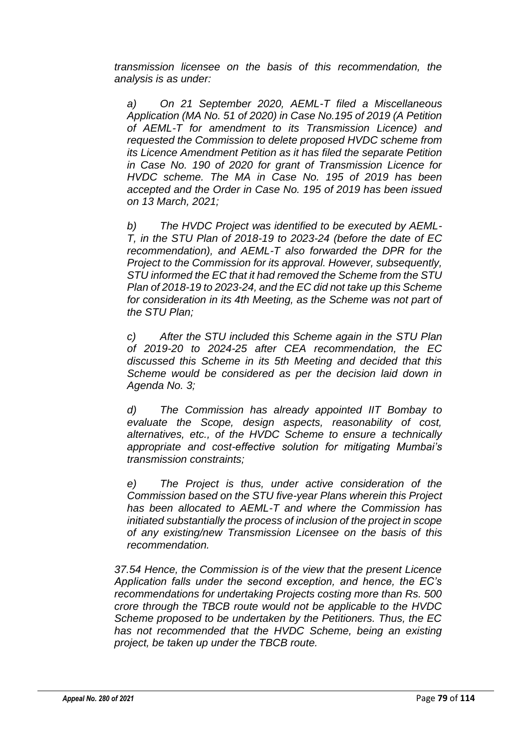*transmission licensee on the basis of this recommendation, the analysis is as under:*

*a) On 21 September 2020, AEML-T filed a Miscellaneous Application (MA No. 51 of 2020) in Case No.195 of 2019 (A Petition of AEML-T for amendment to its Transmission Licence) and requested the Commission to delete proposed HVDC scheme from its Licence Amendment Petition as it has filed the separate Petition in Case No. 190 of 2020 for grant of Transmission Licence for HVDC scheme. The MA in Case No. 195 of 2019 has been accepted and the Order in Case No. 195 of 2019 has been issued on 13 March, 2021;* 

*b) The HVDC Project was identified to be executed by AEML-T, in the STU Plan of 2018-19 to 2023-24 (before the date of EC recommendation), and AEML-T also forwarded the DPR for the Project to the Commission for its approval. However, subsequently, STU informed the EC that it had removed the Scheme from the STU Plan of 2018-19 to 2023-24, and the EC did not take up this Scheme for consideration in its 4th Meeting, as the Scheme was not part of the STU Plan;* 

*c) After the STU included this Scheme again in the STU Plan of 2019-20 to 2024-25 after CEA recommendation, the EC discussed this Scheme in its 5th Meeting and decided that this Scheme would be considered as per the decision laid down in Agenda No. 3;* 

*d) The Commission has already appointed IIT Bombay to evaluate the Scope, design aspects, reasonability of cost, alternatives, etc., of the HVDC Scheme to ensure a technically appropriate and cost-effective solution for mitigating Mumbai's transmission constraints;* 

*e) The Project is thus, under active consideration of the Commission based on the STU five-year Plans wherein this Project has been allocated to AEML-T and where the Commission has initiated substantially the process of inclusion of the project in scope of any existing/new Transmission Licensee on the basis of this recommendation.* 

*37.54 Hence, the Commission is of the view that the present Licence Application falls under the second exception, and hence, the EC's recommendations for undertaking Projects costing more than Rs. 500 crore through the TBCB route would not be applicable to the HVDC Scheme proposed to be undertaken by the Petitioners. Thus, the EC has not recommended that the HVDC Scheme, being an existing project, be taken up under the TBCB route.*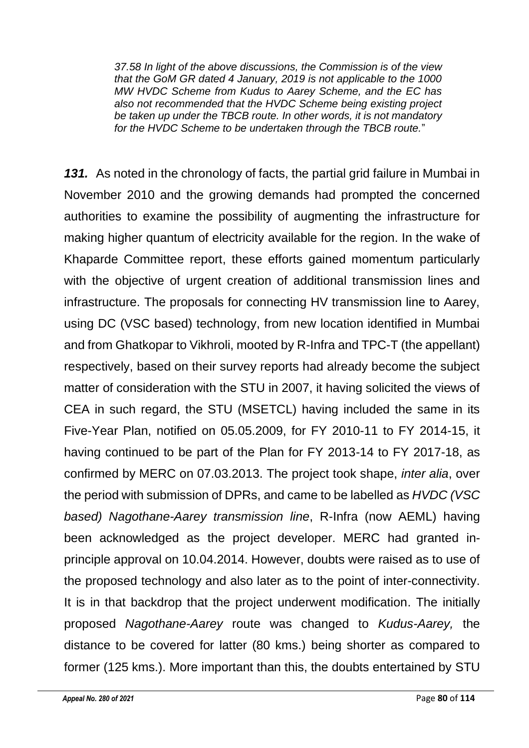*37.58 In light of the above discussions, the Commission is of the view that the GoM GR dated 4 January, 2019 is not applicable to the 1000 MW HVDC Scheme from Kudus to Aarey Scheme, and the EC has also not recommended that the HVDC Scheme being existing project be taken up under the TBCB route. In other words, it is not mandatory for the HVDC Scheme to be undertaken through the TBCB route.*"

*131.* As noted in the chronology of facts, the partial grid failure in Mumbai in November 2010 and the growing demands had prompted the concerned authorities to examine the possibility of augmenting the infrastructure for making higher quantum of electricity available for the region. In the wake of Khaparde Committee report, these efforts gained momentum particularly with the objective of urgent creation of additional transmission lines and infrastructure. The proposals for connecting HV transmission line to Aarey, using DC (VSC based) technology, from new location identified in Mumbai and from Ghatkopar to Vikhroli, mooted by R-Infra and TPC-T (the appellant) respectively, based on their survey reports had already become the subject matter of consideration with the STU in 2007, it having solicited the views of CEA in such regard, the STU (MSETCL) having included the same in its Five-Year Plan, notified on 05.05.2009, for FY 2010-11 to FY 2014-15, it having continued to be part of the Plan for FY 2013-14 to FY 2017-18, as confirmed by MERC on 07.03.2013. The project took shape, *inter alia*, over the period with submission of DPRs, and came to be labelled as *HVDC (VSC based) Nagothane-Aarey transmission line*, R-Infra (now AEML) having been acknowledged as the project developer. MERC had granted inprinciple approval on 10.04.2014. However, doubts were raised as to use of the proposed technology and also later as to the point of inter-connectivity. It is in that backdrop that the project underwent modification. The initially proposed *Nagothane-Aarey* route was changed to *Kudus-Aarey,* the distance to be covered for latter (80 kms.) being shorter as compared to former (125 kms.). More important than this, the doubts entertained by STU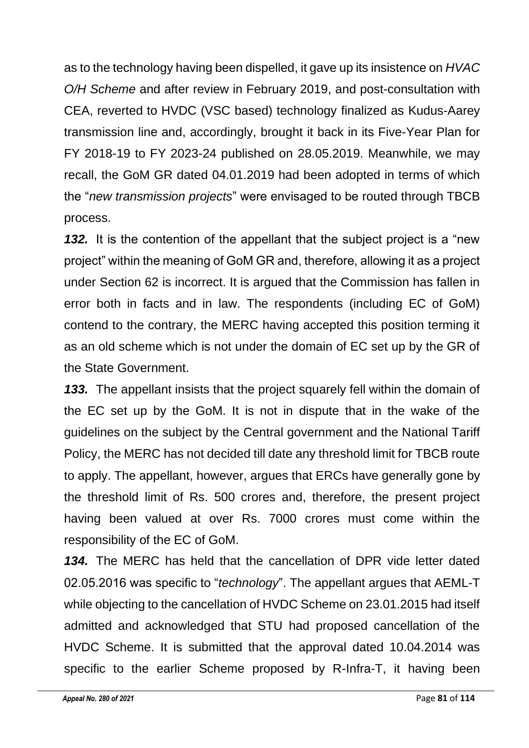as to the technology having been dispelled, it gave up its insistence on *HVAC O/H Scheme* and after review in February 2019, and post-consultation with CEA, reverted to HVDC (VSC based) technology finalized as Kudus-Aarey transmission line and, accordingly, brought it back in its Five-Year Plan for FY 2018-19 to FY 2023-24 published on 28.05.2019. Meanwhile, we may recall, the GoM GR dated 04.01.2019 had been adopted in terms of which the "*new transmission projects*" were envisaged to be routed through TBCB process.

*132.* It is the contention of the appellant that the subject project is a "new project" within the meaning of GoM GR and, therefore, allowing it as a project under Section 62 is incorrect. It is argued that the Commission has fallen in error both in facts and in law. The respondents (including EC of GoM) contend to the contrary, the MERC having accepted this position terming it as an old scheme which is not under the domain of EC set up by the GR of the State Government.

*133.* The appellant insists that the project squarely fell within the domain of the EC set up by the GoM. It is not in dispute that in the wake of the guidelines on the subject by the Central government and the National Tariff Policy, the MERC has not decided till date any threshold limit for TBCB route to apply. The appellant, however, argues that ERCs have generally gone by the threshold limit of Rs. 500 crores and, therefore, the present project having been valued at over Rs. 7000 crores must come within the responsibility of the EC of GoM.

*134.* The MERC has held that the cancellation of DPR vide letter dated 02.05.2016 was specific to "*technology*". The appellant argues that AEML-T while objecting to the cancellation of HVDC Scheme on 23.01.2015 had itself admitted and acknowledged that STU had proposed cancellation of the HVDC Scheme. It is submitted that the approval dated 10.04.2014 was specific to the earlier Scheme proposed by R-Infra-T, it having been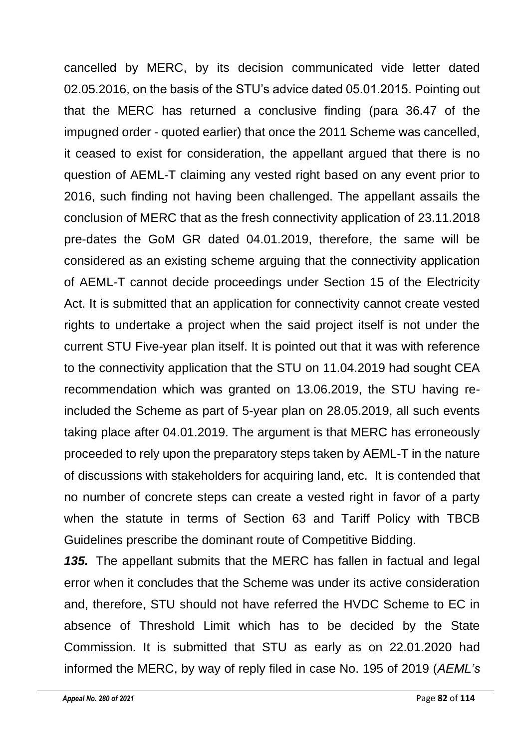cancelled by MERC, by its decision communicated vide letter dated 02.05.2016, on the basis of the STU's advice dated 05.01.2015. Pointing out that the MERC has returned a conclusive finding (para 36.47 of the impugned order - quoted earlier) that once the 2011 Scheme was cancelled, it ceased to exist for consideration, the appellant argued that there is no question of AEML-T claiming any vested right based on any event prior to 2016, such finding not having been challenged. The appellant assails the conclusion of MERC that as the fresh connectivity application of 23.11.2018 pre-dates the GoM GR dated 04.01.2019, therefore, the same will be considered as an existing scheme arguing that the connectivity application of AEML-T cannot decide proceedings under Section 15 of the Electricity Act. It is submitted that an application for connectivity cannot create vested rights to undertake a project when the said project itself is not under the current STU Five-year plan itself. It is pointed out that it was with reference to the connectivity application that the STU on 11.04.2019 had sought CEA recommendation which was granted on 13.06.2019, the STU having reincluded the Scheme as part of 5-year plan on 28.05.2019, all such events taking place after 04.01.2019. The argument is that MERC has erroneously proceeded to rely upon the preparatory steps taken by AEML-T in the nature of discussions with stakeholders for acquiring land, etc. It is contended that no number of concrete steps can create a vested right in favor of a party when the statute in terms of Section 63 and Tariff Policy with TBCB Guidelines prescribe the dominant route of Competitive Bidding.

*135.* The appellant submits that the MERC has fallen in factual and legal error when it concludes that the Scheme was under its active consideration and, therefore, STU should not have referred the HVDC Scheme to EC in absence of Threshold Limit which has to be decided by the State Commission. It is submitted that STU as early as on 22.01.2020 had informed the MERC, by way of reply filed in case No. 195 of 2019 (*AEML's*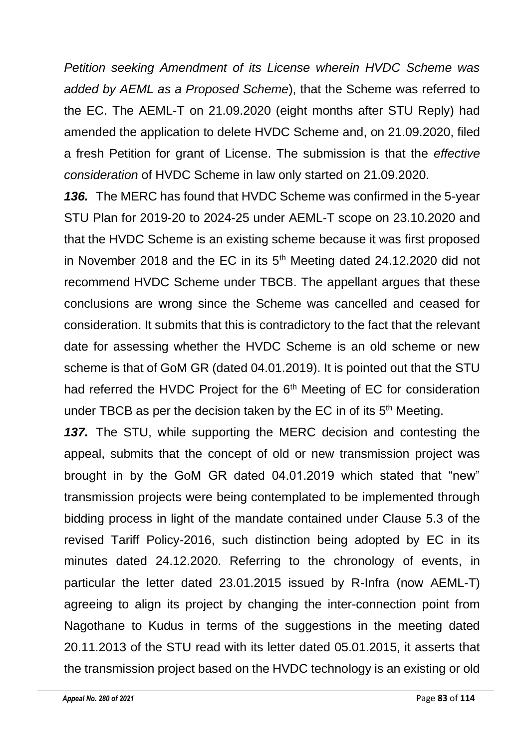*Petition seeking Amendment of its License wherein HVDC Scheme was added by AEML as a Proposed Scheme*), that the Scheme was referred to the EC. The AEML-T on 21.09.2020 (eight months after STU Reply) had amended the application to delete HVDC Scheme and, on 21.09.2020, filed a fresh Petition for grant of License. The submission is that the *effective consideration* of HVDC Scheme in law only started on 21.09.2020.

*136.* The MERC has found that HVDC Scheme was confirmed in the 5-year STU Plan for 2019-20 to 2024-25 under AEML-T scope on 23.10.2020 and that the HVDC Scheme is an existing scheme because it was first proposed in November 2018 and the EC in its  $5<sup>th</sup>$  Meeting dated 24.12.2020 did not recommend HVDC Scheme under TBCB. The appellant argues that these conclusions are wrong since the Scheme was cancelled and ceased for consideration. It submits that this is contradictory to the fact that the relevant date for assessing whether the HVDC Scheme is an old scheme or new scheme is that of GoM GR (dated 04.01.2019). It is pointed out that the STU had referred the HVDC Project for the  $6<sup>th</sup>$  Meeting of EC for consideration under TBCB as per the decision taken by the EC in of its 5<sup>th</sup> Meeting.

*137.* The STU, while supporting the MERC decision and contesting the appeal, submits that the concept of old or new transmission project was brought in by the GoM GR dated 04.01.2019 which stated that "new" transmission projects were being contemplated to be implemented through bidding process in light of the mandate contained under Clause 5.3 of the revised Tariff Policy-2016, such distinction being adopted by EC in its minutes dated 24.12.2020. Referring to the chronology of events, in particular the letter dated 23.01.2015 issued by R-Infra (now AEML-T) agreeing to align its project by changing the inter-connection point from Nagothane to Kudus in terms of the suggestions in the meeting dated 20.11.2013 of the STU read with its letter dated 05.01.2015, it asserts that the transmission project based on the HVDC technology is an existing or old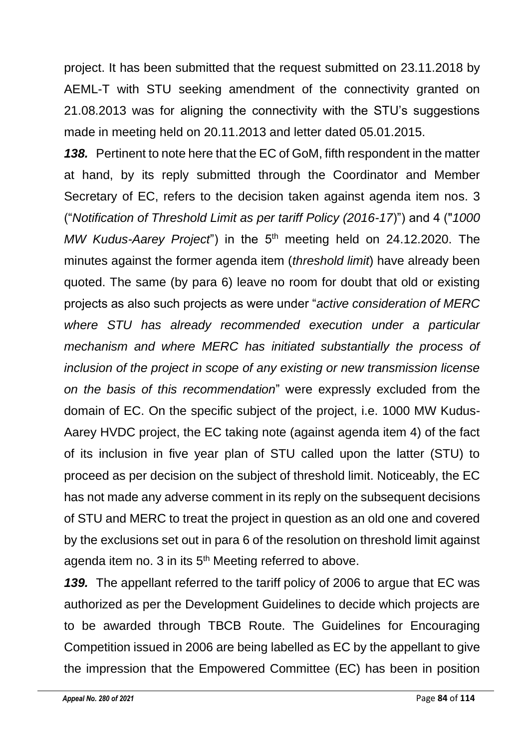project. It has been submitted that the request submitted on 23.11.2018 by AEML-T with STU seeking amendment of the connectivity granted on 21.08.2013 was for aligning the connectivity with the STU's suggestions made in meeting held on 20.11.2013 and letter dated 05.01.2015.

*138.* Pertinent to note here that the EC of GoM, fifth respondent in the matter at hand, by its reply submitted through the Coordinator and Member Secretary of EC, refers to the decision taken against agenda item nos. 3 ("*Notification of Threshold Limit as per tariff Policy (2016-17*)") and 4 ("*1000 MW Kudus-Aarey Project*") in the 5<sup>th</sup> meeting held on 24.12.2020. The minutes against the former agenda item (*threshold limit*) have already been quoted. The same (by para 6) leave no room for doubt that old or existing projects as also such projects as were under "*active consideration of MERC where STU has already recommended execution under a particular mechanism and where MERC has initiated substantially the process of inclusion of the project in scope of any existing or new transmission license on the basis of this recommendation*" were expressly excluded from the domain of EC. On the specific subject of the project, i.e. 1000 MW Kudus-Aarey HVDC project, the EC taking note (against agenda item 4) of the fact of its inclusion in five year plan of STU called upon the latter (STU) to proceed as per decision on the subject of threshold limit. Noticeably, the EC has not made any adverse comment in its reply on the subsequent decisions of STU and MERC to treat the project in question as an old one and covered by the exclusions set out in para 6 of the resolution on threshold limit against agenda item no. 3 in its  $5<sup>th</sup>$  Meeting referred to above.

*139.* The appellant referred to the tariff policy of 2006 to argue that EC was authorized as per the Development Guidelines to decide which projects are to be awarded through TBCB Route. The Guidelines for Encouraging Competition issued in 2006 are being labelled as EC by the appellant to give the impression that the Empowered Committee (EC) has been in position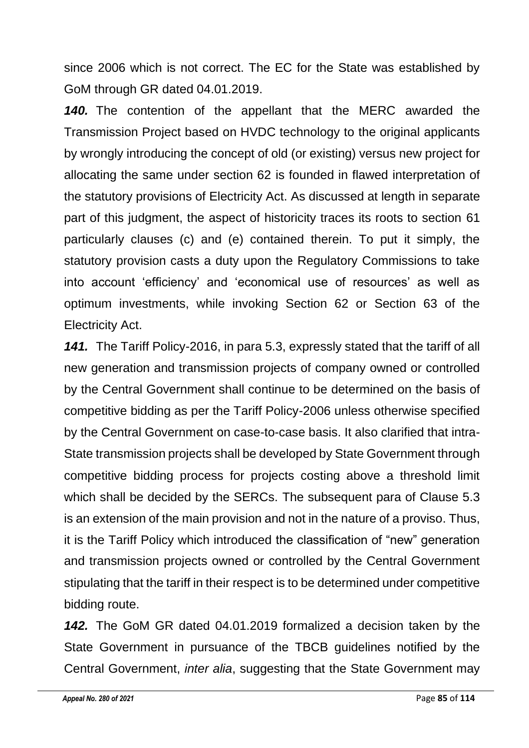since 2006 which is not correct. The EC for the State was established by GoM through GR dated 04.01.2019.

*140.* The contention of the appellant that the MERC awarded the Transmission Project based on HVDC technology to the original applicants by wrongly introducing the concept of old (or existing) versus new project for allocating the same under section 62 is founded in flawed interpretation of the statutory provisions of Electricity Act. As discussed at length in separate part of this judgment, the aspect of historicity traces its roots to section 61 particularly clauses (c) and (e) contained therein. To put it simply, the statutory provision casts a duty upon the Regulatory Commissions to take into account 'efficiency' and 'economical use of resources' as well as optimum investments, while invoking Section 62 or Section 63 of the Electricity Act.

*141.* The Tariff Policy-2016, in para 5.3, expressly stated that the tariff of all new generation and transmission projects of company owned or controlled by the Central Government shall continue to be determined on the basis of competitive bidding as per the Tariff Policy-2006 unless otherwise specified by the Central Government on case-to-case basis. It also clarified that intra-State transmission projects shall be developed by State Government through competitive bidding process for projects costing above a threshold limit which shall be decided by the SERCs. The subsequent para of Clause 5.3 is an extension of the main provision and not in the nature of a proviso. Thus, it is the Tariff Policy which introduced the classification of "new" generation and transmission projects owned or controlled by the Central Government stipulating that the tariff in their respect is to be determined under competitive bidding route.

*142.* The GoM GR dated 04.01.2019 formalized a decision taken by the State Government in pursuance of the TBCB guidelines notified by the Central Government, *inter alia*, suggesting that the State Government may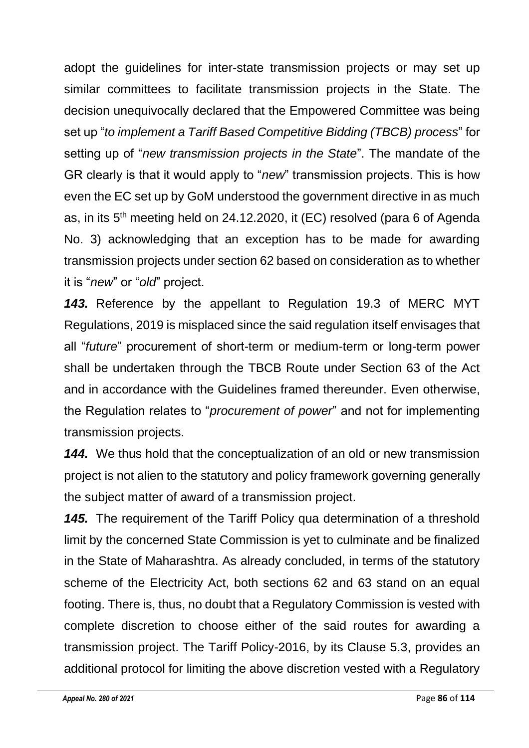adopt the guidelines for inter-state transmission projects or may set up similar committees to facilitate transmission projects in the State. The decision unequivocally declared that the Empowered Committee was being set up "*to implement a Tariff Based Competitive Bidding (TBCB) process*" for setting up of "*new transmission projects in the State*". The mandate of the GR clearly is that it would apply to "*new*" transmission projects. This is how even the EC set up by GoM understood the government directive in as much as, in its 5<sup>th</sup> meeting held on 24.12.2020, it (EC) resolved (para 6 of Agenda No. 3) acknowledging that an exception has to be made for awarding transmission projects under section 62 based on consideration as to whether it is "*new*" or "*old*" project.

*143.* Reference by the appellant to Regulation 19.3 of MERC MYT Regulations, 2019 is misplaced since the said regulation itself envisages that all "*future*" procurement of short-term or medium-term or long-term power shall be undertaken through the TBCB Route under Section 63 of the Act and in accordance with the Guidelines framed thereunder. Even otherwise, the Regulation relates to "*procurement of power*" and not for implementing transmission projects.

*144.* We thus hold that the conceptualization of an old or new transmission project is not alien to the statutory and policy framework governing generally the subject matter of award of a transmission project.

*145.* The requirement of the Tariff Policy qua determination of a threshold limit by the concerned State Commission is yet to culminate and be finalized in the State of Maharashtra. As already concluded, in terms of the statutory scheme of the Electricity Act, both sections 62 and 63 stand on an equal footing. There is, thus, no doubt that a Regulatory Commission is vested with complete discretion to choose either of the said routes for awarding a transmission project. The Tariff Policy-2016, by its Clause 5.3, provides an additional protocol for limiting the above discretion vested with a Regulatory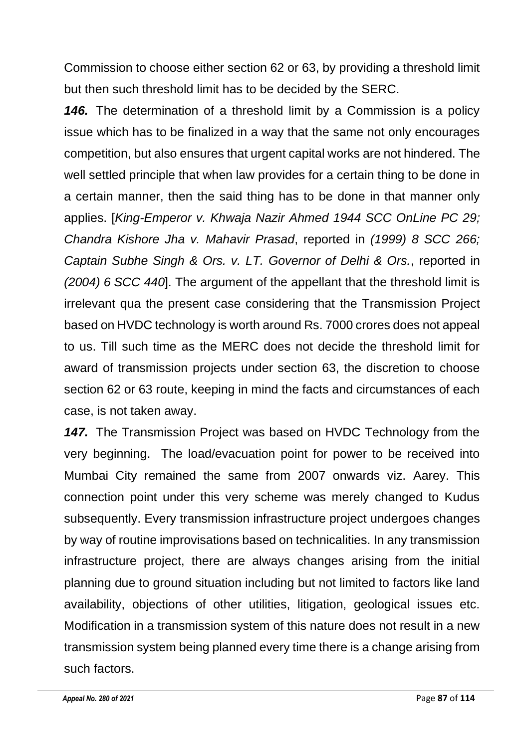Commission to choose either section 62 or 63, by providing a threshold limit but then such threshold limit has to be decided by the SERC.

*146.* The determination of a threshold limit by a Commission is a policy issue which has to be finalized in a way that the same not only encourages competition, but also ensures that urgent capital works are not hindered. The well settled principle that when law provides for a certain thing to be done in a certain manner, then the said thing has to be done in that manner only applies. [*King-Emperor v. Khwaja Nazir Ahmed 1944 SCC OnLine PC 29; Chandra Kishore Jha v. Mahavir Prasad*, reported in *(1999) 8 SCC 266; Captain Subhe Singh & Ors. v. LT. Governor of Delhi & Ors.*, reported in *(2004) 6 SCC 440*]. The argument of the appellant that the threshold limit is irrelevant qua the present case considering that the Transmission Project based on HVDC technology is worth around Rs. 7000 crores does not appeal to us. Till such time as the MERC does not decide the threshold limit for award of transmission projects under section 63, the discretion to choose section 62 or 63 route, keeping in mind the facts and circumstances of each case, is not taken away.

*147.* The Transmission Project was based on HVDC Technology from the very beginning. The load/evacuation point for power to be received into Mumbai City remained the same from 2007 onwards viz. Aarey. This connection point under this very scheme was merely changed to Kudus subsequently. Every transmission infrastructure project undergoes changes by way of routine improvisations based on technicalities. In any transmission infrastructure project, there are always changes arising from the initial planning due to ground situation including but not limited to factors like land availability, objections of other utilities, litigation, geological issues etc. Modification in a transmission system of this nature does not result in a new transmission system being planned every time there is a change arising from such factors.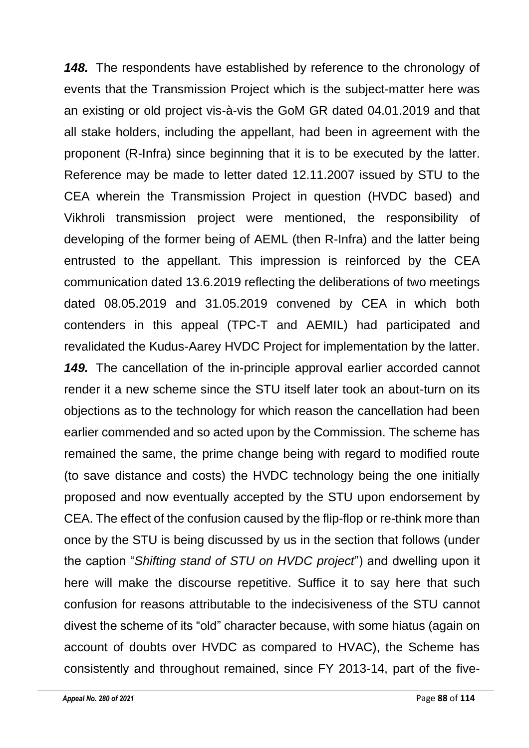*148.* The respondents have established by reference to the chronology of events that the Transmission Project which is the subject-matter here was an existing or old project vis-à-vis the GoM GR dated 04.01.2019 and that all stake holders, including the appellant, had been in agreement with the proponent (R-Infra) since beginning that it is to be executed by the latter. Reference may be made to letter dated 12.11.2007 issued by STU to the CEA wherein the Transmission Project in question (HVDC based) and Vikhroli transmission project were mentioned, the responsibility of developing of the former being of AEML (then R-Infra) and the latter being entrusted to the appellant. This impression is reinforced by the CEA communication dated 13.6.2019 reflecting the deliberations of two meetings dated 08.05.2019 and 31.05.2019 convened by CEA in which both contenders in this appeal (TPC-T and AEMIL) had participated and revalidated the Kudus-Aarey HVDC Project for implementation by the latter. *149.* The cancellation of the in-principle approval earlier accorded cannot render it a new scheme since the STU itself later took an about-turn on its objections as to the technology for which reason the cancellation had been earlier commended and so acted upon by the Commission. The scheme has remained the same, the prime change being with regard to modified route (to save distance and costs) the HVDC technology being the one initially proposed and now eventually accepted by the STU upon endorsement by CEA. The effect of the confusion caused by the flip-flop or re-think more than once by the STU is being discussed by us in the section that follows (under the caption "*Shifting stand of STU on HVDC project*") and dwelling upon it here will make the discourse repetitive. Suffice it to say here that such confusion for reasons attributable to the indecisiveness of the STU cannot divest the scheme of its "old" character because, with some hiatus (again on account of doubts over HVDC as compared to HVAC), the Scheme has consistently and throughout remained, since FY 2013-14, part of the five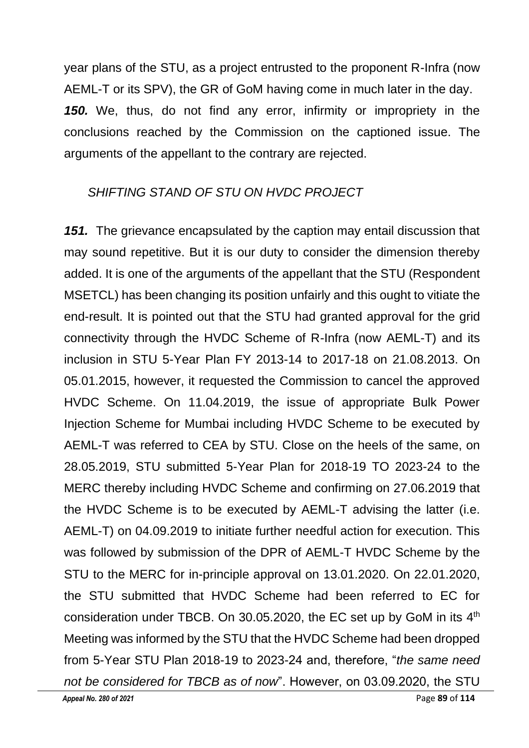year plans of the STU, as a project entrusted to the proponent R-Infra (now AEML-T or its SPV), the GR of GoM having come in much later in the day. *150.* We, thus, do not find any error, infirmity or impropriety in the conclusions reached by the Commission on the captioned issue. The arguments of the appellant to the contrary are rejected.

## *SHIFTING STAND OF STU ON HVDC PROJECT*

*151.* The grievance encapsulated by the caption may entail discussion that may sound repetitive. But it is our duty to consider the dimension thereby added. It is one of the arguments of the appellant that the STU (Respondent MSETCL) has been changing its position unfairly and this ought to vitiate the end-result. It is pointed out that the STU had granted approval for the grid connectivity through the HVDC Scheme of R-Infra (now AEML-T) and its inclusion in STU 5-Year Plan FY 2013-14 to 2017-18 on 21.08.2013. On 05.01.2015, however, it requested the Commission to cancel the approved HVDC Scheme. On 11.04.2019, the issue of appropriate Bulk Power Injection Scheme for Mumbai including HVDC Scheme to be executed by AEML-T was referred to CEA by STU. Close on the heels of the same, on 28.05.2019, STU submitted 5-Year Plan for 2018-19 TO 2023-24 to the MERC thereby including HVDC Scheme and confirming on 27.06.2019 that the HVDC Scheme is to be executed by AEML-T advising the latter (i.e. AEML-T) on 04.09.2019 to initiate further needful action for execution. This was followed by submission of the DPR of AEML-T HVDC Scheme by the STU to the MERC for in-principle approval on 13.01.2020. On 22.01.2020, the STU submitted that HVDC Scheme had been referred to EC for consideration under TBCB. On 30.05.2020, the EC set up by GoM in its  $4<sup>th</sup>$ Meeting was informed by the STU that the HVDC Scheme had been dropped from 5-Year STU Plan 2018-19 to 2023-24 and, therefore, "*the same need not be considered for TBCB as of now*". However, on 03.09.2020, the STU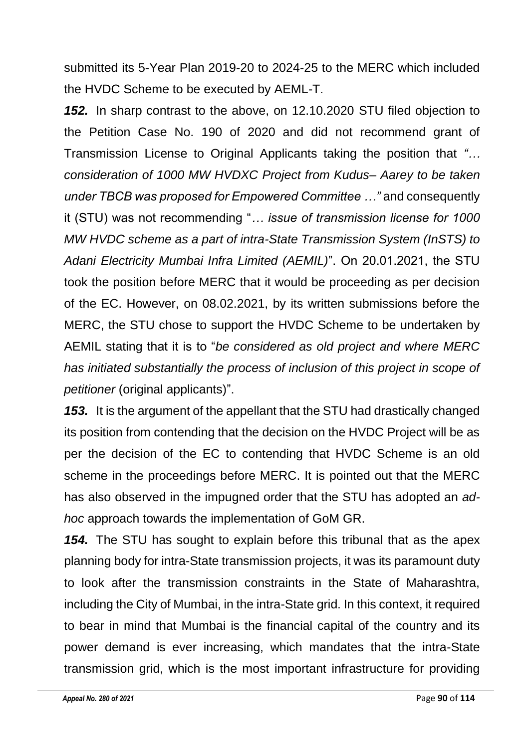submitted its 5-Year Plan 2019-20 to 2024-25 to the MERC which included the HVDC Scheme to be executed by AEML-T.

*152.* In sharp contrast to the above, on 12.10.2020 STU filed objection to the Petition Case No. 190 of 2020 and did not recommend grant of Transmission License to Original Applicants taking the position that *"… consideration of 1000 MW HVDXC Project from Kudus– Aarey to be taken under TBCB was proposed for Empowered Committee …"* and consequently it (STU) was not recommending "*… issue of transmission license for 1000 MW HVDC scheme as a part of intra-State Transmission System (InSTS) to Adani Electricity Mumbai Infra Limited (AEMIL)*". On 20.01.2021, the STU took the position before MERC that it would be proceeding as per decision of the EC. However, on 08.02.2021, by its written submissions before the MERC, the STU chose to support the HVDC Scheme to be undertaken by AEMIL stating that it is to "*be considered as old project and where MERC has initiated substantially the process of inclusion of this project in scope of petitioner* (original applicants)".

*153.* It is the argument of the appellant that the STU had drastically changed its position from contending that the decision on the HVDC Project will be as per the decision of the EC to contending that HVDC Scheme is an old scheme in the proceedings before MERC. It is pointed out that the MERC has also observed in the impugned order that the STU has adopted an *adhoc* approach towards the implementation of GoM GR.

*154.* The STU has sought to explain before this tribunal that as the apex planning body for intra-State transmission projects, it was its paramount duty to look after the transmission constraints in the State of Maharashtra, including the City of Mumbai, in the intra-State grid. In this context, it required to bear in mind that Mumbai is the financial capital of the country and its power demand is ever increasing, which mandates that the intra-State transmission grid, which is the most important infrastructure for providing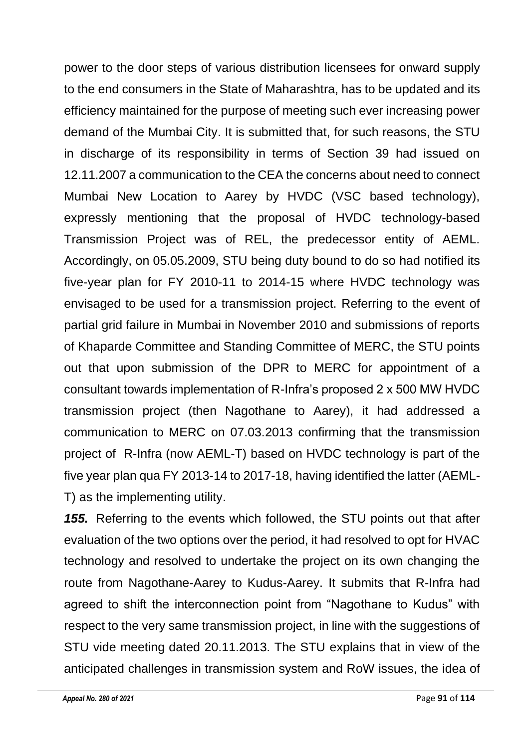power to the door steps of various distribution licensees for onward supply to the end consumers in the State of Maharashtra, has to be updated and its efficiency maintained for the purpose of meeting such ever increasing power demand of the Mumbai City. It is submitted that, for such reasons, the STU in discharge of its responsibility in terms of Section 39 had issued on 12.11.2007 a communication to the CEA the concerns about need to connect Mumbai New Location to Aarey by HVDC (VSC based technology), expressly mentioning that the proposal of HVDC technology-based Transmission Project was of REL, the predecessor entity of AEML. Accordingly, on 05.05.2009, STU being duty bound to do so had notified its five-year plan for FY 2010-11 to 2014-15 where HVDC technology was envisaged to be used for a transmission project. Referring to the event of partial grid failure in Mumbai in November 2010 and submissions of reports of Khaparde Committee and Standing Committee of MERC, the STU points out that upon submission of the DPR to MERC for appointment of a consultant towards implementation of R-Infra's proposed 2 x 500 MW HVDC transmission project (then Nagothane to Aarey), it had addressed a communication to MERC on 07.03.2013 confirming that the transmission project of R-Infra (now AEML-T) based on HVDC technology is part of the five year plan qua FY 2013-14 to 2017-18, having identified the latter (AEML-T) as the implementing utility.

*155.* Referring to the events which followed, the STU points out that after evaluation of the two options over the period, it had resolved to opt for HVAC technology and resolved to undertake the project on its own changing the route from Nagothane-Aarey to Kudus-Aarey. It submits that R-Infra had agreed to shift the interconnection point from "Nagothane to Kudus" with respect to the very same transmission project, in line with the suggestions of STU vide meeting dated 20.11.2013. The STU explains that in view of the anticipated challenges in transmission system and RoW issues, the idea of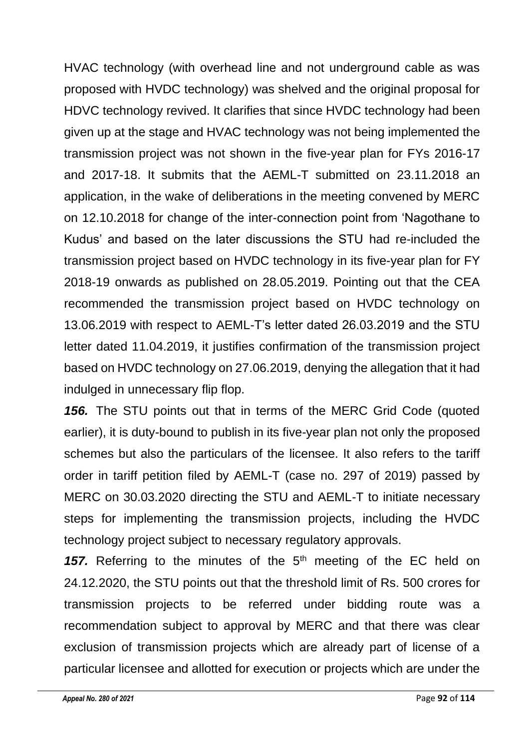HVAC technology (with overhead line and not underground cable as was proposed with HVDC technology) was shelved and the original proposal for HDVC technology revived. It clarifies that since HVDC technology had been given up at the stage and HVAC technology was not being implemented the transmission project was not shown in the five-year plan for FYs 2016-17 and 2017-18. It submits that the AEML-T submitted on 23.11.2018 an application, in the wake of deliberations in the meeting convened by MERC on 12.10.2018 for change of the inter-connection point from 'Nagothane to Kudus' and based on the later discussions the STU had re-included the transmission project based on HVDC technology in its five-year plan for FY 2018-19 onwards as published on 28.05.2019. Pointing out that the CEA recommended the transmission project based on HVDC technology on 13.06.2019 with respect to AEML-T's letter dated 26.03.2019 and the STU letter dated 11.04.2019, it justifies confirmation of the transmission project based on HVDC technology on 27.06.2019, denying the allegation that it had indulged in unnecessary flip flop.

*156.* The STU points out that in terms of the MERC Grid Code (quoted earlier), it is duty-bound to publish in its five-year plan not only the proposed schemes but also the particulars of the licensee. It also refers to the tariff order in tariff petition filed by AEML-T (case no. 297 of 2019) passed by MERC on 30.03.2020 directing the STU and AEML-T to initiate necessary steps for implementing the transmission projects, including the HVDC technology project subject to necessary regulatory approvals.

157. Referring to the minutes of the 5<sup>th</sup> meeting of the EC held on 24.12.2020, the STU points out that the threshold limit of Rs. 500 crores for transmission projects to be referred under bidding route was a recommendation subject to approval by MERC and that there was clear exclusion of transmission projects which are already part of license of a particular licensee and allotted for execution or projects which are under the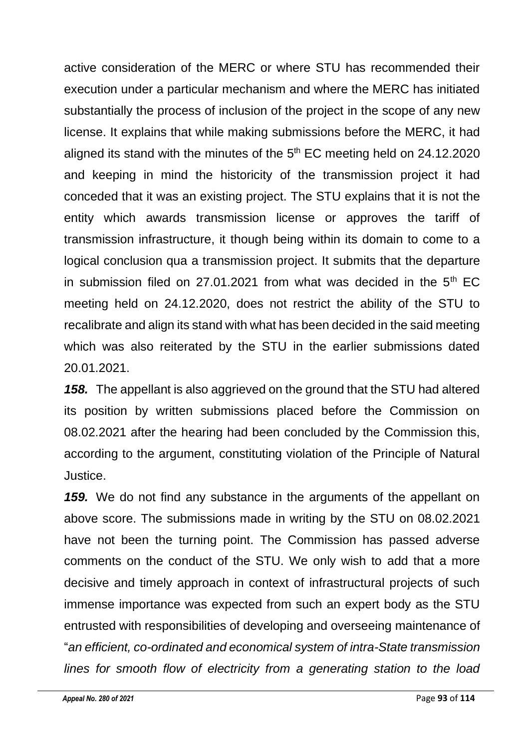active consideration of the MERC or where STU has recommended their execution under a particular mechanism and where the MERC has initiated substantially the process of inclusion of the project in the scope of any new license. It explains that while making submissions before the MERC, it had aligned its stand with the minutes of the  $5<sup>th</sup> EC$  meeting held on 24.12.2020 and keeping in mind the historicity of the transmission project it had conceded that it was an existing project. The STU explains that it is not the entity which awards transmission license or approves the tariff of transmission infrastructure, it though being within its domain to come to a logical conclusion qua a transmission project. It submits that the departure in submission filed on 27.01.2021 from what was decided in the  $5<sup>th</sup>$  EC meeting held on 24.12.2020, does not restrict the ability of the STU to recalibrate and align its stand with what has been decided in the said meeting which was also reiterated by the STU in the earlier submissions dated 20.01.2021.

*158.* The appellant is also aggrieved on the ground that the STU had altered its position by written submissions placed before the Commission on 08.02.2021 after the hearing had been concluded by the Commission this, according to the argument, constituting violation of the Principle of Natural Justice.

*159.* We do not find any substance in the arguments of the appellant on above score. The submissions made in writing by the STU on 08.02.2021 have not been the turning point. The Commission has passed adverse comments on the conduct of the STU. We only wish to add that a more decisive and timely approach in context of infrastructural projects of such immense importance was expected from such an expert body as the STU entrusted with responsibilities of developing and overseeing maintenance of "*an efficient, co-ordinated and economical system of intra-State transmission lines for smooth flow of electricity from a generating station to the load*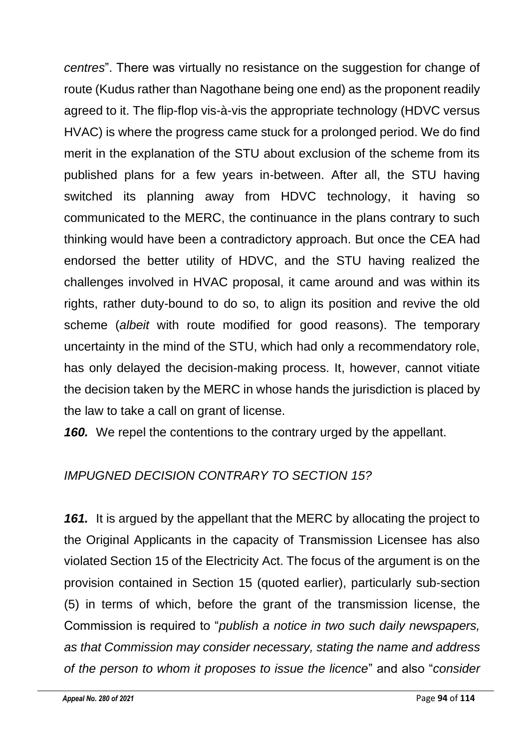*centres*". There was virtually no resistance on the suggestion for change of route (Kudus rather than Nagothane being one end) as the proponent readily agreed to it. The flip-flop vis-à-vis the appropriate technology (HDVC versus HVAC) is where the progress came stuck for a prolonged period. We do find merit in the explanation of the STU about exclusion of the scheme from its published plans for a few years in-between. After all, the STU having switched its planning away from HDVC technology, it having so communicated to the MERC, the continuance in the plans contrary to such thinking would have been a contradictory approach. But once the CEA had endorsed the better utility of HDVC, and the STU having realized the challenges involved in HVAC proposal, it came around and was within its rights, rather duty-bound to do so, to align its position and revive the old scheme (*albeit* with route modified for good reasons). The temporary uncertainty in the mind of the STU, which had only a recommendatory role, has only delayed the decision-making process. It, however, cannot vitiate the decision taken by the MERC in whose hands the jurisdiction is placed by the law to take a call on grant of license.

160. We repel the contentions to the contrary urged by the appellant.

## *IMPUGNED DECISION CONTRARY TO SECTION 15?*

*161.* It is argued by the appellant that the MERC by allocating the project to the Original Applicants in the capacity of Transmission Licensee has also violated Section 15 of the Electricity Act. The focus of the argument is on the provision contained in Section 15 (quoted earlier), particularly sub-section (5) in terms of which, before the grant of the transmission license, the Commission is required to "*publish a notice in two such daily newspapers, as that Commission may consider necessary, stating the name and address of the person to whom it proposes to issue the licence*" and also "*consider*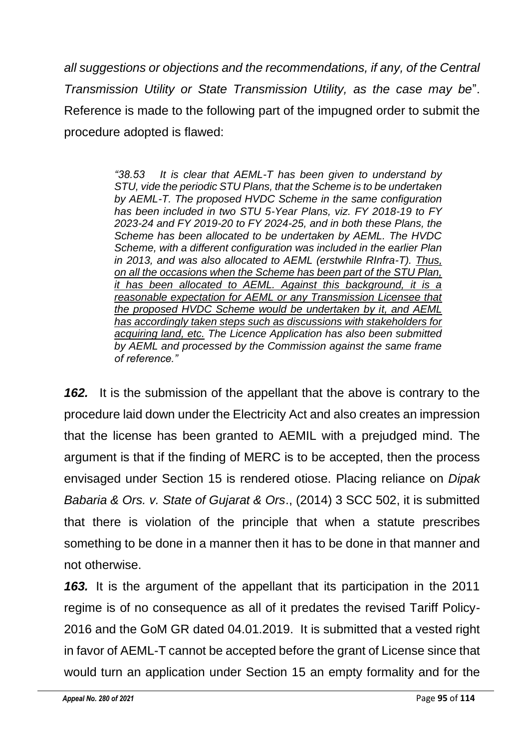*all suggestions or objections and the recommendations, if any, of the Central Transmission Utility or State Transmission Utility, as the case may be*". Reference is made to the following part of the impugned order to submit the procedure adopted is flawed:

> *"38.53 It is clear that AEML-T has been given to understand by STU, vide the periodic STU Plans, that the Scheme is to be undertaken by AEML-T. The proposed HVDC Scheme in the same configuration has been included in two STU 5-Year Plans, viz. FY 2018-19 to FY 2023-24 and FY 2019-20 to FY 2024-25, and in both these Plans, the Scheme has been allocated to be undertaken by AEML. The HVDC Scheme, with a different configuration was included in the earlier Plan in 2013, and was also allocated to AEML (erstwhile RInfra-T). Thus, on all the occasions when the Scheme has been part of the STU Plan, it has been allocated to AEML. Against this background, it is a reasonable expectation for AEML or any Transmission Licensee that the proposed HVDC Scheme would be undertaken by it, and AEML has accordingly taken steps such as discussions with stakeholders for acquiring land, etc. The Licence Application has also been submitted by AEML and processed by the Commission against the same frame of reference."*

*162.* It is the submission of the appellant that the above is contrary to the procedure laid down under the Electricity Act and also creates an impression that the license has been granted to AEMIL with a prejudged mind. The argument is that if the finding of MERC is to be accepted, then the process envisaged under Section 15 is rendered otiose. Placing reliance on *Dipak Babaria & Ors. v. State of Gujarat & Ors*., (2014) 3 SCC 502, it is submitted that there is violation of the principle that when a statute prescribes something to be done in a manner then it has to be done in that manner and not otherwise.

*163.* It is the argument of the appellant that its participation in the 2011 regime is of no consequence as all of it predates the revised Tariff Policy-2016 and the GoM GR dated 04.01.2019. It is submitted that a vested right in favor of AEML-T cannot be accepted before the grant of License since that would turn an application under Section 15 an empty formality and for the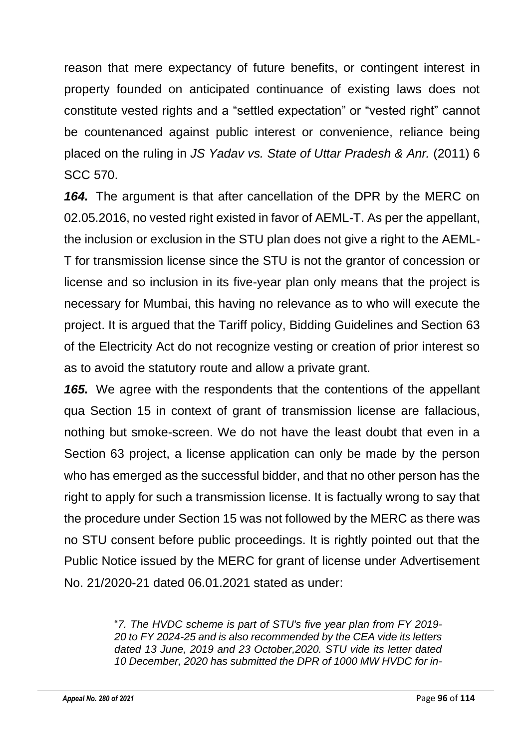reason that mere expectancy of future benefits, or contingent interest in property founded on anticipated continuance of existing laws does not constitute vested rights and a "settled expectation" or "vested right" cannot be countenanced against public interest or convenience, reliance being placed on the ruling in *JS Yadav vs. State of Uttar Pradesh & Anr.* (2011) 6 SCC 570.

*164.* The argument is that after cancellation of the DPR by the MERC on 02.05.2016, no vested right existed in favor of AEML-T. As per the appellant, the inclusion or exclusion in the STU plan does not give a right to the AEML-T for transmission license since the STU is not the grantor of concession or license and so inclusion in its five-year plan only means that the project is necessary for Mumbai, this having no relevance as to who will execute the project. It is argued that the Tariff policy, Bidding Guidelines and Section 63 of the Electricity Act do not recognize vesting or creation of prior interest so as to avoid the statutory route and allow a private grant.

*165.* We agree with the respondents that the contentions of the appellant qua Section 15 in context of grant of transmission license are fallacious, nothing but smoke-screen. We do not have the least doubt that even in a Section 63 project, a license application can only be made by the person who has emerged as the successful bidder, and that no other person has the right to apply for such a transmission license. It is factually wrong to say that the procedure under Section 15 was not followed by the MERC as there was no STU consent before public proceedings. It is rightly pointed out that the Public Notice issued by the MERC for grant of license under Advertisement No. 21/2020-21 dated 06.01.2021 stated as under:

> "*7. The HVDC scheme is part of STU's five year plan from FY 2019- 20 to FY 2024-25 and is also recommended by the CEA vide its letters dated 13 June, 2019 and 23 October,2020. STU vide its letter dated 10 December, 2020 has submitted the DPR of 1000 MW HVDC for in-*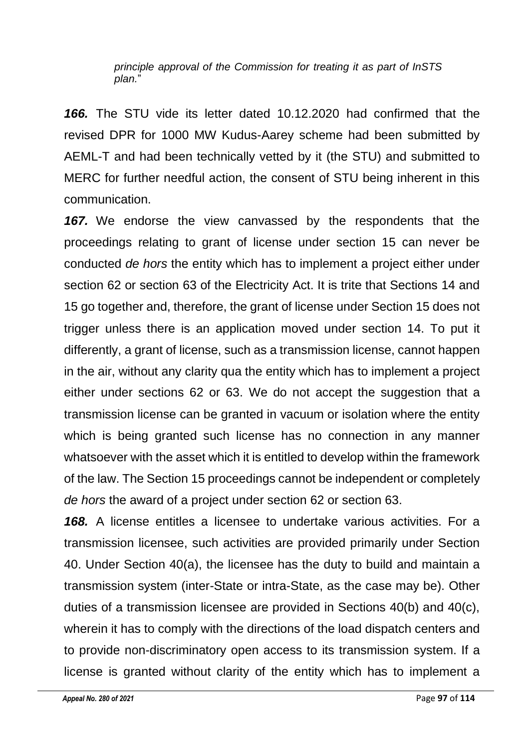*principle approval of the Commission for treating it as part of InSTS plan.*"

*166.* The STU vide its letter dated 10.12.2020 had confirmed that the revised DPR for 1000 MW Kudus-Aarey scheme had been submitted by AEML-T and had been technically vetted by it (the STU) and submitted to MERC for further needful action, the consent of STU being inherent in this communication.

*167.* We endorse the view canvassed by the respondents that the proceedings relating to grant of license under section 15 can never be conducted *de hors* the entity which has to implement a project either under section 62 or section 63 of the Electricity Act. It is trite that Sections 14 and 15 go together and, therefore, the grant of license under Section 15 does not trigger unless there is an application moved under section 14. To put it differently, a grant of license, such as a transmission license, cannot happen in the air, without any clarity qua the entity which has to implement a project either under sections 62 or 63. We do not accept the suggestion that a transmission license can be granted in vacuum or isolation where the entity which is being granted such license has no connection in any manner whatsoever with the asset which it is entitled to develop within the framework of the law. The Section 15 proceedings cannot be independent or completely *de hors* the award of a project under section 62 or section 63.

*168.* A license entitles a licensee to undertake various activities. For a transmission licensee, such activities are provided primarily under Section 40. Under Section 40(a), the licensee has the duty to build and maintain a transmission system (inter-State or intra-State, as the case may be). Other duties of a transmission licensee are provided in Sections 40(b) and 40(c), wherein it has to comply with the directions of the load dispatch centers and to provide non-discriminatory open access to its transmission system. If a license is granted without clarity of the entity which has to implement a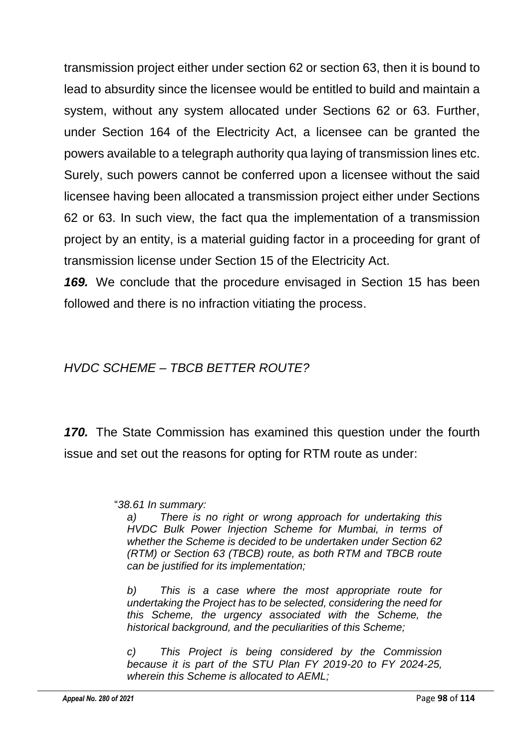transmission project either under section 62 or section 63, then it is bound to lead to absurdity since the licensee would be entitled to build and maintain a system, without any system allocated under Sections 62 or 63. Further, under Section 164 of the Electricity Act, a licensee can be granted the powers available to a telegraph authority qua laying of transmission lines etc. Surely, such powers cannot be conferred upon a licensee without the said licensee having been allocated a transmission project either under Sections 62 or 63. In such view, the fact qua the implementation of a transmission project by an entity, is a material guiding factor in a proceeding for grant of transmission license under Section 15 of the Electricity Act.

*169.* We conclude that the procedure envisaged in Section 15 has been followed and there is no infraction vitiating the process.

## *HVDC SCHEME – TBCB BETTER ROUTE?*

*170.* The State Commission has examined this question under the fourth issue and set out the reasons for opting for RTM route as under:

"*38.61 In summary:* 

*a) There is no right or wrong approach for undertaking this HVDC Bulk Power Injection Scheme for Mumbai, in terms of whether the Scheme is decided to be undertaken under Section 62 (RTM) or Section 63 (TBCB) route, as both RTM and TBCB route can be justified for its implementation;* 

*b) This is a case where the most appropriate route for undertaking the Project has to be selected, considering the need for this Scheme, the urgency associated with the Scheme, the historical background, and the peculiarities of this Scheme;* 

*c) This Project is being considered by the Commission because it is part of the STU Plan FY 2019-20 to FY 2024-25, wherein this Scheme is allocated to AEML;*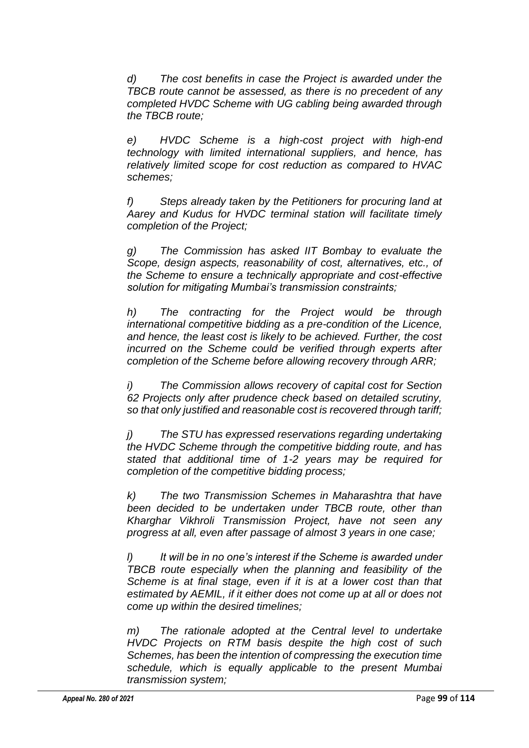*d) The cost benefits in case the Project is awarded under the TBCB route cannot be assessed, as there is no precedent of any completed HVDC Scheme with UG cabling being awarded through the TBCB route;* 

*e) HVDC Scheme is a high-cost project with high-end technology with limited international suppliers, and hence, has relatively limited scope for cost reduction as compared to HVAC schemes;* 

*f) Steps already taken by the Petitioners for procuring land at Aarey and Kudus for HVDC terminal station will facilitate timely completion of the Project;* 

*g) The Commission has asked IIT Bombay to evaluate the Scope, design aspects, reasonability of cost, alternatives, etc., of the Scheme to ensure a technically appropriate and cost-effective solution for mitigating Mumbai's transmission constraints;* 

*h) The contracting for the Project would be through international competitive bidding as a pre-condition of the Licence, and hence, the least cost is likely to be achieved. Further, the cost incurred on the Scheme could be verified through experts after completion of the Scheme before allowing recovery through ARR;* 

*i) The Commission allows recovery of capital cost for Section 62 Projects only after prudence check based on detailed scrutiny, so that only justified and reasonable cost is recovered through tariff;* 

*j) The STU has expressed reservations regarding undertaking the HVDC Scheme through the competitive bidding route, and has stated that additional time of 1-2 years may be required for completion of the competitive bidding process;* 

*k) The two Transmission Schemes in Maharashtra that have been decided to be undertaken under TBCB route, other than Kharghar Vikhroli Transmission Project, have not seen any progress at all, even after passage of almost 3 years in one case;* 

*l) It will be in no one's interest if the Scheme is awarded under TBCB route especially when the planning and feasibility of the Scheme is at final stage, even if it is at a lower cost than that estimated by AEMIL, if it either does not come up at all or does not come up within the desired timelines;* 

*m) The rationale adopted at the Central level to undertake HVDC Projects on RTM basis despite the high cost of such Schemes, has been the intention of compressing the execution time schedule, which is equally applicable to the present Mumbai transmission system;*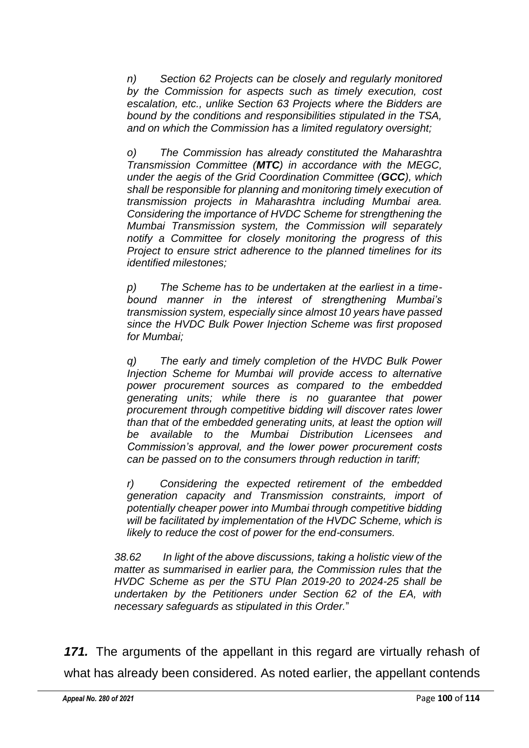*n) Section 62 Projects can be closely and regularly monitored by the Commission for aspects such as timely execution, cost escalation, etc., unlike Section 63 Projects where the Bidders are bound by the conditions and responsibilities stipulated in the TSA, and on which the Commission has a limited regulatory oversight;* 

*o) The Commission has already constituted the Maharashtra Transmission Committee (MTC) in accordance with the MEGC, under the aegis of the Grid Coordination Committee (GCC), which shall be responsible for planning and monitoring timely execution of transmission projects in Maharashtra including Mumbai area. Considering the importance of HVDC Scheme for strengthening the Mumbai Transmission system, the Commission will separately notify a Committee for closely monitoring the progress of this Project to ensure strict adherence to the planned timelines for its identified milestones;* 

*p) The Scheme has to be undertaken at the earliest in a timebound manner in the interest of strengthening Mumbai's transmission system, especially since almost 10 years have passed since the HVDC Bulk Power Injection Scheme was first proposed for Mumbai;* 

*q) The early and timely completion of the HVDC Bulk Power Injection Scheme for Mumbai will provide access to alternative power procurement sources as compared to the embedded generating units; while there is no guarantee that power procurement through competitive bidding will discover rates lower than that of the embedded generating units, at least the option will be available to the Mumbai Distribution Licensees and Commission's approval, and the lower power procurement costs can be passed on to the consumers through reduction in tariff;* 

*r) Considering the expected retirement of the embedded generation capacity and Transmission constraints, import of potentially cheaper power into Mumbai through competitive bidding will be facilitated by implementation of the HVDC Scheme, which is likely to reduce the cost of power for the end-consumers.* 

*38.62 In light of the above discussions, taking a holistic view of the matter as summarised in earlier para, the Commission rules that the HVDC Scheme as per the STU Plan 2019-20 to 2024-25 shall be undertaken by the Petitioners under Section 62 of the EA, with necessary safeguards as stipulated in this Order.*"

*171.* The arguments of the appellant in this regard are virtually rehash of what has already been considered. As noted earlier, the appellant contends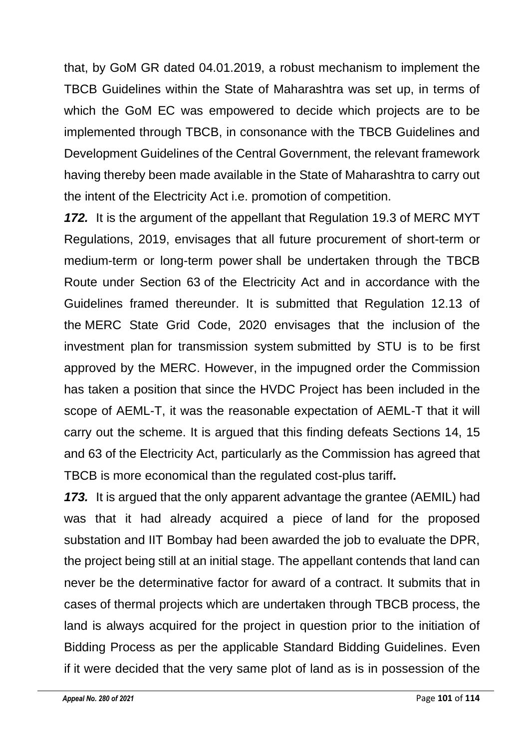that, by GoM GR dated 04.01.2019, a robust mechanism to implement the TBCB Guidelines within the State of Maharashtra was set up, in terms of which the GoM EC was empowered to decide which projects are to be implemented through TBCB, in consonance with the TBCB Guidelines and Development Guidelines of the Central Government, the relevant framework having thereby been made available in the State of Maharashtra to carry out the intent of the Electricity Act i.e. promotion of competition.

*172.* It is the argument of the appellant that Regulation 19.3 of MERC MYT Regulations, 2019, envisages that all future procurement of short-term or medium-term or long-term power shall be undertaken through the TBCB Route under Section 63 of the Electricity Act and in accordance with the Guidelines framed thereunder. It is submitted that Regulation 12.13 of the MERC State Grid Code, 2020 envisages that the inclusion of the investment plan for transmission system submitted by STU is to be first approved by the MERC. However, in the impugned order the Commission has taken a position that since the HVDC Project has been included in the scope of AEML-T, it was the reasonable expectation of AEML-T that it will carry out the scheme. It is argued that this finding defeats Sections 14, 15 and 63 of the Electricity Act, particularly as the Commission has agreed that TBCB is more economical than the regulated cost-plus tariff**.**

*173.* It is argued that the only apparent advantage the grantee (AEMIL) had was that it had already acquired a piece of land for the proposed substation and IIT Bombay had been awarded the job to evaluate the DPR, the project being still at an initial stage. The appellant contends that land can never be the determinative factor for award of a contract. It submits that in cases of thermal projects which are undertaken through TBCB process, the land is always acquired for the project in question prior to the initiation of Bidding Process as per the applicable Standard Bidding Guidelines. Even if it were decided that the very same plot of land as is in possession of the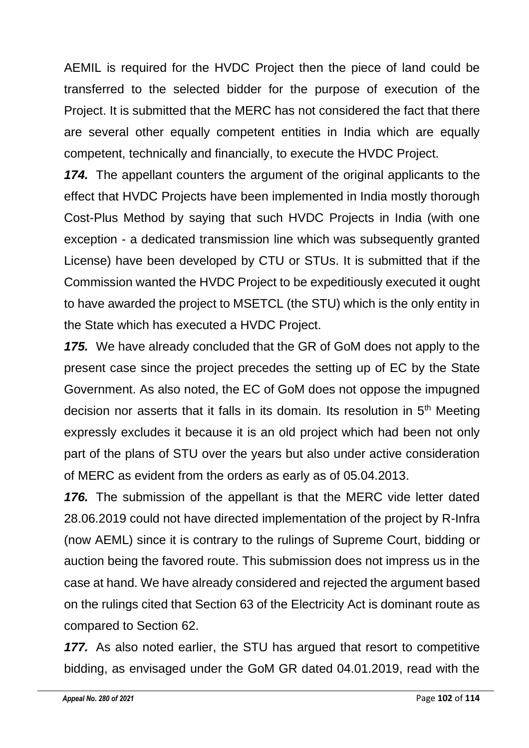AEMIL is required for the HVDC Project then the piece of land could be transferred to the selected bidder for the purpose of execution of the Project. It is submitted that the MERC has not considered the fact that there are several other equally competent entities in India which are equally competent, technically and financially, to execute the HVDC Project.

*174.* The appellant counters the argument of the original applicants to the effect that HVDC Projects have been implemented in India mostly thorough Cost-Plus Method by saying that such HVDC Projects in India (with one exception - a dedicated transmission line which was subsequently granted License) have been developed by CTU or STUs. It is submitted that if the Commission wanted the HVDC Project to be expeditiously executed it ought to have awarded the project to MSETCL (the STU) which is the only entity in the State which has executed a HVDC Project.

*175.* We have already concluded that the GR of GoM does not apply to the present case since the project precedes the setting up of EC by the State Government. As also noted, the EC of GoM does not oppose the impugned decision nor asserts that it falls in its domain. Its resolution in 5<sup>th</sup> Meeting expressly excludes it because it is an old project which had been not only part of the plans of STU over the years but also under active consideration of MERC as evident from the orders as early as of 05.04.2013.

*176.* The submission of the appellant is that the MERC vide letter dated 28.06.2019 could not have directed implementation of the project by R-Infra (now AEML) since it is contrary to the rulings of Supreme Court, bidding or auction being the favored route. This submission does not impress us in the case at hand. We have already considered and rejected the argument based on the rulings cited that Section 63 of the Electricity Act is dominant route as compared to Section 62.

*177.* As also noted earlier, the STU has argued that resort to competitive bidding, as envisaged under the GoM GR dated 04.01.2019, read with the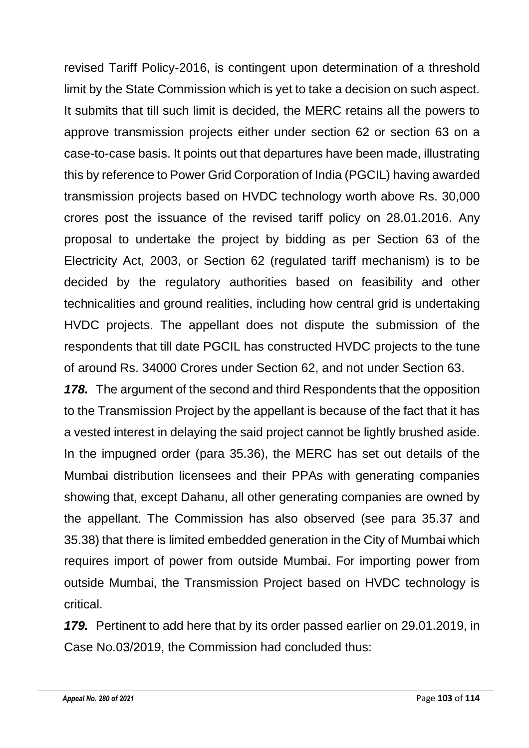revised Tariff Policy-2016, is contingent upon determination of a threshold limit by the State Commission which is yet to take a decision on such aspect. It submits that till such limit is decided, the MERC retains all the powers to approve transmission projects either under section 62 or section 63 on a case-to-case basis. It points out that departures have been made, illustrating this by reference to Power Grid Corporation of India (PGCIL) having awarded transmission projects based on HVDC technology worth above Rs. 30,000 crores post the issuance of the revised tariff policy on 28.01.2016. Any proposal to undertake the project by bidding as per Section 63 of the Electricity Act, 2003, or Section 62 (regulated tariff mechanism) is to be decided by the regulatory authorities based on feasibility and other technicalities and ground realities, including how central grid is undertaking HVDC projects. The appellant does not dispute the submission of the respondents that till date PGCIL has constructed HVDC projects to the tune of around Rs. 34000 Crores under Section 62, and not under Section 63.

*178.* The argument of the second and third Respondents that the opposition to the Transmission Project by the appellant is because of the fact that it has a vested interest in delaying the said project cannot be lightly brushed aside. In the impugned order (para 35.36), the MERC has set out details of the Mumbai distribution licensees and their PPAs with generating companies showing that, except Dahanu, all other generating companies are owned by the appellant. The Commission has also observed (see para 35.37 and 35.38) that there is limited embedded generation in the City of Mumbai which requires import of power from outside Mumbai. For importing power from outside Mumbai, the Transmission Project based on HVDC technology is critical.

*179.* Pertinent to add here that by its order passed earlier on 29.01.2019, in Case No.03/2019, the Commission had concluded thus: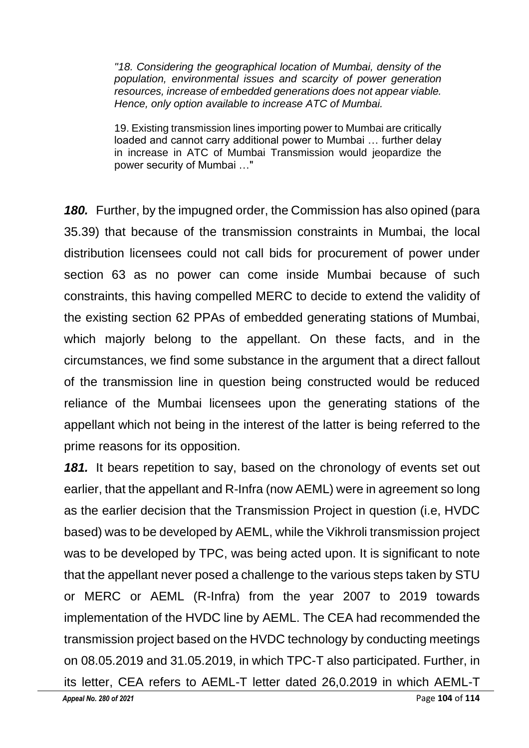*"18. Considering the geographical location of Mumbai, density of the population, environmental issues and scarcity of power generation resources, increase of embedded generations does not appear viable. Hence, only option available to increase ATC of Mumbai.*

19. Existing transmission lines importing power to Mumbai are critically loaded and cannot carry additional power to Mumbai … further delay in increase in ATC of Mumbai Transmission would jeopardize the power security of Mumbai …"

*180.* Further, by the impugned order, the Commission has also opined (para 35.39) that because of the transmission constraints in Mumbai, the local distribution licensees could not call bids for procurement of power under section 63 as no power can come inside Mumbai because of such constraints, this having compelled MERC to decide to extend the validity of the existing section 62 PPAs of embedded generating stations of Mumbai, which majorly belong to the appellant. On these facts, and in the circumstances, we find some substance in the argument that a direct fallout of the transmission line in question being constructed would be reduced reliance of the Mumbai licensees upon the generating stations of the appellant which not being in the interest of the latter is being referred to the prime reasons for its opposition.

*181.* It bears repetition to say, based on the chronology of events set out earlier, that the appellant and R-Infra (now AEML) were in agreement so long as the earlier decision that the Transmission Project in question (i.e, HVDC based) was to be developed by AEML, while the Vikhroli transmission project was to be developed by TPC, was being acted upon. It is significant to note that the appellant never posed a challenge to the various steps taken by STU or MERC or AEML (R-Infra) from the year 2007 to 2019 towards implementation of the HVDC line by AEML. The CEA had recommended the transmission project based on the HVDC technology by conducting meetings on 08.05.2019 and 31.05.2019, in which TPC-T also participated. Further, in its letter, CEA refers to AEML-T letter dated 26,0.2019 in which AEML-T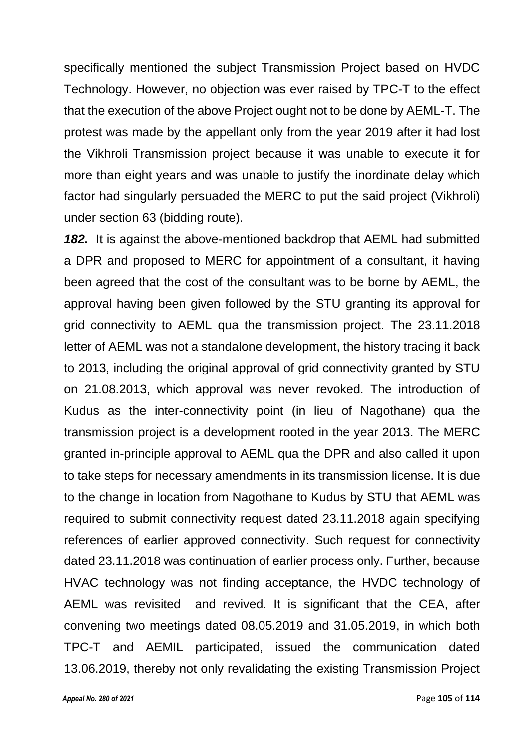specifically mentioned the subject Transmission Project based on HVDC Technology. However, no objection was ever raised by TPC-T to the effect that the execution of the above Project ought not to be done by AEML-T. The protest was made by the appellant only from the year 2019 after it had lost the Vikhroli Transmission project because it was unable to execute it for more than eight years and was unable to justify the inordinate delay which factor had singularly persuaded the MERC to put the said project (Vikhroli) under section 63 (bidding route).

*182.* It is against the above-mentioned backdrop that AEML had submitted a DPR and proposed to MERC for appointment of a consultant, it having been agreed that the cost of the consultant was to be borne by AEML, the approval having been given followed by the STU granting its approval for grid connectivity to AEML qua the transmission project. The 23.11.2018 letter of AEML was not a standalone development, the history tracing it back to 2013, including the original approval of grid connectivity granted by STU on 21.08.2013, which approval was never revoked. The introduction of Kudus as the inter-connectivity point (in lieu of Nagothane) qua the transmission project is a development rooted in the year 2013. The MERC granted in-principle approval to AEML qua the DPR and also called it upon to take steps for necessary amendments in its transmission license. It is due to the change in location from Nagothane to Kudus by STU that AEML was required to submit connectivity request dated 23.11.2018 again specifying references of earlier approved connectivity. Such request for connectivity dated 23.11.2018 was continuation of earlier process only. Further, because HVAC technology was not finding acceptance, the HVDC technology of AEML was revisited and revived. It is significant that the CEA, after convening two meetings dated 08.05.2019 and 31.05.2019, in which both TPC-T and AEMIL participated, issued the communication dated 13.06.2019, thereby not only revalidating the existing Transmission Project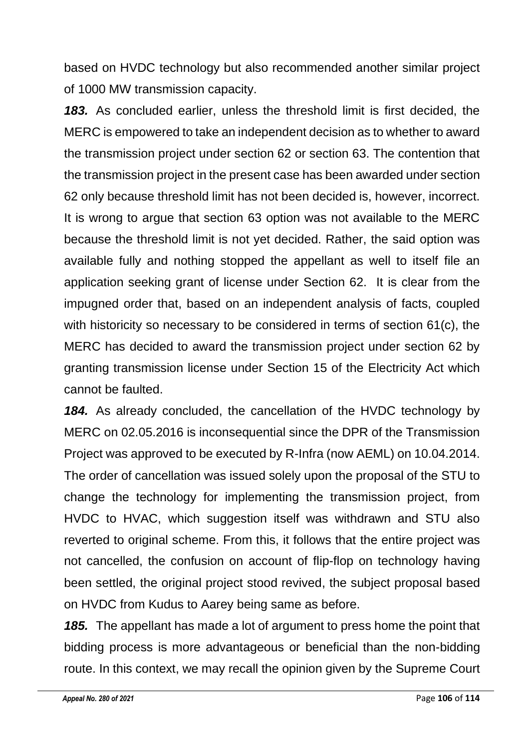based on HVDC technology but also recommended another similar project of 1000 MW transmission capacity.

*183.* As concluded earlier, unless the threshold limit is first decided, the MERC is empowered to take an independent decision as to whether to award the transmission project under section 62 or section 63. The contention that the transmission project in the present case has been awarded under section 62 only because threshold limit has not been decided is, however, incorrect. It is wrong to argue that section 63 option was not available to the MERC because the threshold limit is not yet decided. Rather, the said option was available fully and nothing stopped the appellant as well to itself file an application seeking grant of license under Section 62. It is clear from the impugned order that, based on an independent analysis of facts, coupled with historicity so necessary to be considered in terms of section 61(c), the MERC has decided to award the transmission project under section 62 by granting transmission license under Section 15 of the Electricity Act which cannot be faulted.

*184.* As already concluded, the cancellation of the HVDC technology by MERC on 02.05.2016 is inconsequential since the DPR of the Transmission Project was approved to be executed by R-Infra (now AEML) on 10.04.2014. The order of cancellation was issued solely upon the proposal of the STU to change the technology for implementing the transmission project, from HVDC to HVAC, which suggestion itself was withdrawn and STU also reverted to original scheme. From this, it follows that the entire project was not cancelled, the confusion on account of flip-flop on technology having been settled, the original project stood revived, the subject proposal based on HVDC from Kudus to Aarey being same as before.

*185.* The appellant has made a lot of argument to press home the point that bidding process is more advantageous or beneficial than the non-bidding route. In this context, we may recall the opinion given by the Supreme Court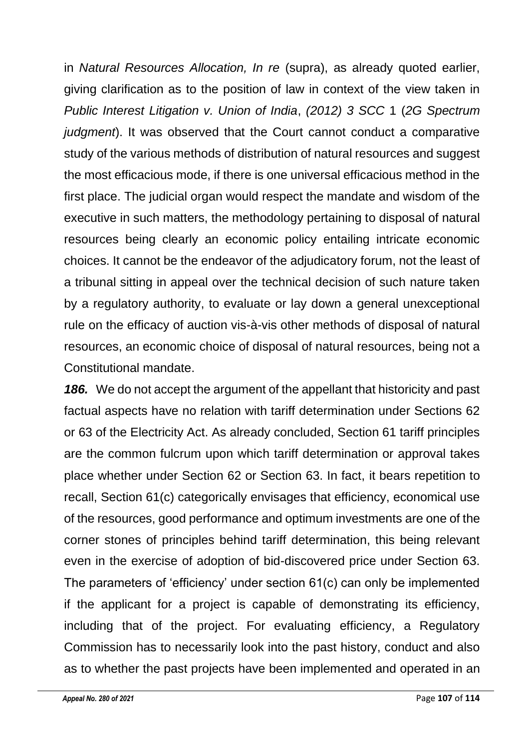in *Natural Resources Allocation, In re* (supra), as already quoted earlier, giving clarification as to the position of law in context of the view taken in *Public Interest Litigation v. Union of India*, *(2012) 3 SCC* 1 (*2G Spectrum judgment*). It was observed that the Court cannot conduct a comparative study of the various methods of distribution of natural resources and suggest the most efficacious mode, if there is one universal efficacious method in the first place. The judicial organ would respect the mandate and wisdom of the executive in such matters, the methodology pertaining to disposal of natural resources being clearly an economic policy entailing intricate economic choices. It cannot be the endeavor of the adjudicatory forum, not the least of a tribunal sitting in appeal over the technical decision of such nature taken by a regulatory authority, to evaluate or lay down a general unexceptional rule on the efficacy of auction vis-à-vis other methods of disposal of natural resources, an economic choice of disposal of natural resources, being not a Constitutional mandate.

*186.* We do not accept the argument of the appellant that historicity and past factual aspects have no relation with tariff determination under Sections 62 or 63 of the Electricity Act. As already concluded, Section 61 tariff principles are the common fulcrum upon which tariff determination or approval takes place whether under Section 62 or Section 63. In fact, it bears repetition to recall, Section 61(c) categorically envisages that efficiency, economical use of the resources, good performance and optimum investments are one of the corner stones of principles behind tariff determination, this being relevant even in the exercise of adoption of bid-discovered price under Section 63. The parameters of 'efficiency' under section 61(c) can only be implemented if the applicant for a project is capable of demonstrating its efficiency, including that of the project. For evaluating efficiency, a Regulatory Commission has to necessarily look into the past history, conduct and also as to whether the past projects have been implemented and operated in an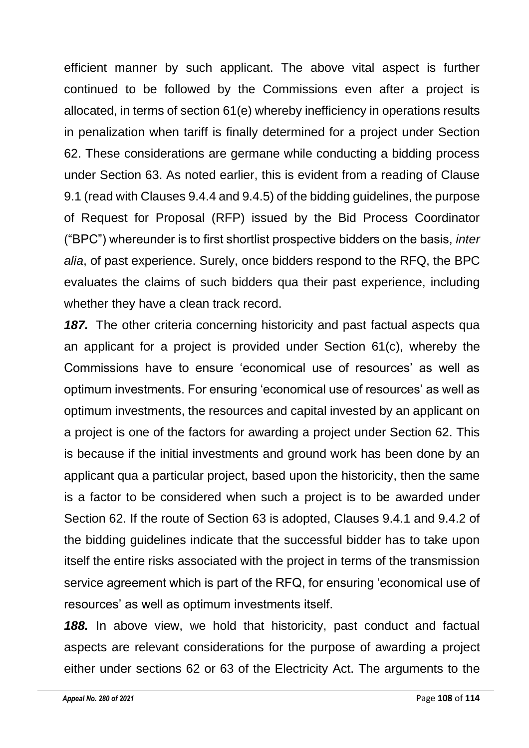efficient manner by such applicant. The above vital aspect is further continued to be followed by the Commissions even after a project is allocated, in terms of section 61(e) whereby inefficiency in operations results in penalization when tariff is finally determined for a project under Section 62. These considerations are germane while conducting a bidding process under Section 63. As noted earlier, this is evident from a reading of Clause 9.1 (read with Clauses 9.4.4 and 9.4.5) of the bidding guidelines, the purpose of Request for Proposal (RFP) issued by the Bid Process Coordinator ("BPC") whereunder is to first shortlist prospective bidders on the basis, *inter alia*, of past experience. Surely, once bidders respond to the RFQ, the BPC evaluates the claims of such bidders qua their past experience, including whether they have a clean track record.

*187.* The other criteria concerning historicity and past factual aspects qua an applicant for a project is provided under Section 61(c), whereby the Commissions have to ensure 'economical use of resources' as well as optimum investments. For ensuring 'economical use of resources' as well as optimum investments, the resources and capital invested by an applicant on a project is one of the factors for awarding a project under Section 62. This is because if the initial investments and ground work has been done by an applicant qua a particular project, based upon the historicity, then the same is a factor to be considered when such a project is to be awarded under Section 62. If the route of Section 63 is adopted, Clauses 9.4.1 and 9.4.2 of the bidding guidelines indicate that the successful bidder has to take upon itself the entire risks associated with the project in terms of the transmission service agreement which is part of the RFQ, for ensuring 'economical use of resources' as well as optimum investments itself.

*188.* In above view, we hold that historicity, past conduct and factual aspects are relevant considerations for the purpose of awarding a project either under sections 62 or 63 of the Electricity Act. The arguments to the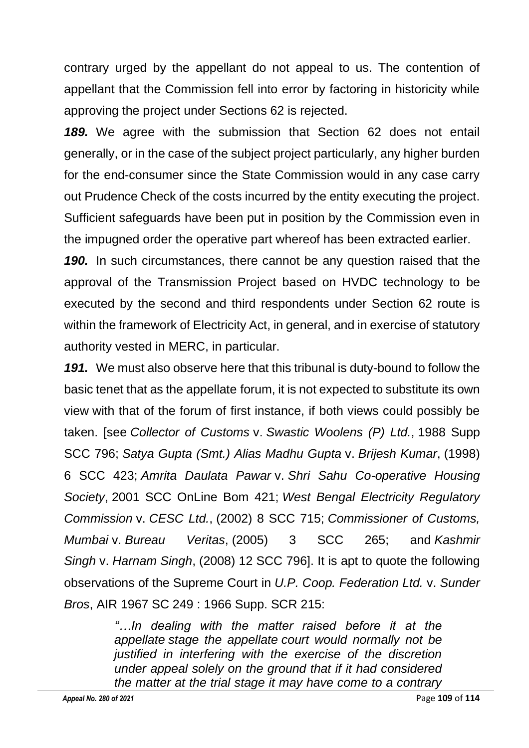contrary urged by the appellant do not appeal to us. The contention of appellant that the Commission fell into error by factoring in historicity while approving the project under Sections 62 is rejected.

*189.* We agree with the submission that Section 62 does not entail generally, or in the case of the subject project particularly, any higher burden for the end-consumer since the State Commission would in any case carry out Prudence Check of the costs incurred by the entity executing the project. Sufficient safeguards have been put in position by the Commission even in the impugned order the operative part whereof has been extracted earlier.

*190.* In such circumstances, there cannot be any question raised that the approval of the Transmission Project based on HVDC technology to be executed by the second and third respondents under Section 62 route is within the framework of Electricity Act, in general, and in exercise of statutory authority vested in MERC, in particular.

*191.* We must also observe here that this tribunal is duty-bound to follow the basic tenet that as the appellate forum, it is not expected to substitute its own view with that of the forum of first instance, if both views could possibly be taken. [see *Collector of Customs* v. *Swastic Woolens (P) Ltd.*, 1988 Supp SCC 796; *Satya Gupta (Smt.) Alias Madhu Gupta* v. *Brijesh Kumar*, (1998) 6 SCC 423; *Amrita Daulata Pawar* v. *Shri Sahu Co-operative Housing Society*, 2001 SCC OnLine Bom 421; *West Bengal Electricity Regulatory Commission* v. *CESC Ltd.*, (2002) 8 SCC 715; *Commissioner of Customs, Mumbai* v. *Bureau Veritas*, (2005) 3 SCC 265; and *Kashmir Singh* v. *Harnam Singh*, (2008) 12 SCC 796]. It is apt to quote the following observations of the Supreme Court in *U.P. Coop. Federation Ltd.* v. *Sunder Bros*, AIR 1967 SC 249 : 1966 Supp. SCR 215:

> *"…In dealing with the matter raised before it at the appellate stage the appellate court would normally not be justified in interfering with the exercise of the discretion under appeal solely on the ground that if it had considered the matter at the trial stage it may have come to a contrary*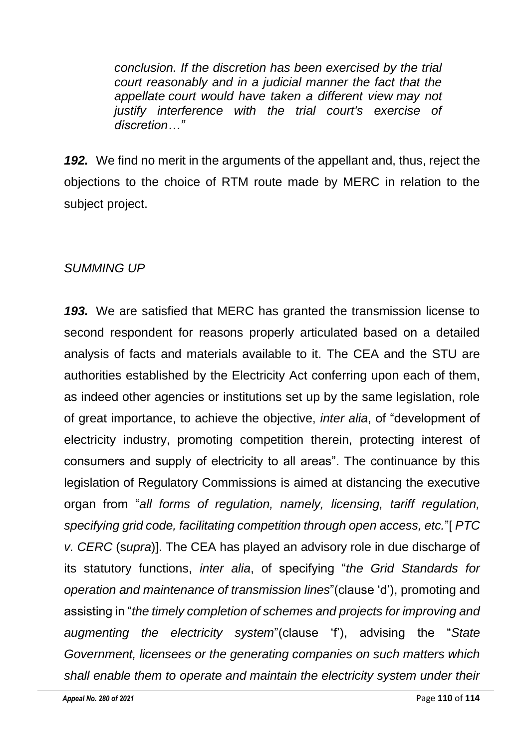*conclusion. If the discretion has been exercised by the trial court reasonably and in a judicial manner the fact that the appellate court would have taken a different view may not justify interference with the trial court's exercise of discretion…"*

*192.* We find no merit in the arguments of the appellant and, thus, reject the objections to the choice of RTM route made by MERC in relation to the subject project.

## *SUMMING UP*

*193.* We are satisfied that MERC has granted the transmission license to second respondent for reasons properly articulated based on a detailed analysis of facts and materials available to it. The CEA and the STU are authorities established by the Electricity Act conferring upon each of them, as indeed other agencies or institutions set up by the same legislation, role of great importance, to achieve the objective, *inter alia*, of "development of electricity industry, promoting competition therein, protecting interest of consumers and supply of electricity to all areas". The continuance by this legislation of Regulatory Commissions is aimed at distancing the executive organ from "*all forms of regulation, namely, licensing, tariff regulation, specifying grid code, facilitating competition through open access, etc.*"[ *PTC v. CERC* (s*upra*)]. The CEA has played an advisory role in due discharge of its statutory functions, *inter alia*, of specifying "*the Grid Standards for operation and maintenance of transmission lines*"(clause 'd'), promoting and assisting in "*the timely completion of schemes and projects for improving and augmenting the electricity system*"(clause 'f'), advising the "*State Government, licensees or the generating companies on such matters which shall enable them to operate and maintain the electricity system under their*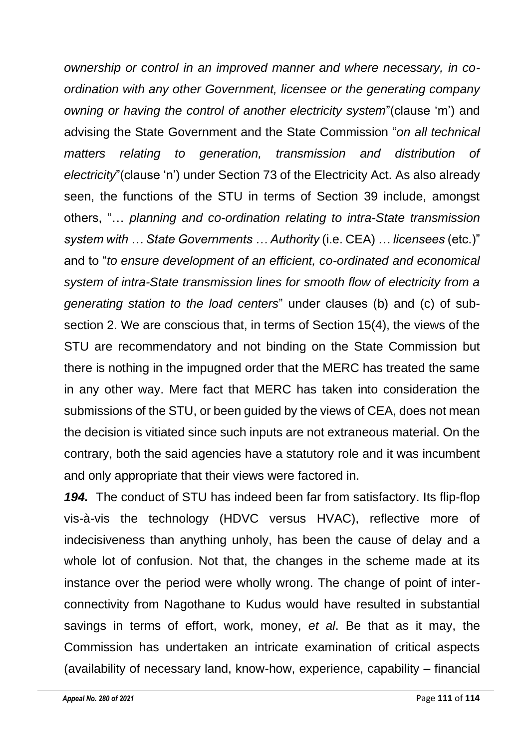*ownership or control in an improved manner and where necessary, in coordination with any other Government, licensee or the generating company owning or having the control of another electricity system*"(clause 'm') and advising the State Government and the State Commission "*on all technical matters relating to generation, transmission and distribution of electricity*"(clause 'n') under Section 73 of the Electricity Act. As also already seen, the functions of the STU in terms of Section 39 include, amongst others, "… *planning and co-ordination relating to intra-State transmission system with … State Governments … Authority* (i.e. CEA) *… licensees* (etc.)" and to "*to ensure development of an efficient, co-ordinated and economical system of intra-State transmission lines for smooth flow of electricity from a generating station to the load centers*" under clauses (b) and (c) of subsection 2. We are conscious that, in terms of Section 15(4), the views of the STU are recommendatory and not binding on the State Commission but there is nothing in the impugned order that the MERC has treated the same in any other way. Mere fact that MERC has taken into consideration the submissions of the STU, or been guided by the views of CEA, does not mean the decision is vitiated since such inputs are not extraneous material. On the contrary, both the said agencies have a statutory role and it was incumbent and only appropriate that their views were factored in.

*194.* The conduct of STU has indeed been far from satisfactory. Its flip-flop vis-à-vis the technology (HDVC versus HVAC), reflective more of indecisiveness than anything unholy, has been the cause of delay and a whole lot of confusion. Not that, the changes in the scheme made at its instance over the period were wholly wrong. The change of point of interconnectivity from Nagothane to Kudus would have resulted in substantial savings in terms of effort, work, money, *et al*. Be that as it may, the Commission has undertaken an intricate examination of critical aspects (availability of necessary land, know-how, experience, capability – financial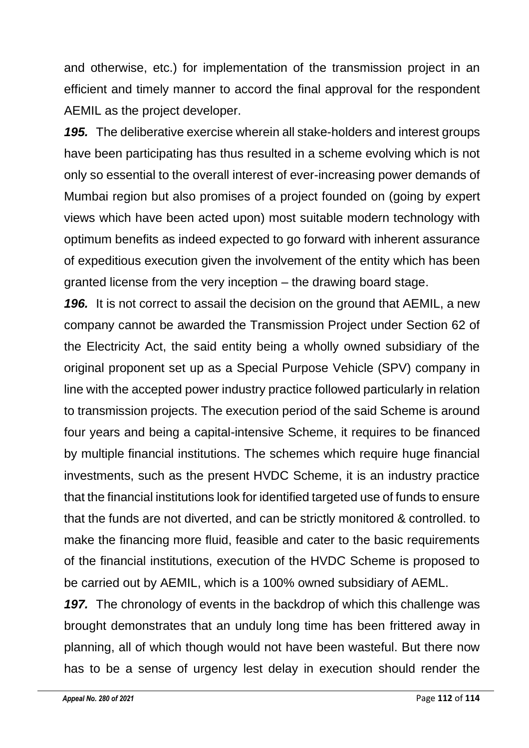and otherwise, etc.) for implementation of the transmission project in an efficient and timely manner to accord the final approval for the respondent AEMIL as the project developer.

*195.* The deliberative exercise wherein all stake-holders and interest groups have been participating has thus resulted in a scheme evolving which is not only so essential to the overall interest of ever-increasing power demands of Mumbai region but also promises of a project founded on (going by expert views which have been acted upon) most suitable modern technology with optimum benefits as indeed expected to go forward with inherent assurance of expeditious execution given the involvement of the entity which has been granted license from the very inception – the drawing board stage.

*196.* It is not correct to assail the decision on the ground that AEMIL, a new company cannot be awarded the Transmission Project under Section 62 of the Electricity Act, the said entity being a wholly owned subsidiary of the original proponent set up as a Special Purpose Vehicle (SPV) company in line with the accepted power industry practice followed particularly in relation to transmission projects. The execution period of the said Scheme is around four years and being a capital-intensive Scheme, it requires to be financed by multiple financial institutions. The schemes which require huge financial investments, such as the present HVDC Scheme, it is an industry practice that the financial institutions look for identified targeted use of funds to ensure that the funds are not diverted, and can be strictly monitored & controlled. to make the financing more fluid, feasible and cater to the basic requirements of the financial institutions, execution of the HVDC Scheme is proposed to be carried out by AEMIL, which is a 100% owned subsidiary of AEML.

*197.* The chronology of events in the backdrop of which this challenge was brought demonstrates that an unduly long time has been frittered away in planning, all of which though would not have been wasteful. But there now has to be a sense of urgency lest delay in execution should render the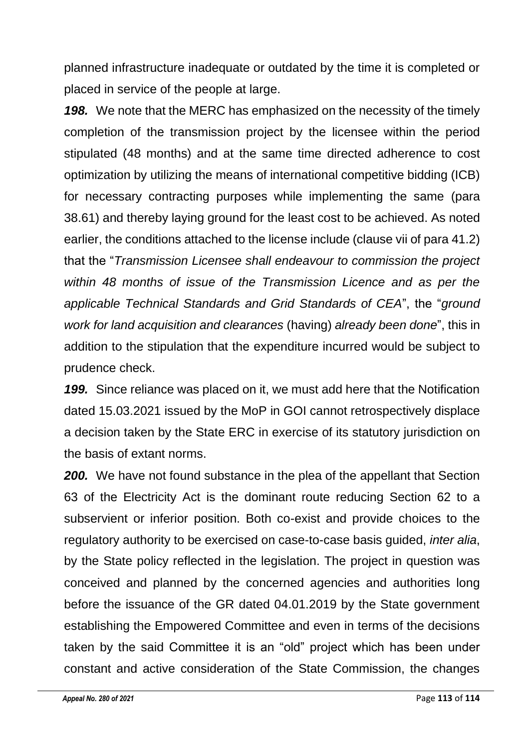planned infrastructure inadequate or outdated by the time it is completed or placed in service of the people at large.

*198.* We note that the MERC has emphasized on the necessity of the timely completion of the transmission project by the licensee within the period stipulated (48 months) and at the same time directed adherence to cost optimization by utilizing the means of international competitive bidding (ICB) for necessary contracting purposes while implementing the same (para 38.61) and thereby laying ground for the least cost to be achieved. As noted earlier, the conditions attached to the license include (clause vii of para 41.2) that the "*Transmission Licensee shall endeavour to commission the project within 48 months of issue of the Transmission Licence and as per the applicable Technical Standards and Grid Standards of CEA*", the "*ground work for land acquisition and clearances* (having) *already been done*", this in addition to the stipulation that the expenditure incurred would be subject to prudence check.

*199.* Since reliance was placed on it, we must add here that the Notification dated 15.03.2021 issued by the MoP in GOI cannot retrospectively displace a decision taken by the State ERC in exercise of its statutory jurisdiction on the basis of extant norms.

*200.* We have not found substance in the plea of the appellant that Section 63 of the Electricity Act is the dominant route reducing Section 62 to a subservient or inferior position. Both co-exist and provide choices to the regulatory authority to be exercised on case-to-case basis guided, *inter alia*, by the State policy reflected in the legislation. The project in question was conceived and planned by the concerned agencies and authorities long before the issuance of the GR dated 04.01.2019 by the State government establishing the Empowered Committee and even in terms of the decisions taken by the said Committee it is an "old" project which has been under constant and active consideration of the State Commission, the changes